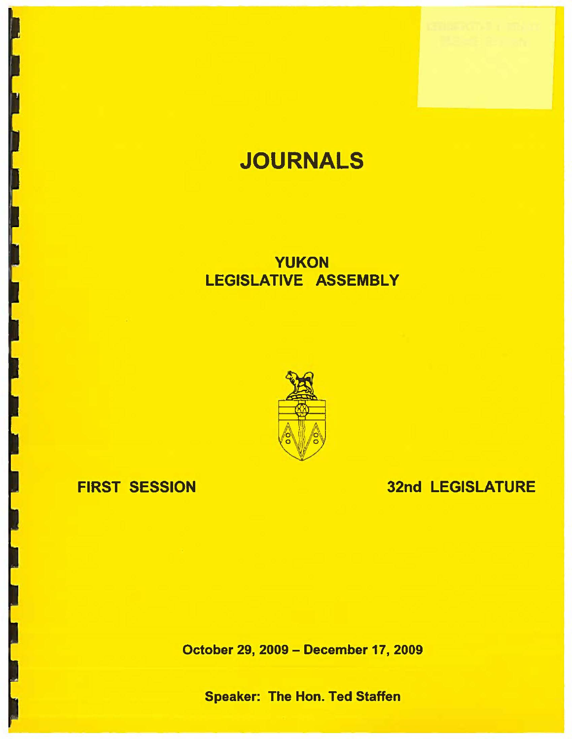# **JOURNALS**

## **YUKON**  LEGISLATIVE **ASSEMBLY**



## FIRST **SESSION**

## 32nd LEGISLATURE

October 29, 2009 - December 17, 2009

**Speaker:** The Hon. Ted Staffen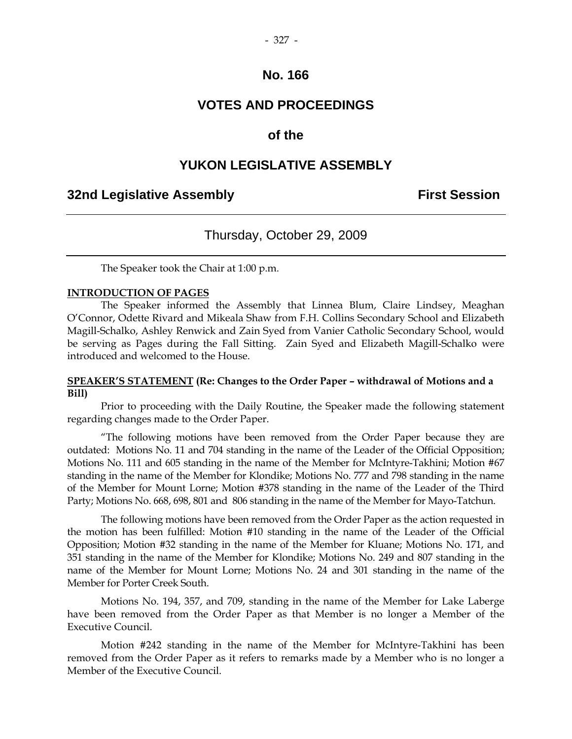#### - 327 -

### **No. 166**

### **VOTES AND PROCEEDINGS**

### **of the**

### **YUKON LEGISLATIVE ASSEMBLY**

### **32nd Legislative Assembly First Session**

### Thursday, October 29, 2009

The Speaker took the Chair at 1:00 p.m.

#### **INTRODUCTION OF PAGES**

 The Speaker informed the Assembly that Linnea Blum, Claire Lindsey, Meaghan O'Connor, Odette Rivard and Mikeala Shaw from F.H. Collins Secondary School and Elizabeth Magill-Schalko, Ashley Renwick and Zain Syed from Vanier Catholic Secondary School, would be serving as Pages during the Fall Sitting. Zain Syed and Elizabeth Magill-Schalko were introduced and welcomed to the House.

#### **SPEAKER'S STATEMENT (Re: Changes to the Order Paper – withdrawal of Motions and a Bill)**

 Prior to proceeding with the Daily Routine, the Speaker made the following statement regarding changes made to the Order Paper.

"The following motions have been removed from the Order Paper because they are outdated: Motions No. 11 and 704 standing in the name of the Leader of the Official Opposition; Motions No. 111 and 605 standing in the name of the Member for McIntyre-Takhini; Motion #67 standing in the name of the Member for Klondike; Motions No. 777 and 798 standing in the name of the Member for Mount Lorne; Motion #378 standing in the name of the Leader of the Third Party; Motions No. 668, 698, 801 and 806 standing in the name of the Member for Mayo-Tatchun.

The following motions have been removed from the Order Paper as the action requested in the motion has been fulfilled: Motion #10 standing in the name of the Leader of the Official Opposition; Motion #32 standing in the name of the Member for Kluane; Motions No. 171, and 351 standing in the name of the Member for Klondike; Motions No. 249 and 807 standing in the name of the Member for Mount Lorne; Motions No. 24 and 301 standing in the name of the Member for Porter Creek South.

Motions No. 194, 357, and 709, standing in the name of the Member for Lake Laberge have been removed from the Order Paper as that Member is no longer a Member of the Executive Council.

Motion #242 standing in the name of the Member for McIntyre-Takhini has been removed from the Order Paper as it refers to remarks made by a Member who is no longer a Member of the Executive Council.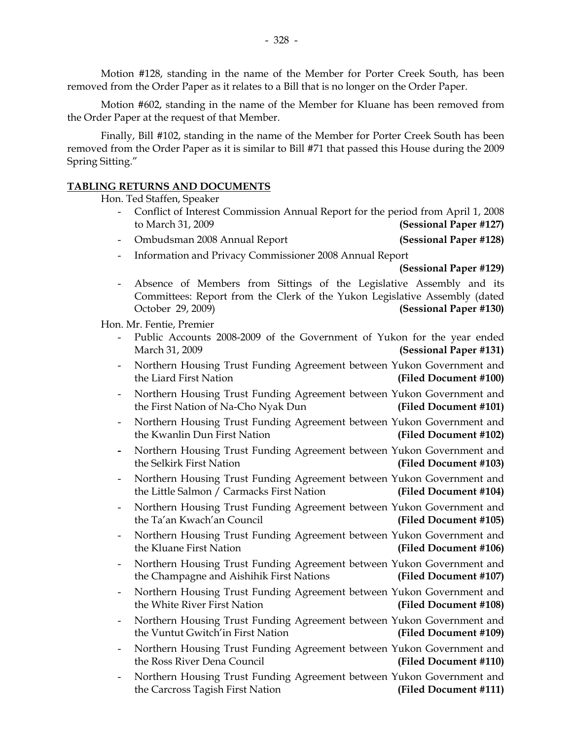Motion #128, standing in the name of the Member for Porter Creek South, has been removed from the Order Paper as it relates to a Bill that is no longer on the Order Paper.

Motion #602, standing in the name of the Member for Kluane has been removed from the Order Paper at the request of that Member.

Finally, Bill #102, standing in the name of the Member for Porter Creek South has been removed from the Order Paper as it is similar to Bill #71 that passed this House during the 2009 Spring Sitting."

#### **TABLING RETURNS AND DOCUMENTS**

Hon. Ted Staffen, Speaker

- Conflict of Interest Commission Annual Report for the period from April 1, 2008 to March 31, 2009 **(Sessional Paper #127)**
- Ombudsman 2008 Annual Report **(Sessional Paper #128)**
- Information and Privacy Commissioner 2008 Annual Report

**(Sessional Paper #129)**

 - Absence of Members from Sittings of the Legislative Assembly and its Committees: Report from the Clerk of the Yukon Legislative Assembly (dated October 29, 2009) **(Sessional Paper #130)** 

Hon. Mr. Fentie, Premier

- Public Accounts 2008-2009 of the Government of Yukon for the year ended March 31, 2009 **(Sessional Paper #131)**
- Northern Housing Trust Funding Agreement between Yukon Government and the Liard First Nation **(Filed Document #100)**
- Northern Housing Trust Funding Agreement between Yukon Government and the First Nation of Na-Cho Nyak Dun **(Filed Document #101)**
- Northern Housing Trust Funding Agreement between Yukon Government and the Kwanlin Dun First Nation **(Filed Document #102)**
- Northern Housing Trust Funding Agreement between Yukon Government and the Selkirk First Nation **(Filed Document #103)**
- Northern Housing Trust Funding Agreement between Yukon Government and the Little Salmon / Carmacks First Nation **(Filed Document #104)**
- Northern Housing Trust Funding Agreement between Yukon Government and the Ta'an Kwach'an Council **(Filed Document #105)**
- Northern Housing Trust Funding Agreement between Yukon Government and the Kluane First Nation **(Filed Document #106)**
- Northern Housing Trust Funding Agreement between Yukon Government and the Champagne and Aishihik First Nations **(Filed Document #107)**
- Northern Housing Trust Funding Agreement between Yukon Government and the White River First Nation **(Filed Document #108)**
- Northern Housing Trust Funding Agreement between Yukon Government and the Vuntut Gwitch'in First Nation **(Filed Document #109)**
- Northern Housing Trust Funding Agreement between Yukon Government and the Ross River Dena Council **(Filed Document #110)**
- Northern Housing Trust Funding Agreement between Yukon Government and the Carcross Tagish First Nation **(Filed Document #111)**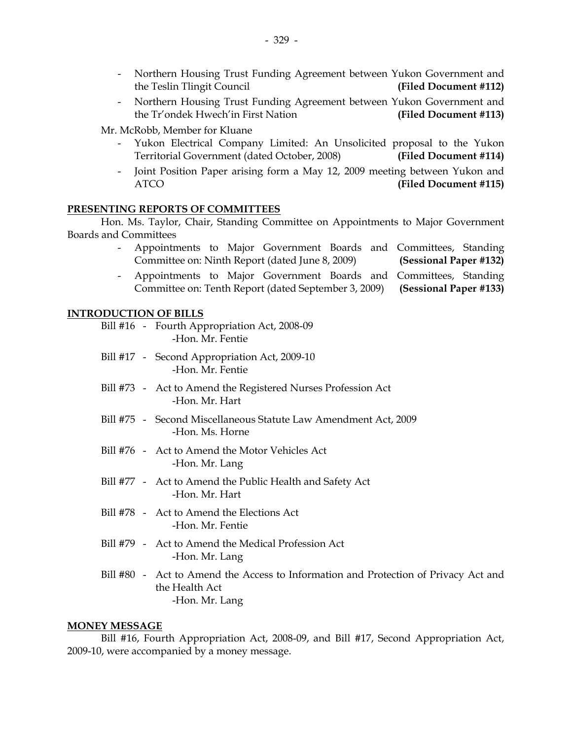- Northern Housing Trust Funding Agreement between Yukon Government and the Teslin Tlingit Council **(Filed Document #112)**
- Northern Housing Trust Funding Agreement between Yukon Government and the Tr'ondek Hwech'in First Nation **(Filed Document #113)**

Mr. McRobb, Member for Kluane

- Yukon Electrical Company Limited: An Unsolicited proposal to the Yukon Territorial Government (dated October, 2008) **(Filed Document #114)**
- Joint Position Paper arising form a May 12, 2009 meeting between Yukon and ATCO **(Filed Document #115)**

#### **PRESENTING REPORTS OF COMMITTEES**

 Hon. Ms. Taylor, Chair, Standing Committee on Appointments to Major Government Boards and Committees

- Appointments to Major Government Boards and Committees, Standing Committee on: Ninth Report (dated June 8, 2009) **(Sessional Paper #132)**
- Appointments to Major Government Boards and Committees, Standing Committee on: Tenth Report (dated September 3, 2009) **(Sessional Paper #133)**

#### **INTRODUCTION OF BILLS**

|  | Bill #16 - Fourth Appropriation Act, 2008-09<br>-Hon. Mr. Fentie                                                        |
|--|-------------------------------------------------------------------------------------------------------------------------|
|  | Bill #17 - Second Appropriation Act, 2009-10<br>-Hon. Mr. Fentie                                                        |
|  | Bill #73 - Act to Amend the Registered Nurses Profession Act<br>-Hon. Mr. Hart                                          |
|  | Bill #75 - Second Miscellaneous Statute Law Amendment Act, 2009<br>-Hon. Ms. Horne                                      |
|  | Bill #76 - Act to Amend the Motor Vehicles Act<br>-Hon. Mr. Lang                                                        |
|  | Bill #77 - Act to Amend the Public Health and Safety Act<br>-Hon. Mr. Hart                                              |
|  | Bill #78 - Act to Amend the Elections Act<br>-Hon. Mr. Fentie                                                           |
|  | Bill #79 - Act to Amend the Medical Profession Act<br>-Hon. Mr. Lang                                                    |
|  | Bill #80 - Act to Amend the Access to Information and Protection of Privacy Act and<br>the Health Act<br>-Hon. Mr. Lang |

#### **MONEY MESSAGE**

 Bill #16, Fourth Appropriation Act, 2008-09, and Bill #17, Second Appropriation Act, 2009-10, were accompanied by a money message.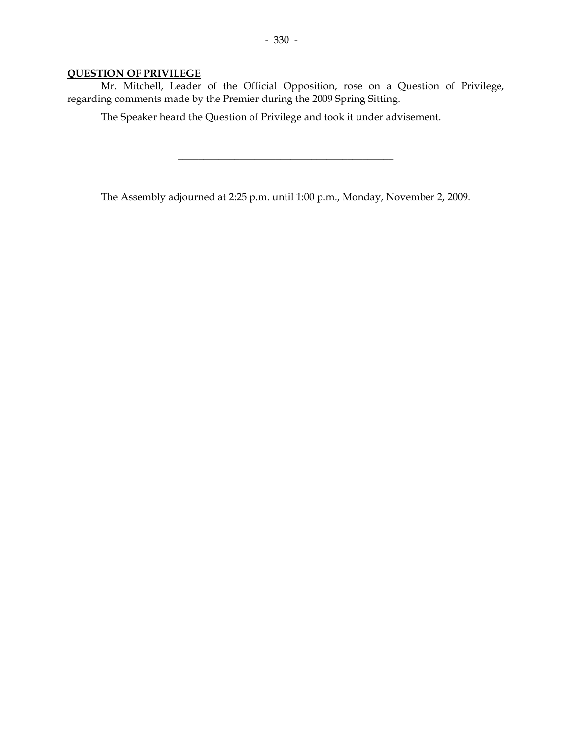### **QUESTION OF PRIVILEGE**

 Mr. Mitchell, Leader of the Official Opposition, rose on a Question of Privilege, regarding comments made by the Premier during the 2009 Spring Sitting.

The Speaker heard the Question of Privilege and took it under advisement.

The Assembly adjourned at 2:25 p.m. until 1:00 p.m., Monday, November 2, 2009.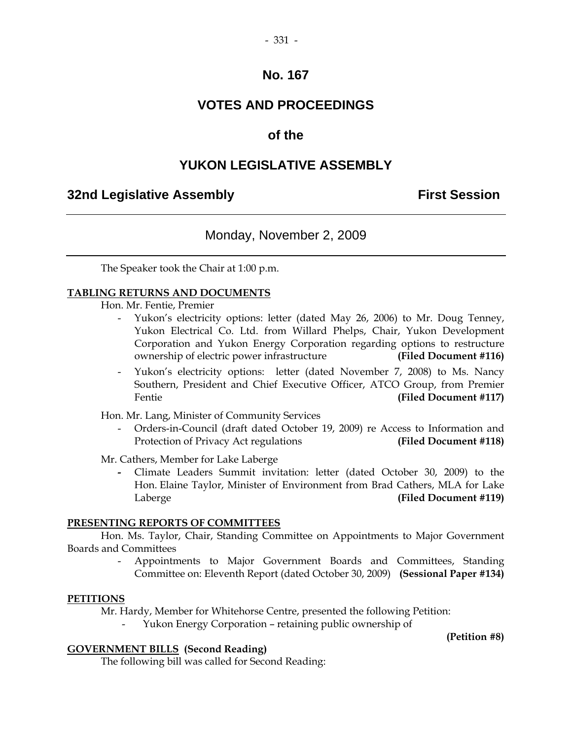#### - 331 -

### **No. 167**

### **VOTES AND PROCEEDINGS**

### **of the**

### **YUKON LEGISLATIVE ASSEMBLY**

### **32nd Legislative Assembly First Session**

### Monday, November 2, 2009

The Speaker took the Chair at 1:00 p.m.

#### **TABLING RETURNS AND DOCUMENTS**

- Hon. Mr. Fentie, Premier
	- Yukon's electricity options: letter (dated May 26, 2006) to Mr. Doug Tenney, Yukon Electrical Co. Ltd. from Willard Phelps, Chair, Yukon Development Corporation and Yukon Energy Corporation regarding options to restructure ownership of electric power infrastructure **(Filed Document #116)**
	- Yukon's electricity options: letter (dated November 7, 2008) to Ms. Nancy Southern, President and Chief Executive Officer, ATCO Group, from Premier Fentie **(Filed Document #117)**

Hon. Mr. Lang, Minister of Community Services

 - Orders-in-Council (draft dated October 19, 2009) re Access to Information and Protection of Privacy Act regulations **(Filed Document #118)** 

Mr. Cathers, Member for Lake Laberge

Climate Leaders Summit invitation: letter (dated October 30, 2009) to the Hon. Elaine Taylor, Minister of Environment from Brad Cathers, MLA for Lake Laberge **(Filed Document #119)** 

#### **PRESENTING REPORTS OF COMMITTEES**

 Hon. Ms. Taylor, Chair, Standing Committee on Appointments to Major Government Boards and Committees

> - Appointments to Major Government Boards and Committees, Standing Committee on: Eleventh Report (dated October 30, 2009) **(Sessional Paper #134)**

#### **PETITIONS**

Mr. Hardy, Member for Whitehorse Centre, presented the following Petition:

- Yukon Energy Corporation – retaining public ownership of

**(Petition #8)** 

#### **GOVERNMENT BILLS (Second Reading)**

The following bill was called for Second Reading: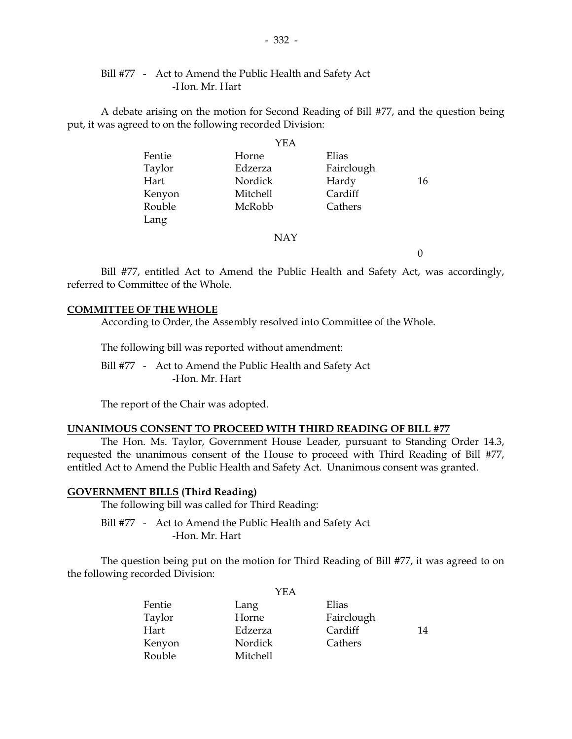### Bill #77 - Act to Amend the Public Health and Safety Act -Hon. Mr. Hart

 A debate arising on the motion for Second Reading of Bill #77, and the question being put, it was agreed to on the following recorded Division:

|        | YEA      |            |    |
|--------|----------|------------|----|
| Fentie | Horne    | Elias      |    |
| Taylor | Edzerza  | Fairclough |    |
| Hart   | Nordick  | Hardy      | 16 |
| Kenyon | Mitchell | Cardiff    |    |
| Rouble | McRobb   | Cathers    |    |
| Lang   |          |            |    |
|        | NAY      |            |    |

 $\Omega$ 

 Bill #77, entitled Act to Amend the Public Health and Safety Act, was accordingly, referred to Committee of the Whole.

#### **COMMITTEE OF THE WHOLE**

According to Order, the Assembly resolved into Committee of the Whole.

The following bill was reported without amendment:

 Bill #77 - Act to Amend the Public Health and Safety Act -Hon. Mr. Hart

The report of the Chair was adopted.

### **UNANIMOUS CONSENT TO PROCEED WITH THIRD READING OF BILL #77**

 The Hon. Ms. Taylor, Government House Leader, pursuant to Standing Order 14.3, requested the unanimous consent of the House to proceed with Third Reading of Bill #77, entitled Act to Amend the Public Health and Safety Act. Unanimous consent was granted.

### **GOVERNMENT BILLS (Third Reading)**

The following bill was called for Third Reading:

 Bill #77 - Act to Amend the Public Health and Safety Act -Hon. Mr. Hart

 The question being put on the motion for Third Reading of Bill #77, it was agreed to on the following recorded Division:

 $Y<sub>TE</sub>$ 

|        | I EA     |            |    |
|--------|----------|------------|----|
| Fentie | Lang     | Elias      |    |
| Taylor | Horne    | Fairclough |    |
| Hart   | Edzerza  | Cardiff    | 14 |
| Kenyon | Nordick  | Cathers    |    |
| Rouble | Mitchell |            |    |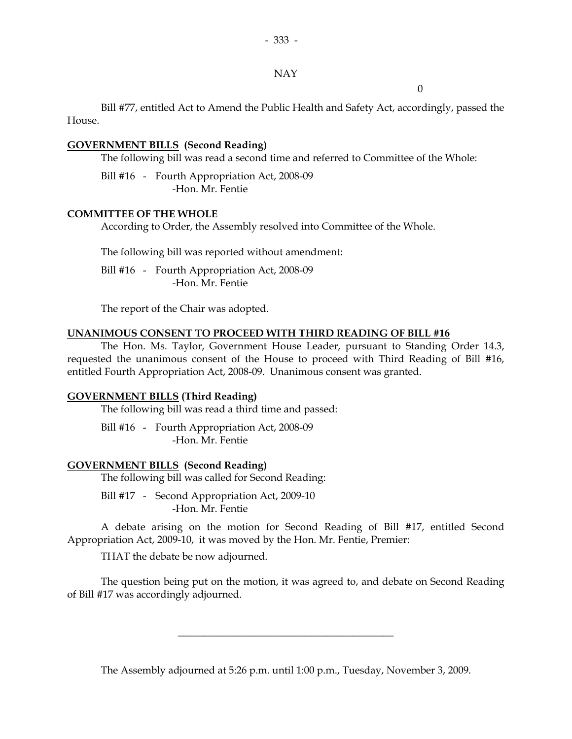#### NAY

 $\overline{0}$ 

 Bill #77, entitled Act to Amend the Public Health and Safety Act, accordingly, passed the House.

### **GOVERNMENT BILLS (Second Reading)**

The following bill was read a second time and referred to Committee of the Whole:

 Bill #16 - Fourth Appropriation Act, 2008-09 -Hon. Mr. Fentie

### **COMMITTEE OF THE WHOLE**

According to Order, the Assembly resolved into Committee of the Whole.

The following bill was reported without amendment:

 Bill #16 - Fourth Appropriation Act, 2008-09 -Hon. Mr. Fentie

The report of the Chair was adopted.

### **UNANIMOUS CONSENT TO PROCEED WITH THIRD READING OF BILL #16**

 The Hon. Ms. Taylor, Government House Leader, pursuant to Standing Order 14.3, requested the unanimous consent of the House to proceed with Third Reading of Bill #16, entitled Fourth Appropriation Act, 2008-09. Unanimous consent was granted.

### **GOVERNMENT BILLS (Third Reading)**

The following bill was read a third time and passed:

 Bill #16 - Fourth Appropriation Act, 2008-09 -Hon. Mr. Fentie

### **GOVERNMENT BILLS (Second Reading)**

The following bill was called for Second Reading:

 Bill #17 - Second Appropriation Act, 2009-10 -Hon. Mr. Fentie

 A debate arising on the motion for Second Reading of Bill #17, entitled Second Appropriation Act, 2009-10, it was moved by the Hon. Mr. Fentie, Premier:

THAT the debate be now adjourned.

 The question being put on the motion, it was agreed to, and debate on Second Reading of Bill #17 was accordingly adjourned.

The Assembly adjourned at 5:26 p.m. until 1:00 p.m., Tuesday, November 3, 2009.

 $\overline{\phantom{a}}$  , and the set of the set of the set of the set of the set of the set of the set of the set of the set of the set of the set of the set of the set of the set of the set of the set of the set of the set of the s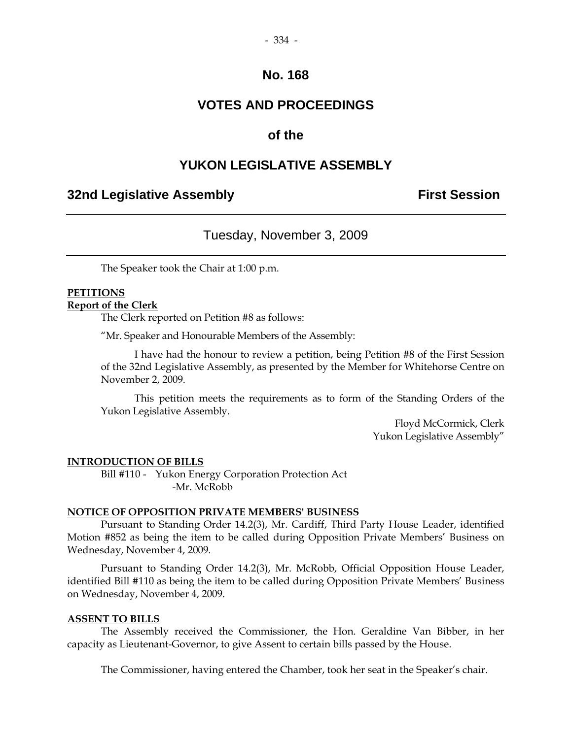### **VOTES AND PROCEEDINGS**

### **of the**

### **YUKON LEGISLATIVE ASSEMBLY**

### **32nd Legislative Assembly First Session**

### Tuesday, November 3, 2009

The Speaker took the Chair at 1:00 p.m.

## **PETITIONS**

#### **Report of the Clerk**

The Clerk reported on Petition #8 as follows:

"Mr. Speaker and Honourable Members of the Assembly:

 I have had the honour to review a petition, being Petition #8 of the First Session of the 32nd Legislative Assembly, as presented by the Member for Whitehorse Centre on November 2, 2009.

 This petition meets the requirements as to form of the Standing Orders of the Yukon Legislative Assembly.

> Floyd McCormick, Clerk Yukon Legislative Assembly"

#### **INTRODUCTION OF BILLS**

 Bill #110 - Yukon Energy Corporation Protection Act -Mr. McRobb

#### **NOTICE OF OPPOSITION PRIVATE MEMBERS' BUSINESS**

 Pursuant to Standing Order 14.2(3), Mr. Cardiff, Third Party House Leader, identified Motion #852 as being the item to be called during Opposition Private Members' Business on Wednesday, November 4, 2009.

 Pursuant to Standing Order 14.2(3), Mr. McRobb, Official Opposition House Leader, identified Bill #110 as being the item to be called during Opposition Private Members' Business on Wednesday, November 4, 2009.

#### **ASSENT TO BILLS**

 The Assembly received the Commissioner, the Hon. Geraldine Van Bibber, in her capacity as Lieutenant-Governor, to give Assent to certain bills passed by the House.

The Commissioner, having entered the Chamber, took her seat in the Speaker's chair.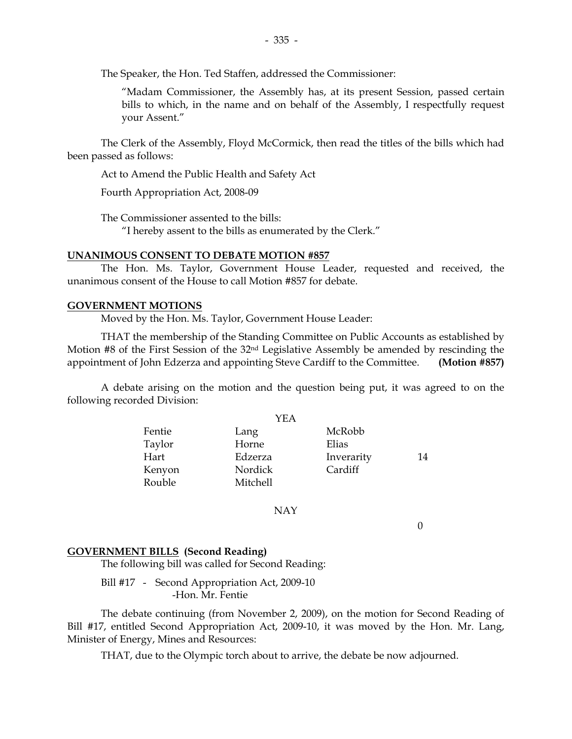The Speaker, the Hon. Ted Staffen, addressed the Commissioner:

"Madam Commissioner, the Assembly has, at its present Session, passed certain bills to which, in the name and on behalf of the Assembly, I respectfully request your Assent."

 The Clerk of the Assembly, Floyd McCormick, then read the titles of the bills which had been passed as follows:

Act to Amend the Public Health and Safety Act

Fourth Appropriation Act, 2008-09

The Commissioner assented to the bills:

"I hereby assent to the bills as enumerated by the Clerk."

#### **UNANIMOUS CONSENT TO DEBATE MOTION #857**

 The Hon. Ms. Taylor, Government House Leader, requested and received, the unanimous consent of the House to call Motion #857 for debate.

#### **GOVERNMENT MOTIONS**

Moved by the Hon. Ms. Taylor, Government House Leader:

 THAT the membership of the Standing Committee on Public Accounts as established by Motion #8 of the First Session of the 32nd Legislative Assembly be amended by rescinding the appointment of John Edzerza and appointing Steve Cardiff to the Committee. **(Motion #857)**

 A debate arising on the motion and the question being put, it was agreed to on the following recorded Division:

|        | YEA      |            |    |
|--------|----------|------------|----|
| Fentie | Lang     | McRobb     |    |
| Taylor | Horne    | Elias      |    |
| Hart   | Edzerza  | Inverarity | 14 |
| Kenyon | Nordick  | Cardiff    |    |
| Rouble | Mitchell |            |    |
|        |          |            |    |

#### NAY

0

#### **GOVERNMENT BILLS (Second Reading)**

The following bill was called for Second Reading:

Bill #17 - Second Appropriation Act, 2009-10 -Hon. Mr. Fentie

 The debate continuing (from November 2, 2009), on the motion for Second Reading of Bill #17, entitled Second Appropriation Act, 2009-10, it was moved by the Hon. Mr. Lang, Minister of Energy, Mines and Resources:

THAT, due to the Olympic torch about to arrive, the debate be now adjourned.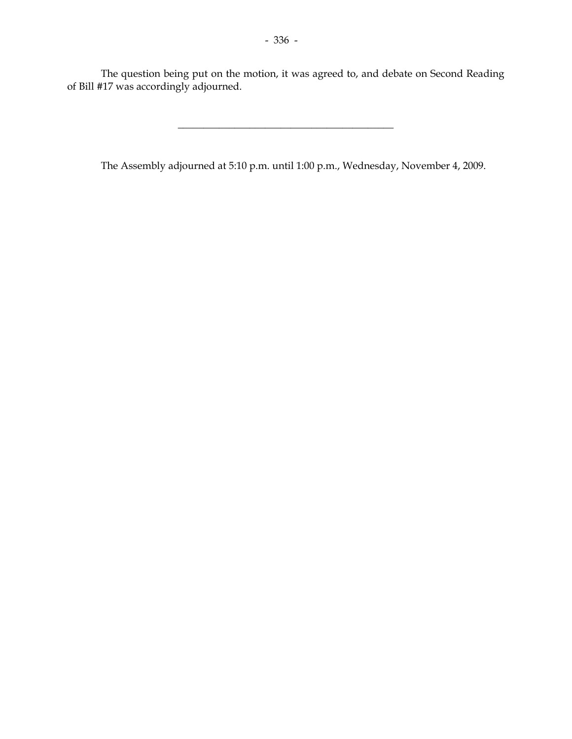The question being put on the motion, it was agreed to, and debate on Second Reading of Bill #17 was accordingly adjourned.

The Assembly adjourned at 5:10 p.m. until 1:00 p.m., Wednesday, November 4, 2009.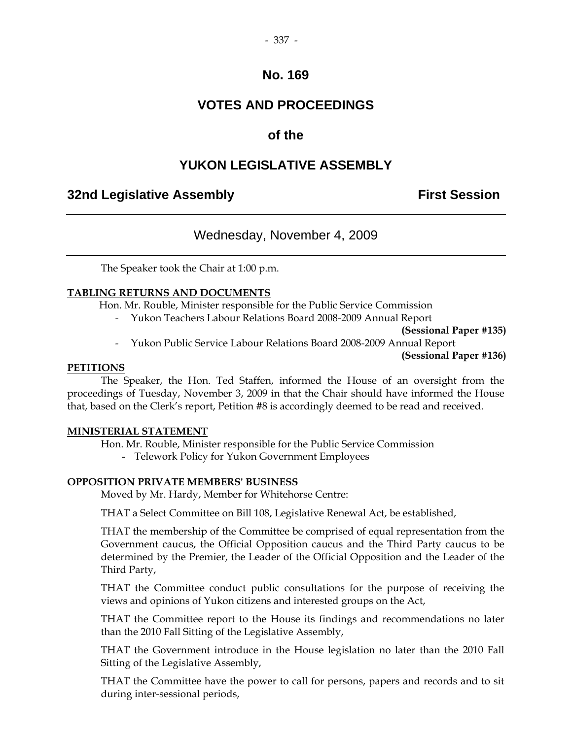## **VOTES AND PROCEEDINGS**

### **of the**

## **YUKON LEGISLATIVE ASSEMBLY**

### **32nd Legislative Assembly First Session**

### Wednesday, November 4, 2009

The Speaker took the Chair at 1:00 p.m.

### **TABLING RETURNS AND DOCUMENTS**

Hon. Mr. Rouble, Minister responsible for the Public Service Commission

- Yukon Teachers Labour Relations Board 2008-2009 Annual Report

**(Sessional Paper #135)** 

- Yukon Public Service Labour Relations Board 2008-2009 Annual Report

**(Sessional Paper #136)** 

#### **PETITIONS**

 The Speaker, the Hon. Ted Staffen, informed the House of an oversight from the proceedings of Tuesday, November 3, 2009 in that the Chair should have informed the House that, based on the Clerk's report, Petition #8 is accordingly deemed to be read and received.

#### **MINISTERIAL STATEMENT**

Hon. Mr. Rouble, Minister responsible for the Public Service Commission

- Telework Policy for Yukon Government Employees

### **OPPOSITION PRIVATE MEMBERS' BUSINESS**

Moved by Mr. Hardy, Member for Whitehorse Centre:

THAT a Select Committee on Bill 108, Legislative Renewal Act, be established,

 THAT the membership of the Committee be comprised of equal representation from the Government caucus, the Official Opposition caucus and the Third Party caucus to be determined by the Premier, the Leader of the Official Opposition and the Leader of the Third Party,

 THAT the Committee conduct public consultations for the purpose of receiving the views and opinions of Yukon citizens and interested groups on the Act,

 THAT the Committee report to the House its findings and recommendations no later than the 2010 Fall Sitting of the Legislative Assembly,

 THAT the Government introduce in the House legislation no later than the 2010 Fall Sitting of the Legislative Assembly,

 THAT the Committee have the power to call for persons, papers and records and to sit during inter-sessional periods,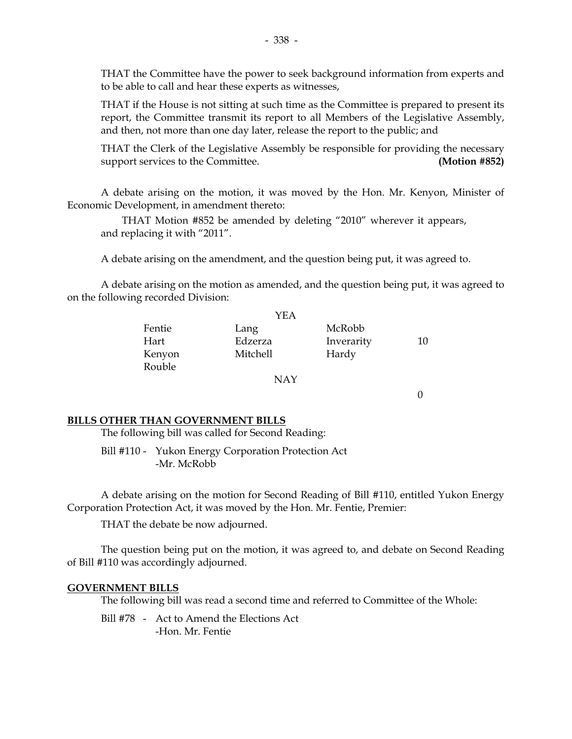THAT the Committee have the power to seek background information from experts and to be able to call and hear these experts as witnesses,

 THAT if the House is not sitting at such time as the Committee is prepared to present its report, the Committee transmit its report to all Members of the Legislative Assembly, and then, not more than one day later, release the report to the public; and

 THAT the Clerk of the Legislative Assembly be responsible for providing the necessary support services to the Committee. **(Motion #852)** 

 A debate arising on the motion, it was moved by the Hon. Mr. Kenyon, Minister of Economic Development, in amendment thereto:

 THAT Motion #852 be amended by deleting "2010" wherever it appears, and replacing it with "2011".

A debate arising on the amendment, and the question being put, it was agreed to.

 A debate arising on the motion as amended, and the question being put, it was agreed to on the following recorded Division:

|        | YEA      |            |    |
|--------|----------|------------|----|
| Fentie | Lang     | McRobb     |    |
| Hart   | Edzerza  | Inverarity | 10 |
| Kenyon | Mitchell | Hardy      |    |
| Rouble |          |            |    |
|        | NAY      |            |    |

 $\Omega$ 

#### **BILLS OTHER THAN GOVERNMENT BILLS**

The following bill was called for Second Reading:

 Bill #110 - Yukon Energy Corporation Protection Act -Mr. McRobb

 A debate arising on the motion for Second Reading of Bill #110, entitled Yukon Energy Corporation Protection Act, it was moved by the Hon. Mr. Fentie, Premier:

THAT the debate be now adjourned.

 The question being put on the motion, it was agreed to, and debate on Second Reading of Bill #110 was accordingly adjourned.

#### **GOVERNMENT BILLS**

The following bill was read a second time and referred to Committee of the Whole:

 Bill #78 - Act to Amend the Elections Act -Hon. Mr. Fentie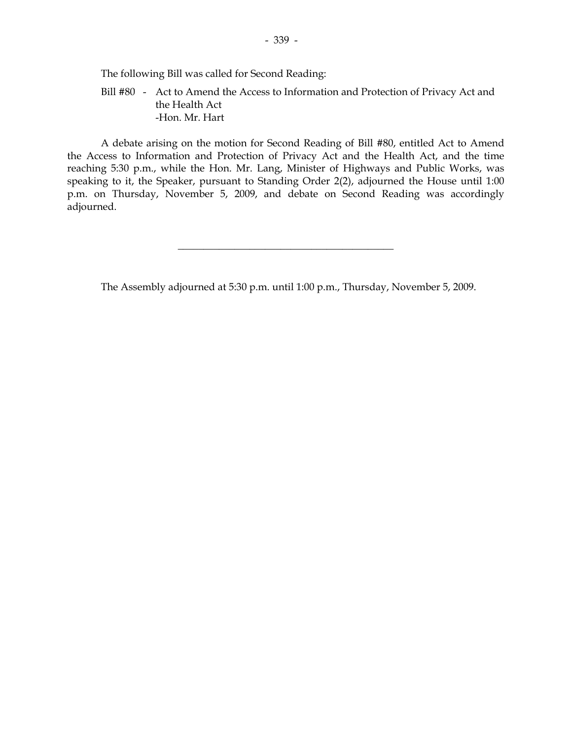The following Bill was called for Second Reading:

 Bill #80 - Act to Amend the Access to Information and Protection of Privacy Act and the Health Act -Hon. Mr. Hart

 A debate arising on the motion for Second Reading of Bill #80, entitled Act to Amend the Access to Information and Protection of Privacy Act and the Health Act, and the time reaching 5:30 p.m., while the Hon. Mr. Lang, Minister of Highways and Public Works, was speaking to it, the Speaker, pursuant to Standing Order 2(2), adjourned the House until 1:00 p.m. on Thursday, November 5, 2009, and debate on Second Reading was accordingly adjourned.

The Assembly adjourned at 5:30 p.m. until 1:00 p.m., Thursday, November 5, 2009.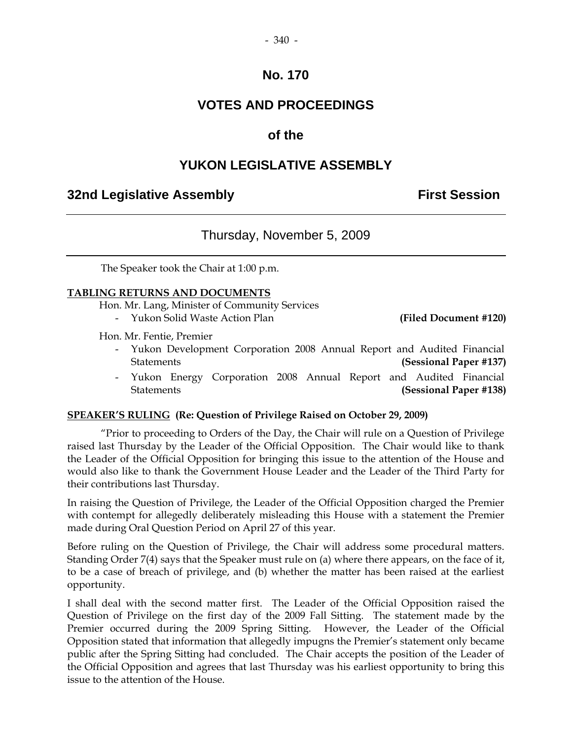#### - 340 -

### **No. 170**

### **VOTES AND PROCEEDINGS**

### **of the**

### **YUKON LEGISLATIVE ASSEMBLY**

### **32nd Legislative Assembly First Session**

### Thursday, November 5, 2009

The Speaker took the Chair at 1:00 p.m.

#### **TABLING RETURNS AND DOCUMENTS**

Hon. Mr. Lang, Minister of Community Services

- Yukon Solid Waste Action Plan **(Filed Document #120)** 

Hon. Mr. Fentie, Premier

- Yukon Development Corporation 2008 Annual Report and Audited Financial Statements **(Sessional Paper #137)**
- Yukon Energy Corporation 2008 Annual Report and Audited Financial Statements **(Sessional Paper #138)**

#### **SPEAKER'S RULING (Re: Question of Privilege Raised on October 29, 2009)**

"Prior to proceeding to Orders of the Day, the Chair will rule on a Question of Privilege raised last Thursday by the Leader of the Official Opposition. The Chair would like to thank the Leader of the Official Opposition for bringing this issue to the attention of the House and would also like to thank the Government House Leader and the Leader of the Third Party for their contributions last Thursday.

In raising the Question of Privilege, the Leader of the Official Opposition charged the Premier with contempt for allegedly deliberately misleading this House with a statement the Premier made during Oral Question Period on April 27 of this year.

Before ruling on the Question of Privilege, the Chair will address some procedural matters. Standing Order 7(4) says that the Speaker must rule on (a) where there appears, on the face of it, to be a case of breach of privilege, and (b) whether the matter has been raised at the earliest opportunity.

I shall deal with the second matter first. The Leader of the Official Opposition raised the Question of Privilege on the first day of the 2009 Fall Sitting. The statement made by the Premier occurred during the 2009 Spring Sitting. However, the Leader of the Official Opposition stated that information that allegedly impugns the Premier's statement only became public after the Spring Sitting had concluded. The Chair accepts the position of the Leader of the Official Opposition and agrees that last Thursday was his earliest opportunity to bring this issue to the attention of the House.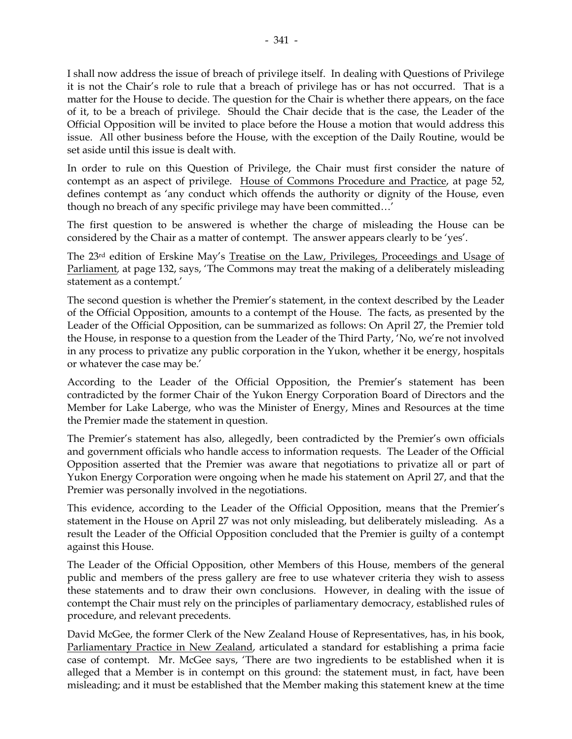I shall now address the issue of breach of privilege itself. In dealing with Questions of Privilege it is not the Chair's role to rule that a breach of privilege has or has not occurred. That is a matter for the House to decide. The question for the Chair is whether there appears, on the face of it, to be a breach of privilege. Should the Chair decide that is the case, the Leader of the Official Opposition will be invited to place before the House a motion that would address this issue. All other business before the House, with the exception of the Daily Routine, would be set aside until this issue is dealt with.

In order to rule on this Question of Privilege, the Chair must first consider the nature of contempt as an aspect of privilege. House of Commons Procedure and Practice, at page 52, defines contempt as 'any conduct which offends the authority or dignity of the House, even though no breach of any specific privilege may have been committed…'

The first question to be answered is whether the charge of misleading the House can be considered by the Chair as a matter of contempt. The answer appears clearly to be 'yes'.

The 23rd edition of Erskine May's Treatise on the Law, Privileges, Proceedings and Usage of Parliament*,* at page 132, says, 'The Commons may treat the making of a deliberately misleading statement as a contempt.'

The second question is whether the Premier's statement, in the context described by the Leader of the Official Opposition, amounts to a contempt of the House. The facts, as presented by the Leader of the Official Opposition, can be summarized as follows: On April 27, the Premier told the House, in response to a question from the Leader of the Third Party, 'No, we're not involved in any process to privatize any public corporation in the Yukon, whether it be energy, hospitals or whatever the case may be.'

According to the Leader of the Official Opposition, the Premier's statement has been contradicted by the former Chair of the Yukon Energy Corporation Board of Directors and the Member for Lake Laberge, who was the Minister of Energy, Mines and Resources at the time the Premier made the statement in question.

The Premier's statement has also, allegedly, been contradicted by the Premier's own officials and government officials who handle access to information requests. The Leader of the Official Opposition asserted that the Premier was aware that negotiations to privatize all or part of Yukon Energy Corporation were ongoing when he made his statement on April 27, and that the Premier was personally involved in the negotiations.

This evidence, according to the Leader of the Official Opposition, means that the Premier's statement in the House on April 27 was not only misleading, but deliberately misleading. As a result the Leader of the Official Opposition concluded that the Premier is guilty of a contempt against this House.

The Leader of the Official Opposition, other Members of this House, members of the general public and members of the press gallery are free to use whatever criteria they wish to assess these statements and to draw their own conclusions. However, in dealing with the issue of contempt the Chair must rely on the principles of parliamentary democracy, established rules of procedure, and relevant precedents.

David McGee, the former Clerk of the New Zealand House of Representatives, has, in his book, Parliamentary Practice in New Zealand, articulated a standard for establishing a prima facie case of contempt. Mr. McGee says, 'There are two ingredients to be established when it is alleged that a Member is in contempt on this ground: the statement must, in fact, have been misleading; and it must be established that the Member making this statement knew at the time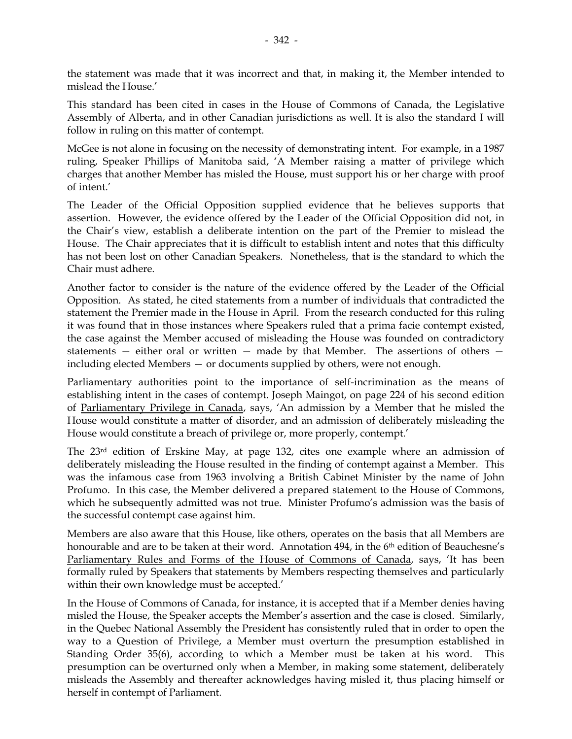the statement was made that it was incorrect and that, in making it, the Member intended to mislead the House.'

This standard has been cited in cases in the House of Commons of Canada, the Legislative Assembly of Alberta, and in other Canadian jurisdictions as well. It is also the standard I will follow in ruling on this matter of contempt.

McGee is not alone in focusing on the necessity of demonstrating intent. For example, in a 1987 ruling, Speaker Phillips of Manitoba said, 'A Member raising a matter of privilege which charges that another Member has misled the House, must support his or her charge with proof of intent.'

The Leader of the Official Opposition supplied evidence that he believes supports that assertion. However, the evidence offered by the Leader of the Official Opposition did not, in the Chair's view, establish a deliberate intention on the part of the Premier to mislead the House. The Chair appreciates that it is difficult to establish intent and notes that this difficulty has not been lost on other Canadian Speakers. Nonetheless, that is the standard to which the Chair must adhere.

Another factor to consider is the nature of the evidence offered by the Leader of the Official Opposition. As stated, he cited statements from a number of individuals that contradicted the statement the Premier made in the House in April. From the research conducted for this ruling it was found that in those instances where Speakers ruled that a prima facie contempt existed, the case against the Member accused of misleading the House was founded on contradictory statements — either oral or written — made by that Member. The assertions of others including elected Members — or documents supplied by others, were not enough.

Parliamentary authorities point to the importance of self-incrimination as the means of establishing intent in the cases of contempt. Joseph Maingot, on page 224 of his second edition of Parliamentary Privilege in Canada, says, 'An admission by a Member that he misled the House would constitute a matter of disorder, and an admission of deliberately misleading the House would constitute a breach of privilege or, more properly, contempt.'

The 23rd edition of Erskine May, at page 132, cites one example where an admission of deliberately misleading the House resulted in the finding of contempt against a Member. This was the infamous case from 1963 involving a British Cabinet Minister by the name of John Profumo. In this case, the Member delivered a prepared statement to the House of Commons, which he subsequently admitted was not true. Minister Profumo's admission was the basis of the successful contempt case against him.

Members are also aware that this House, like others, operates on the basis that all Members are honourable and are to be taken at their word. Annotation 494, in the 6<sup>th</sup> edition of Beauchesne's Parliamentary Rules and Forms of the House of Commons of Canada, says, 'It has been formally ruled by Speakers that statements by Members respecting themselves and particularly within their own knowledge must be accepted.'

In the House of Commons of Canada, for instance, it is accepted that if a Member denies having misled the House, the Speaker accepts the Member's assertion and the case is closed. Similarly, in the Quebec National Assembly the President has consistently ruled that in order to open the way to a Question of Privilege, a Member must overturn the presumption established in Standing Order 35(6), according to which a Member must be taken at his word. This presumption can be overturned only when a Member, in making some statement, deliberately misleads the Assembly and thereafter acknowledges having misled it, thus placing himself or herself in contempt of Parliament.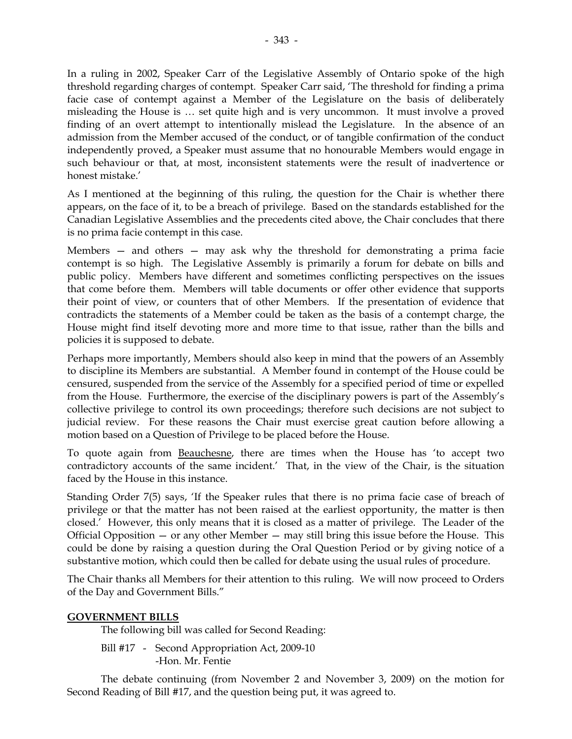In a ruling in 2002, Speaker Carr of the Legislative Assembly of Ontario spoke of the high threshold regarding charges of contempt. Speaker Carr said, 'The threshold for finding a prima facie case of contempt against a Member of the Legislature on the basis of deliberately misleading the House is … set quite high and is very uncommon. It must involve a proved finding of an overt attempt to intentionally mislead the Legislature. In the absence of an admission from the Member accused of the conduct, or of tangible confirmation of the conduct independently proved, a Speaker must assume that no honourable Members would engage in such behaviour or that, at most, inconsistent statements were the result of inadvertence or honest mistake.'

As I mentioned at the beginning of this ruling, the question for the Chair is whether there appears, on the face of it, to be a breach of privilege. Based on the standards established for the Canadian Legislative Assemblies and the precedents cited above, the Chair concludes that there is no prima facie contempt in this case.

Members — and others — may ask why the threshold for demonstrating a prima facie contempt is so high. The Legislative Assembly is primarily a forum for debate on bills and public policy. Members have different and sometimes conflicting perspectives on the issues that come before them. Members will table documents or offer other evidence that supports their point of view, or counters that of other Members. If the presentation of evidence that contradicts the statements of a Member could be taken as the basis of a contempt charge, the House might find itself devoting more and more time to that issue, rather than the bills and policies it is supposed to debate.

Perhaps more importantly, Members should also keep in mind that the powers of an Assembly to discipline its Members are substantial. A Member found in contempt of the House could be censured, suspended from the service of the Assembly for a specified period of time or expelled from the House. Furthermore, the exercise of the disciplinary powers is part of the Assembly's collective privilege to control its own proceedings; therefore such decisions are not subject to judicial review. For these reasons the Chair must exercise great caution before allowing a motion based on a Question of Privilege to be placed before the House.

To quote again from Beauchesne, there are times when the House has 'to accept two contradictory accounts of the same incident.' That, in the view of the Chair, is the situation faced by the House in this instance.

Standing Order 7(5) says, 'If the Speaker rules that there is no prima facie case of breach of privilege or that the matter has not been raised at the earliest opportunity, the matter is then closed.' However, this only means that it is closed as a matter of privilege. The Leader of the Official Opposition  $-$  or any other Member  $-$  may still bring this issue before the House. This could be done by raising a question during the Oral Question Period or by giving notice of a substantive motion, which could then be called for debate using the usual rules of procedure.

The Chair thanks all Members for their attention to this ruling. We will now proceed to Orders of the Day and Government Bills."

### **GOVERNMENT BILLS**

The following bill was called for Second Reading:

Bill #17 - Second Appropriation Act, 2009-10 -Hon. Mr. Fentie

 The debate continuing (from November 2 and November 3, 2009) on the motion for Second Reading of Bill #17, and the question being put, it was agreed to.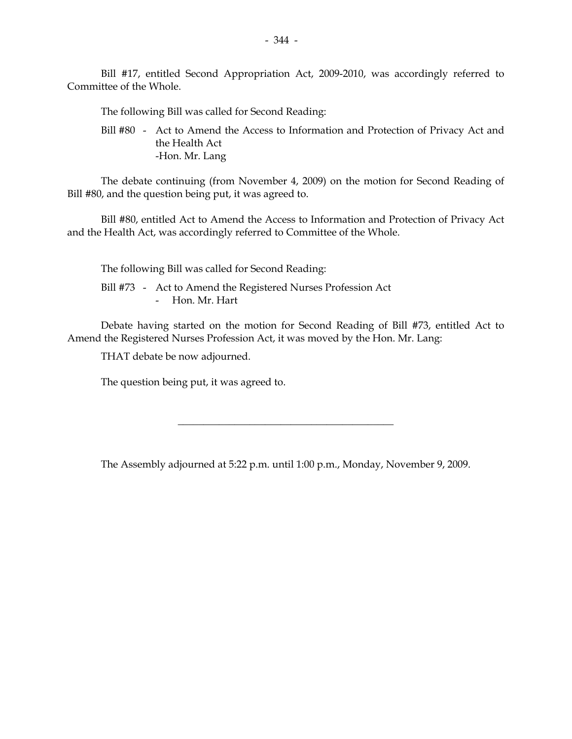Bill #17, entitled Second Appropriation Act, 2009-2010, was accordingly referred to Committee of the Whole.

The following Bill was called for Second Reading:

 Bill #80 - Act to Amend the Access to Information and Protection of Privacy Act and the Health Act -Hon. Mr. Lang

 The debate continuing (from November 4, 2009) on the motion for Second Reading of Bill #80, and the question being put, it was agreed to.

 Bill #80, entitled Act to Amend the Access to Information and Protection of Privacy Act and the Health Act, was accordingly referred to Committee of the Whole.

The following Bill was called for Second Reading:

 Bill #73 - Act to Amend the Registered Nurses Profession Act - Hon. Mr. Hart

 Debate having started on the motion for Second Reading of Bill #73, entitled Act to Amend the Registered Nurses Profession Act, it was moved by the Hon. Mr. Lang:

THAT debate be now adjourned.

The question being put, it was agreed to.

The Assembly adjourned at 5:22 p.m. until 1:00 p.m., Monday, November 9, 2009.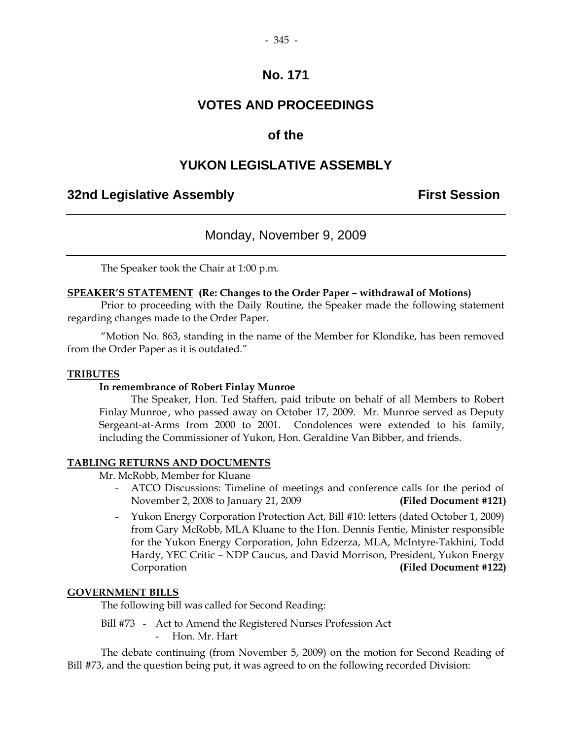### **VOTES AND PROCEEDINGS**

### **of the**

### **YUKON LEGISLATIVE ASSEMBLY**

### **32nd Legislative Assembly First Session**

### Monday, November 9, 2009

The Speaker took the Chair at 1:00 p.m.

### **SPEAKER'S STATEMENT (Re: Changes to the Order Paper – withdrawal of Motions)**

 Prior to proceeding with the Daily Routine, the Speaker made the following statement regarding changes made to the Order Paper.

 "Motion No. 863, standing in the name of the Member for Klondike, has been removed from the Order Paper as it is outdated."

#### **TRIBUTES**

#### **In remembrance of Robert Finlay Munroe**

 The Speaker, Hon. Ted Staffen, paid tribute on behalf of all Members to Robert Finlay Munroe , who passed away on October 17, 2009. Mr. Munroe served as Deputy Sergeant-at-Arms from 2000 to 2001. Condolences were extended to his family, including the Commissioner of Yukon, Hon. Geraldine Van Bibber, and friends.

#### **TABLING RETURNS AND DOCUMENTS**

Mr. McRobb, Member for Kluane

- ATCO Discussions: Timeline of meetings and conference calls for the period of November 2, 2008 to January 21, 2009 **(Filed Document #121)**
- Yukon Energy Corporation Protection Act, Bill #10: letters (dated October 1, 2009) from Gary McRobb, MLA Kluane to the Hon. Dennis Fentie, Minister responsible for the Yukon Energy Corporation, John Edzerza, MLA, McIntyre-Takhini, Todd Hardy, YEC Critic – NDP Caucus, and David Morrison, President, Yukon Energy Corporation **(Filed Document #122)**

### **GOVERNMENT BILLS**

The following bill was called for Second Reading:

 Bill #73 - Act to Amend the Registered Nurses Profession Act Hon. Mr. Hart

 The debate continuing (from November 5, 2009) on the motion for Second Reading of Bill #73, and the question being put, it was agreed to on the following recorded Division: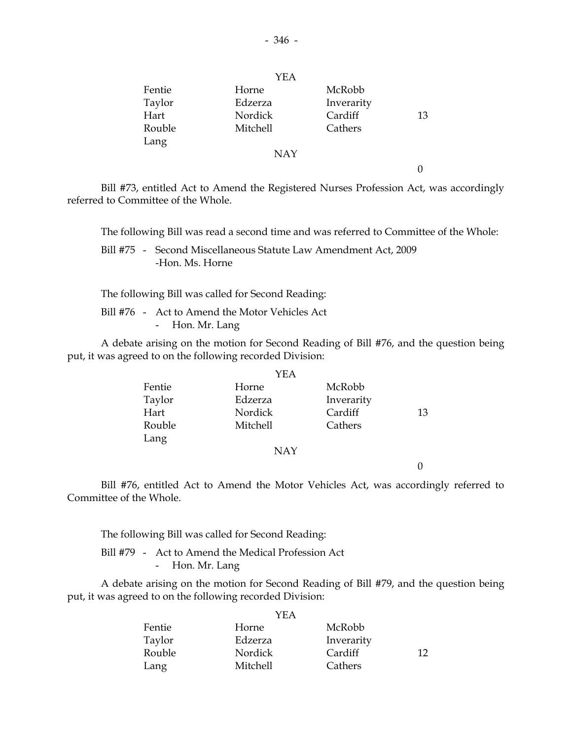|        | YEA        |            |    |
|--------|------------|------------|----|
| Fentie | Horne      | McRobb     |    |
| Taylor | Edzerza    | Inverarity |    |
| Hart   | Nordick    | Cardiff    | 13 |
| Rouble | Mitchell   | Cathers    |    |
| Lang   |            |            |    |
|        | <b>NAY</b> |            |    |

0

 Bill #73, entitled Act to Amend the Registered Nurses Profession Act, was accordingly referred to Committee of the Whole.

The following Bill was read a second time and was referred to Committee of the Whole:

 Bill #75 - Second Miscellaneous Statute Law Amendment Act, 2009 -Hon. Ms. Horne

The following Bill was called for Second Reading:

 Bill #76 - Act to Amend the Motor Vehicles Act - Hon. Mr. Lang

 A debate arising on the motion for Second Reading of Bill #76, and the question being put, it was agreed to on the following recorded Division:

|        | YEA      |            |    |
|--------|----------|------------|----|
| Fentie | Horne    | McRobb     |    |
| Taylor | Edzerza  | Inverarity |    |
| Hart   | Nordick  | Cardiff    | 13 |
| Rouble | Mitchell | Cathers    |    |
| Lang   |          |            |    |
|        | NAY      |            |    |

0

 Bill #76, entitled Act to Amend the Motor Vehicles Act, was accordingly referred to Committee of the Whole.

The following Bill was called for Second Reading:

 Bill #79 - Act to Amend the Medical Profession Act - Hon. Mr. Lang

 A debate arising on the motion for Second Reading of Bill #79, and the question being put, it was agreed to on the following recorded Division:

|        | YEA      |            |    |
|--------|----------|------------|----|
| Fentie | Horne    | McRobb     |    |
| Taylor | Edzerza  | Inverarity |    |
| Rouble | Nordick  | Cardiff    | 12 |
| Lang   | Mitchell | Cathers    |    |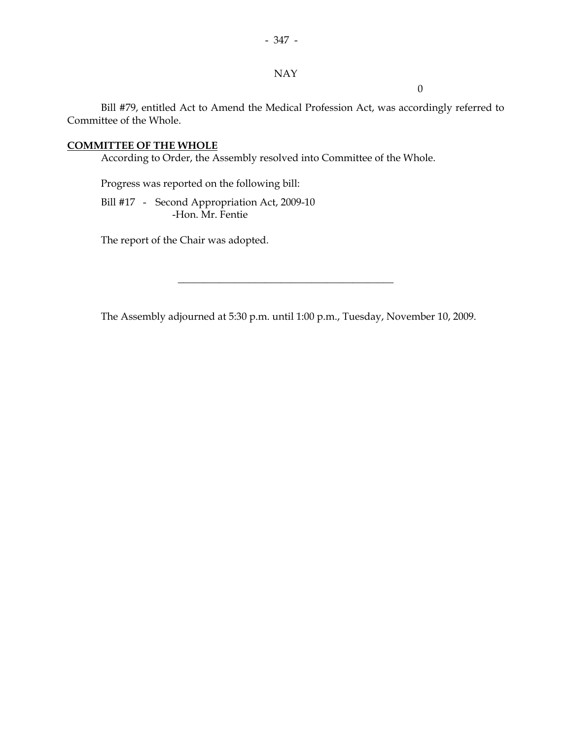### NAY

 $\overline{0}$ 

 Bill #79, entitled Act to Amend the Medical Profession Act, was accordingly referred to Committee of the Whole.

### **COMMITTEE OF THE WHOLE**

According to Order, the Assembly resolved into Committee of the Whole.

Progress was reported on the following bill:

Bill #17 - Second Appropriation Act, 2009-10 -Hon. Mr. Fentie

The report of the Chair was adopted.

The Assembly adjourned at 5:30 p.m. until 1:00 p.m., Tuesday, November 10, 2009.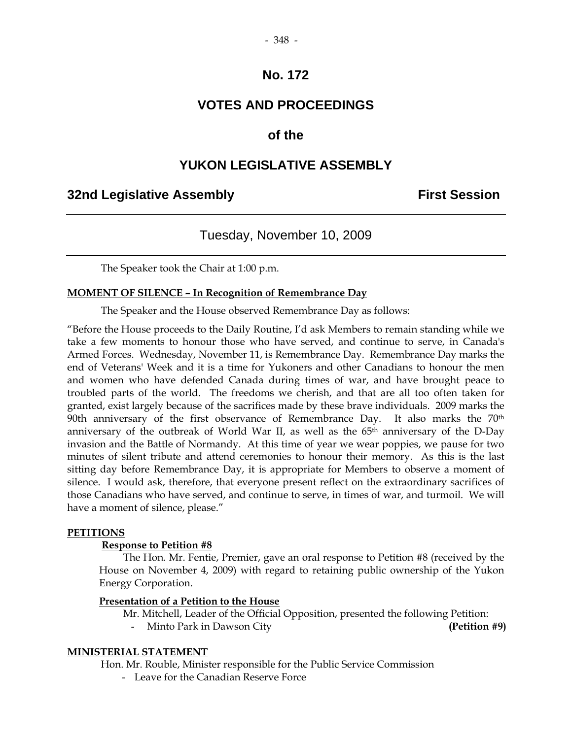### **VOTES AND PROCEEDINGS**

### **of the**

### **YUKON LEGISLATIVE ASSEMBLY**

### **32nd Legislative Assembly First Session**

## Tuesday, November 10, 2009

The Speaker took the Chair at 1:00 p.m.

#### **MOMENT OF SILENCE – In Recognition of Remembrance Day**

The Speaker and the House observed Remembrance Day as follows:

"Before the House proceeds to the Daily Routine, I'd ask Members to remain standing while we take a few moments to honour those who have served, and continue to serve, in Canada's Armed Forces. Wednesday, November 11, is Remembrance Day. Remembrance Day marks the end of Veterans' Week and it is a time for Yukoners and other Canadians to honour the men and women who have defended Canada during times of war, and have brought peace to troubled parts of the world. The freedoms we cherish, and that are all too often taken for granted, exist largely because of the sacrifices made by these brave individuals. 2009 marks the 90th anniversary of the first observance of Remembrance Day. It also marks the 70<sup>th</sup> anniversary of the outbreak of World War II, as well as the 65<sup>th</sup> anniversary of the D-Day invasion and the Battle of Normandy. At this time of year we wear poppies, we pause for two minutes of silent tribute and attend ceremonies to honour their memory. As this is the last sitting day before Remembrance Day, it is appropriate for Members to observe a moment of silence. I would ask, therefore, that everyone present reflect on the extraordinary sacrifices of those Canadians who have served, and continue to serve, in times of war, and turmoil. We will have a moment of silence, please."

#### **PETITIONS**

#### **Response to Petition #8**

 The Hon. Mr. Fentie, Premier, gave an oral response to Petition #8 (received by the House on November 4, 2009) with regard to retaining public ownership of the Yukon Energy Corporation.

#### **Presentation of a Petition to the House**

- Mr. Mitchell, Leader of the Official Opposition, presented the following Petition:
	- Minto Park in Dawson City **(Petition #9)**

#### **MINISTERIAL STATEMENT**

Hon. Mr. Rouble, Minister responsible for the Public Service Commission

- Leave for the Canadian Reserve Force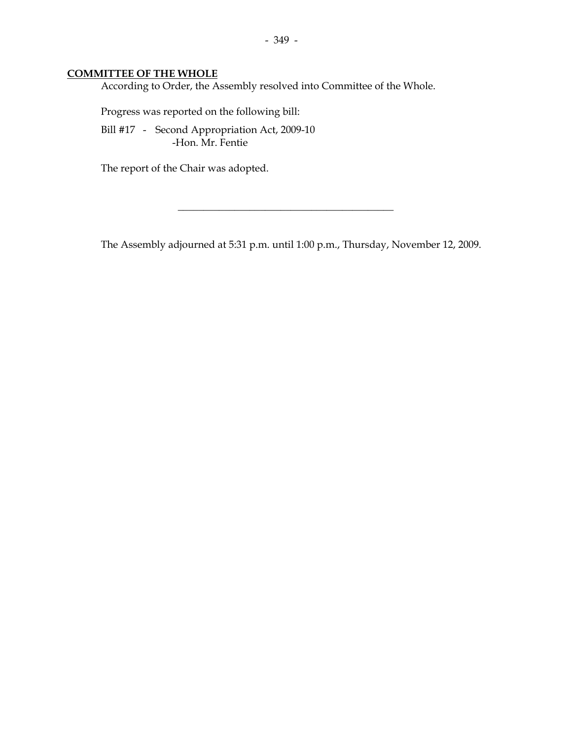### **COMMITTEE OF THE WHOLE**

According to Order, the Assembly resolved into Committee of the Whole.

Progress was reported on the following bill:

 Bill #17 - Second Appropriation Act, 2009-10 -Hon. Mr. Fentie

The report of the Chair was adopted.

The Assembly adjourned at 5:31 p.m. until 1:00 p.m., Thursday, November 12, 2009.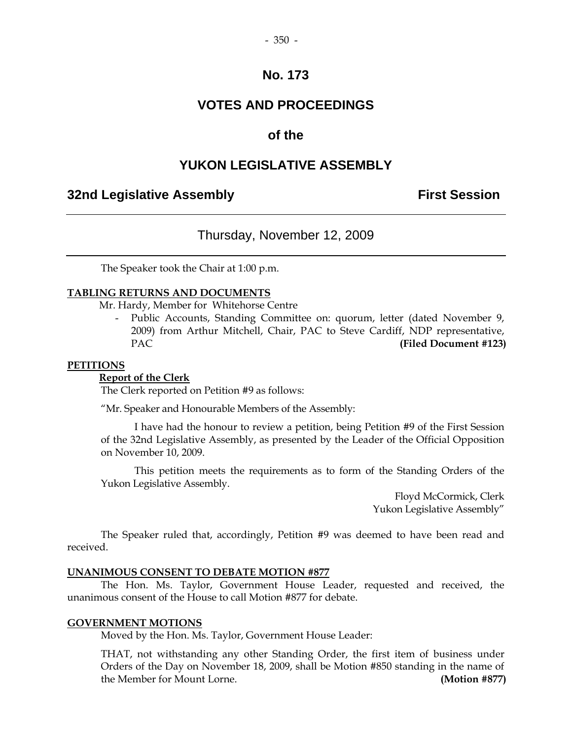### **VOTES AND PROCEEDINGS**

### **of the**

### **YUKON LEGISLATIVE ASSEMBLY**

### **32nd Legislative Assembly First Session**

### Thursday, November 12, 2009

The Speaker took the Chair at 1:00 p.m.

#### **TABLING RETURNS AND DOCUMENTS**

Mr. Hardy, Member for Whitehorse Centre

 - Public Accounts, Standing Committee on: quorum, letter (dated November 9, 2009) from Arthur Mitchell, Chair, PAC to Steve Cardiff, NDP representative, PAC **(Filed Document #123)** 

#### **PETITIONS**

#### **Report of the Clerk**

The Clerk reported on Petition #9 as follows:

"Mr. Speaker and Honourable Members of the Assembly:

 I have had the honour to review a petition, being Petition #9 of the First Session of the 32nd Legislative Assembly, as presented by the Leader of the Official Opposition on November 10, 2009.

 This petition meets the requirements as to form of the Standing Orders of the Yukon Legislative Assembly.

> Floyd McCormick, Clerk Yukon Legislative Assembly"

 The Speaker ruled that, accordingly, Petition #9 was deemed to have been read and received.

#### **UNANIMOUS CONSENT TO DEBATE MOTION #877**

 The Hon. Ms. Taylor, Government House Leader, requested and received, the unanimous consent of the House to call Motion #877 for debate.

#### **GOVERNMENT MOTIONS**

Moved by the Hon. Ms. Taylor, Government House Leader:

 THAT, not withstanding any other Standing Order, the first item of business under Orders of the Day on November 18, 2009, shall be Motion #850 standing in the name of the Member for Mount Lorne. **(Motion #877)**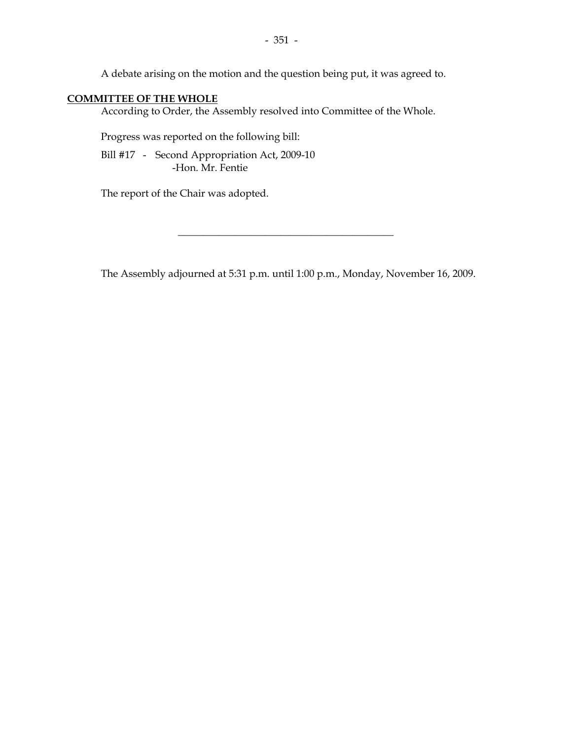A debate arising on the motion and the question being put, it was agreed to.

### **COMMITTEE OF THE WHOLE**

According to Order, the Assembly resolved into Committee of the Whole.

Progress was reported on the following bill:

Bill #17 - Second Appropriation Act, 2009-10 -Hon. Mr. Fentie

The report of the Chair was adopted.

The Assembly adjourned at 5:31 p.m. until 1:00 p.m., Monday, November 16, 2009.

 $\overline{\phantom{a}}$  , and the set of the set of the set of the set of the set of the set of the set of the set of the set of the set of the set of the set of the set of the set of the set of the set of the set of the set of the s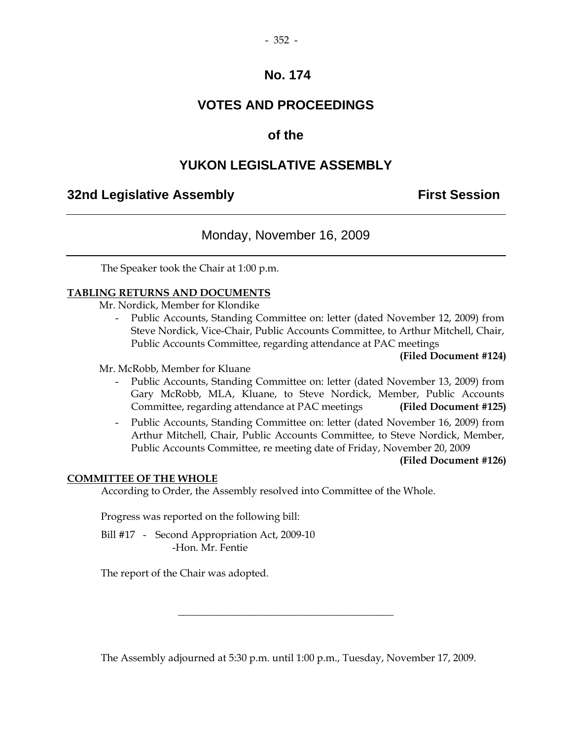### **VOTES AND PROCEEDINGS**

### **of the**

### **YUKON LEGISLATIVE ASSEMBLY**

### **32nd Legislative Assembly First Session**

### Monday, November 16, 2009

The Speaker took the Chair at 1:00 p.m.

#### **TABLING RETURNS AND DOCUMENTS**

Mr. Nordick, Member for Klondike

 - Public Accounts, Standing Committee on: letter (dated November 12, 2009) from Steve Nordick, Vice-Chair, Public Accounts Committee, to Arthur Mitchell, Chair, Public Accounts Committee, regarding attendance at PAC meetings

#### **(Filed Document #124)**

Mr. McRobb, Member for Kluane

- Public Accounts, Standing Committee on: letter (dated November 13, 2009) from Gary McRobb, MLA, Kluane, to Steve Nordick, Member, Public Accounts Committee, regarding attendance at PAC meetings **(Filed Document #125)**
- Public Accounts, Standing Committee on: letter (dated November 16, 2009) from Arthur Mitchell, Chair, Public Accounts Committee, to Steve Nordick, Member, Public Accounts Committee, re meeting date of Friday, November 20, 2009

**(Filed Document #126)**

#### **COMMITTEE OF THE WHOLE**

According to Order, the Assembly resolved into Committee of the Whole.

Progress was reported on the following bill:

Bill #17 - Second Appropriation Act, 2009-10 -Hon. Mr. Fentie

The report of the Chair was adopted.

The Assembly adjourned at 5:30 p.m. until 1:00 p.m., Tuesday, November 17, 2009.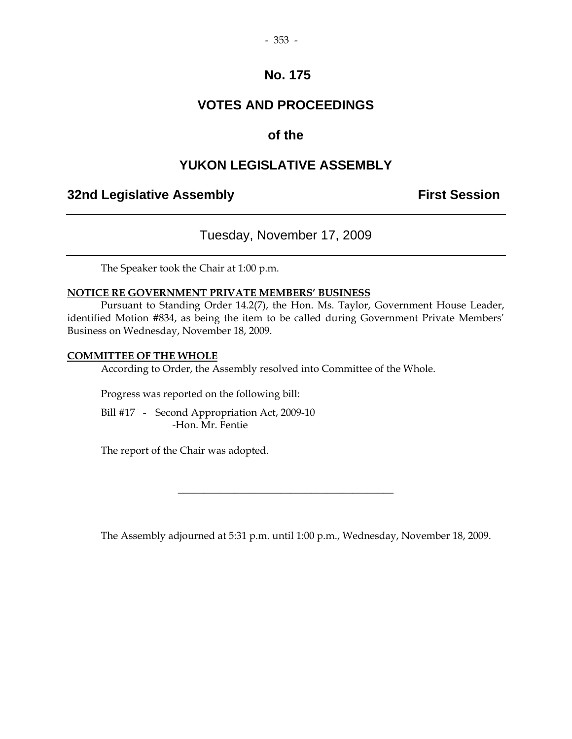### **VOTES AND PROCEEDINGS**

### **of the**

### **YUKON LEGISLATIVE ASSEMBLY**

### **32nd Legislative Assembly Constructed Session**

### Tuesday, November 17, 2009

The Speaker took the Chair at 1:00 p.m.

#### **NOTICE RE GOVERNMENT PRIVATE MEMBERS' BUSINESS**

 Pursuant to Standing Order 14.2(7), the Hon. Ms. Taylor, Government House Leader, identified Motion #834, as being the item to be called during Government Private Members' Business on Wednesday, November 18, 2009.

#### **COMMITTEE OF THE WHOLE**

According to Order, the Assembly resolved into Committee of the Whole.

Progress was reported on the following bill:

Bill #17 - Second Appropriation Act, 2009-10 -Hon. Mr. Fentie

The report of the Chair was adopted.

The Assembly adjourned at 5:31 p.m. until 1:00 p.m., Wednesday, November 18, 2009.

 $\overline{\phantom{a}}$  , and the set of the set of the set of the set of the set of the set of the set of the set of the set of the set of the set of the set of the set of the set of the set of the set of the set of the set of the s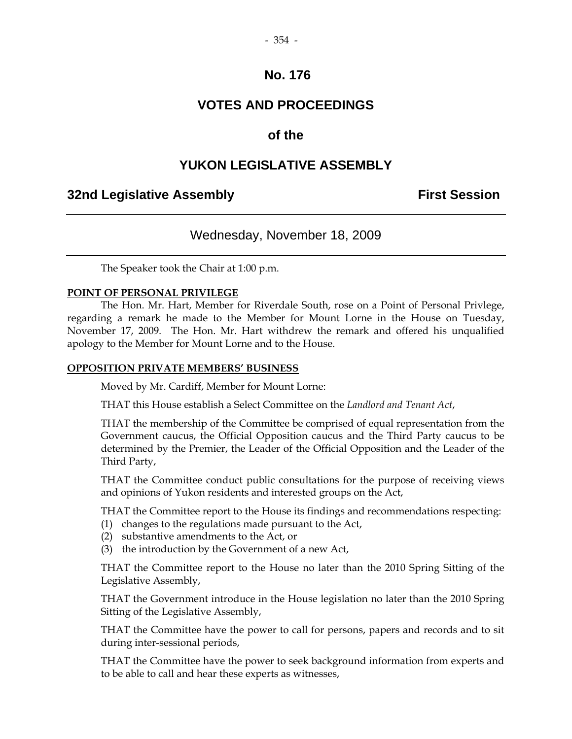### **VOTES AND PROCEEDINGS**

### **of the**

### **YUKON LEGISLATIVE ASSEMBLY**

### **32nd Legislative Assembly Constructed Session**

### Wednesday, November 18, 2009

The Speaker took the Chair at 1:00 p.m.

#### **POINT OF PERSONAL PRIVILEGE**

 The Hon. Mr. Hart, Member for Riverdale South, rose on a Point of Personal Privlege, regarding a remark he made to the Member for Mount Lorne in the House on Tuesday, November 17, 2009. The Hon. Mr. Hart withdrew the remark and offered his unqualified apology to the Member for Mount Lorne and to the House.

#### **OPPOSITION PRIVATE MEMBERS' BUSINESS**

Moved by Mr. Cardiff, Member for Mount Lorne:

THAT this House establish a Select Committee on the *Landlord and Tenant Act*,

 THAT the membership of the Committee be comprised of equal representation from the Government caucus, the Official Opposition caucus and the Third Party caucus to be determined by the Premier, the Leader of the Official Opposition and the Leader of the Third Party,

 THAT the Committee conduct public consultations for the purpose of receiving views and opinions of Yukon residents and interested groups on the Act,

THAT the Committee report to the House its findings and recommendations respecting:

- (1) changes to the regulations made pursuant to the Act,
- (2) substantive amendments to the Act, or
- (3) the introduction by the Government of a new Act,

 THAT the Committee report to the House no later than the 2010 Spring Sitting of the Legislative Assembly,

 THAT the Government introduce in the House legislation no later than the 2010 Spring Sitting of the Legislative Assembly,

 THAT the Committee have the power to call for persons, papers and records and to sit during inter-sessional periods,

 THAT the Committee have the power to seek background information from experts and to be able to call and hear these experts as witnesses,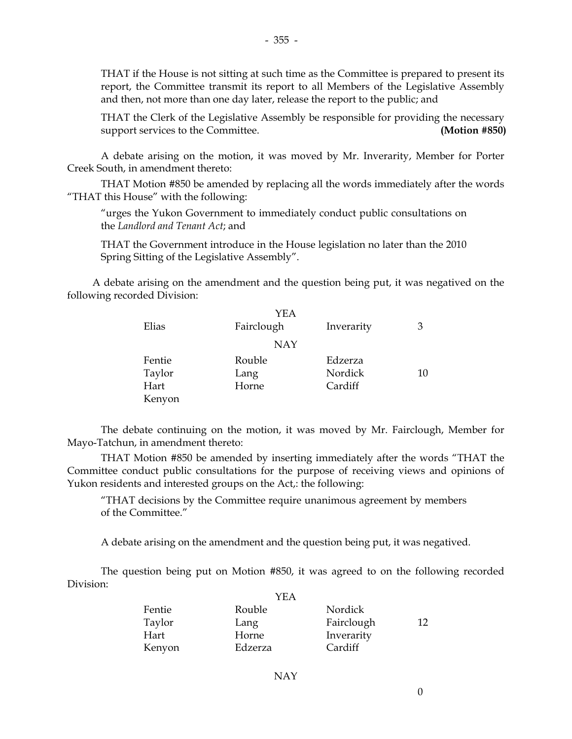THAT if the House is not sitting at such time as the Committee is prepared to present its report, the Committee transmit its report to all Members of the Legislative Assembly and then, not more than one day later, release the report to the public; and

 THAT the Clerk of the Legislative Assembly be responsible for providing the necessary support services to the Committee. **(Motion #850)** 

 A debate arising on the motion, it was moved by Mr. Inverarity, Member for Porter Creek South, in amendment thereto:

 THAT Motion #850 be amended by replacing all the words immediately after the words "THAT this House" with the following:

 "urges the Yukon Government to immediately conduct public consultations on the *Landlord and Tenant Act*; and

 THAT the Government introduce in the House legislation no later than the 2010 Spring Sitting of the Legislative Assembly".

 A debate arising on the amendment and the question being put, it was negatived on the following recorded Division:

|        | YEA        |            |    |
|--------|------------|------------|----|
| Elias  | Fairclough | Inverarity | 3  |
|        | <b>NAY</b> |            |    |
| Fentie | Rouble     | Edzerza    |    |
| Taylor | Lang       | Nordick    | 10 |
| Hart   | Horne      | Cardiff    |    |
| Kenyon |            |            |    |

 The debate continuing on the motion, it was moved by Mr. Fairclough, Member for Mayo-Tatchun, in amendment thereto:

 THAT Motion #850 be amended by inserting immediately after the words "THAT the Committee conduct public consultations for the purpose of receiving views and opinions of Yukon residents and interested groups on the Act,: the following:

 "THAT decisions by the Committee require unanimous agreement by members of the Committee."

A debate arising on the amendment and the question being put, it was negatived.

 The question being put on Motion #850, it was agreed to on the following recorded Division:  $\overline{y}$ 

| YEA     |            |     |
|---------|------------|-----|
| Rouble  | Nordick    |     |
| Lang    | Fairclough | 12. |
| Horne   | Inverarity |     |
| Edzerza | Cardiff    |     |
|         |            |     |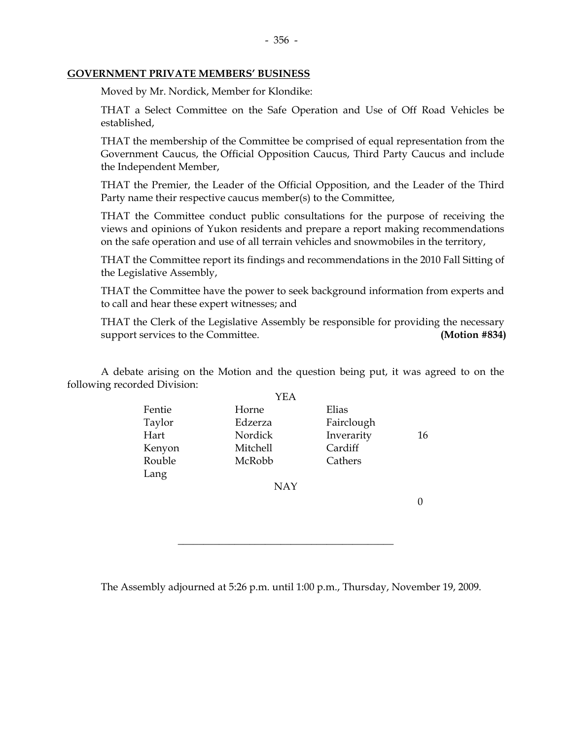#### **GOVERNMENT PRIVATE MEMBERS' BUSINESS**

Moved by Mr. Nordick, Member for Klondike:

 THAT a Select Committee on the Safe Operation and Use of Off Road Vehicles be established,

 THAT the membership of the Committee be comprised of equal representation from the Government Caucus, the Official Opposition Caucus, Third Party Caucus and include the Independent Member,

 THAT the Premier, the Leader of the Official Opposition, and the Leader of the Third Party name their respective caucus member(s) to the Committee,

 THAT the Committee conduct public consultations for the purpose of receiving the views and opinions of Yukon residents and prepare a report making recommendations on the safe operation and use of all terrain vehicles and snowmobiles in the territory,

 THAT the Committee report its findings and recommendations in the 2010 Fall Sitting of the Legislative Assembly,

 THAT the Committee have the power to seek background information from experts and to call and hear these expert witnesses; and

 THAT the Clerk of the Legislative Assembly be responsible for providing the necessary support services to the Committee. **(Motion #834)** 

 A debate arising on the Motion and the question being put, it was agreed to on the following recorded Division:

|        | YEA             |            |    |
|--------|-----------------|------------|----|
| Fentie | Horne           | Elias      |    |
| Taylor | Edzerza         | Fairclough |    |
| Hart   | Nordick         | Inverarity | 16 |
| Kenyon | <b>Mitchell</b> | Cardiff    |    |
| Rouble | McRobb          | Cathers    |    |
| Lang   |                 |            |    |
|        | <b>NAY</b>      |            |    |

0

The Assembly adjourned at 5:26 p.m. until 1:00 p.m., Thursday, November 19, 2009.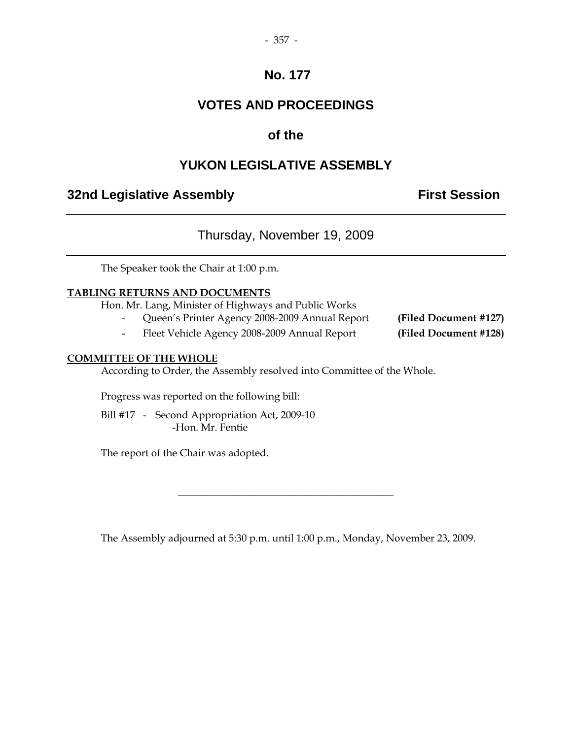### - 357 -

### **No. 177**

## **VOTES AND PROCEEDINGS**

### **of the**

### **YUKON LEGISLATIVE ASSEMBLY**

### **32nd Legislative Assembly The Contract Session**

### Thursday, November 19, 2009

The Speaker took the Chair at 1:00 p.m.

### **TABLING RETURNS AND DOCUMENTS**

Hon. Mr. Lang, Minister of Highways and Public Works

- Queen's Printer Agency 2008-2009 Annual Report **(Filed Document #127)** 
	- Fleet Vehicle Agency 2008-2009 Annual Report **(Filed Document #128)**

#### **COMMITTEE OF THE WHOLE**

According to Order, the Assembly resolved into Committee of the Whole.

Progress was reported on the following bill:

Bill #17 - Second Appropriation Act, 2009-10 -Hon. Mr. Fentie

The report of the Chair was adopted.

The Assembly adjourned at 5:30 p.m. until 1:00 p.m., Monday, November 23, 2009.

 $\overline{\phantom{a}}$  , and the set of the set of the set of the set of the set of the set of the set of the set of the set of the set of the set of the set of the set of the set of the set of the set of the set of the set of the s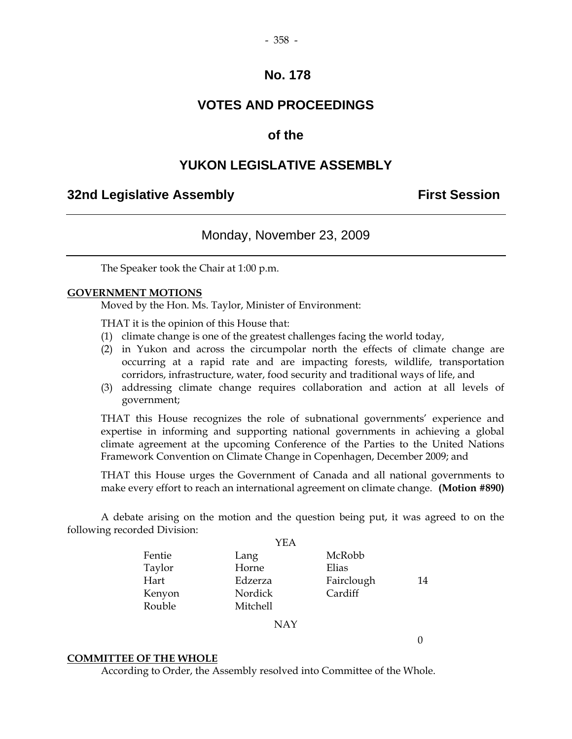### **VOTES AND PROCEEDINGS**

### **of the**

### **YUKON LEGISLATIVE ASSEMBLY**

### **32nd Legislative Assembly First Session**

### Monday, November 23, 2009

The Speaker took the Chair at 1:00 p.m.

#### **GOVERNMENT MOTIONS**

Moved by the Hon. Ms. Taylor, Minister of Environment:

THAT it is the opinion of this House that:

- (1) climate change is one of the greatest challenges facing the world today,
- (2) in Yukon and across the circumpolar north the effects of climate change are occurring at a rapid rate and are impacting forests, wildlife, transportation corridors, infrastructure, water, food security and traditional ways of life, and
- (3) addressing climate change requires collaboration and action at all levels of government;

 THAT this House recognizes the role of subnational governments' experience and expertise in informing and supporting national governments in achieving a global climate agreement at the upcoming Conference of the Parties to the United Nations Framework Convention on Climate Change in Copenhagen, December 2009; and

 THAT this House urges the Government of Canada and all national governments to make every effort to reach an international agreement on climate change. **(Motion #890)** 

 A debate arising on the motion and the question being put, it was agreed to on the following recorded Division:

|        | <b>YEA</b> |            |    |
|--------|------------|------------|----|
| Fentie | Lang       | McRobb     |    |
| Taylor | Horne      | Elias      |    |
| Hart   | Edzerza    | Fairclough | 14 |
| Kenyon | Nordick    | Cardiff    |    |
| Rouble | Mitchell   |            |    |
|        |            |            |    |

NAY

**COMMITTEE OF THE WHOLE**

According to Order, the Assembly resolved into Committee of the Whole.

0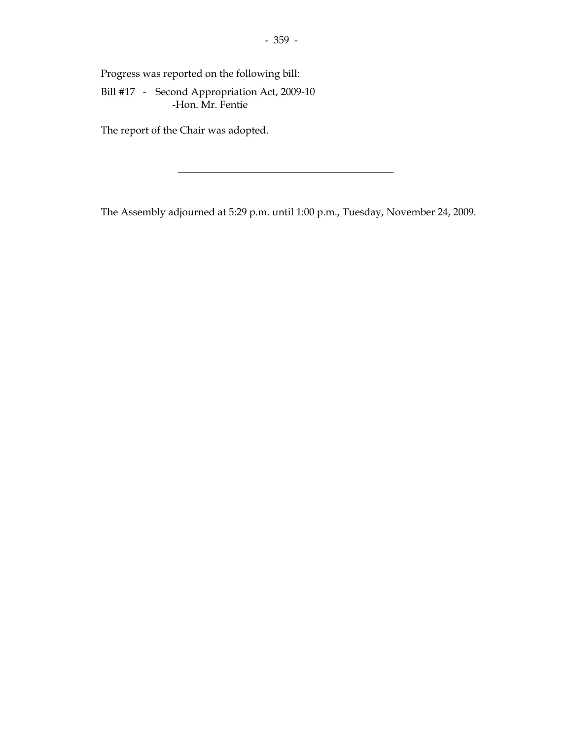Progress was reported on the following bill:

 Bill #17 - Second Appropriation Act, 2009-10 -Hon. Mr. Fentie

The report of the Chair was adopted.

The Assembly adjourned at 5:29 p.m. until 1:00 p.m., Tuesday, November 24, 2009.

 $\overline{\phantom{a}}$  , and the set of the set of the set of the set of the set of the set of the set of the set of the set of the set of the set of the set of the set of the set of the set of the set of the set of the set of the s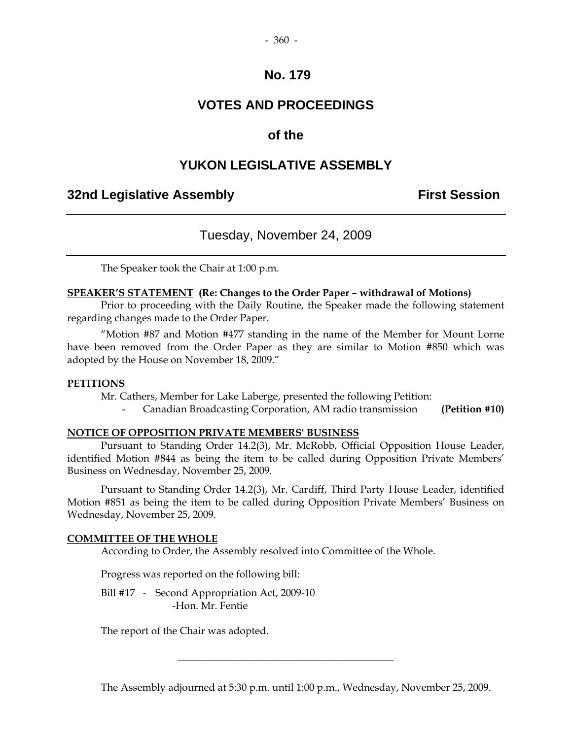#### - 360 -

### **No. 179**

### **VOTES AND PROCEEDINGS**

### **of the**

### **YUKON LEGISLATIVE ASSEMBLY**

### **32nd Legislative Assembly First Session**

### Tuesday, November 24, 2009

The Speaker took the Chair at 1:00 p.m.

#### **SPEAKER'S STATEMENT (Re: Changes to the Order Paper – withdrawal of Motions)**

 Prior to proceeding with the Daily Routine, the Speaker made the following statement regarding changes made to the Order Paper.

 "Motion #87 and Motion #477 standing in the name of the Member for Mount Lorne have been removed from the Order Paper as they are similar to Motion #850 which was adopted by the House on November 18, 2009."

#### **PETITIONS**

Mr. Cathers, Member for Lake Laberge, presented the following Petition:

- Canadian Broadcasting Corporation, AM radio transmission **(Petition #10)** 

#### **NOTICE OF OPPOSITION PRIVATE MEMBERS' BUSINESS**

 Pursuant to Standing Order 14.2(3), Mr. McRobb, Official Opposition House Leader, identified Motion #844 as being the item to be called during Opposition Private Members' Business on Wednesday, November 25, 2009.

 Pursuant to Standing Order 14.2(3), Mr. Cardiff, Third Party House Leader, identified Motion #851 as being the item to be called during Opposition Private Members' Business on Wednesday, November 25, 2009.

#### **COMMITTEE OF THE WHOLE**

According to Order, the Assembly resolved into Committee of the Whole.

Progress was reported on the following bill:

Bill #17 - Second Appropriation Act, 2009-10 -Hon. Mr. Fentie

The report of the Chair was adopted.

The Assembly adjourned at 5:30 p.m. until 1:00 p.m., Wednesday, November 25, 2009.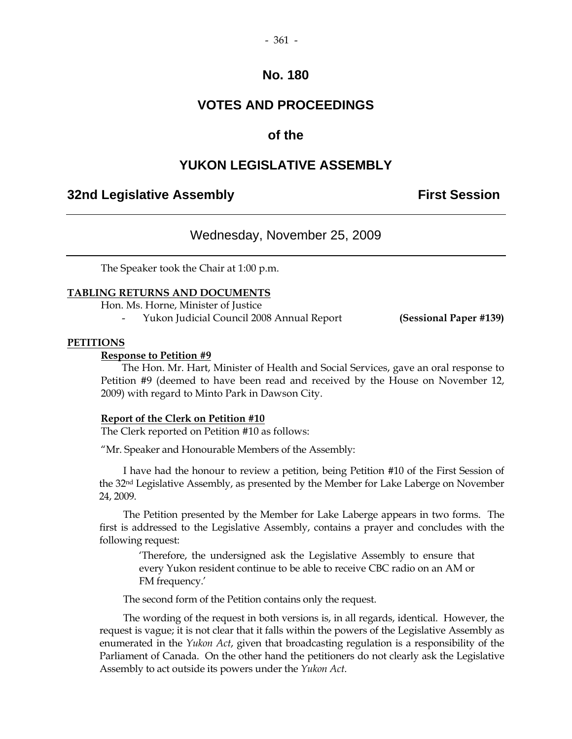#### - 361 -

### **No. 180**

### **VOTES AND PROCEEDINGS**

### **of the**

### **YUKON LEGISLATIVE ASSEMBLY**

### **32nd Legislative Assembly Constructed Session**

### Wednesday, November 25, 2009

The Speaker took the Chair at 1:00 p.m.

#### **TABLING RETURNS AND DOCUMENTS**

Hon. Ms. Horne, Minister of Justice

- Yukon Judicial Council 2008 Annual Report **(Sessional Paper #139)** 

#### **PETITIONS**

#### **Response to Petition #9**

 The Hon. Mr. Hart, Minister of Health and Social Services, gave an oral response to Petition #9 (deemed to have been read and received by the House on November 12, 2009) with regard to Minto Park in Dawson City.

#### **Report of the Clerk on Petition #10**

The Clerk reported on Petition #10 as follows:

"Mr. Speaker and Honourable Members of the Assembly:

 I have had the honour to review a petition, being Petition #10 of the First Session of the 32nd Legislative Assembly, as presented by the Member for Lake Laberge on November 24, 2009.

 The Petition presented by the Member for Lake Laberge appears in two forms. The first is addressed to the Legislative Assembly, contains a prayer and concludes with the following request:

 'Therefore, the undersigned ask the Legislative Assembly to ensure that every Yukon resident continue to be able to receive CBC radio on an AM or FM frequency.'

The second form of the Petition contains only the request.

 The wording of the request in both versions is, in all regards, identical. However, the request is vague; it is not clear that it falls within the powers of the Legislative Assembly as enumerated in the *Yukon Act*, given that broadcasting regulation is a responsibility of the Parliament of Canada. On the other hand the petitioners do not clearly ask the Legislative Assembly to act outside its powers under the *Yukon Act*.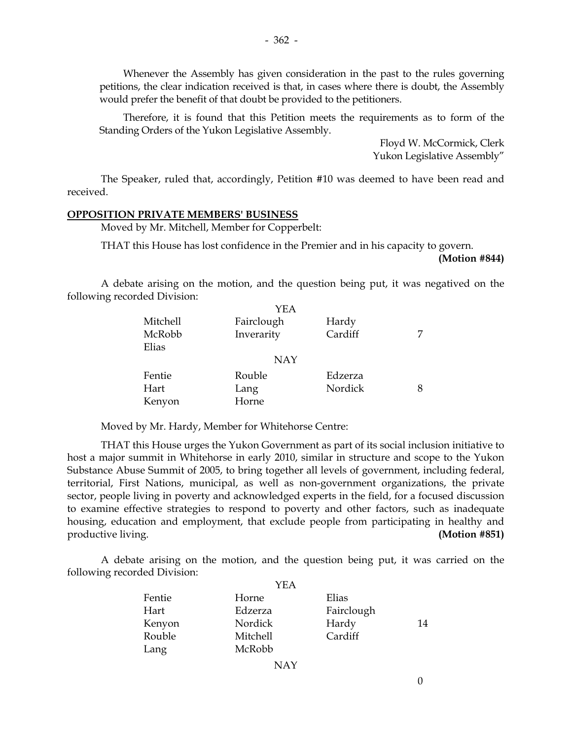Whenever the Assembly has given consideration in the past to the rules governing petitions, the clear indication received is that, in cases where there is doubt, the Assembly would prefer the benefit of that doubt be provided to the petitioners.

 Therefore, it is found that this Petition meets the requirements as to form of the Standing Orders of the Yukon Legislative Assembly.

> Floyd W. McCormick, Clerk Yukon Legislative Assembly"

 The Speaker, ruled that, accordingly, Petition #10 was deemed to have been read and received.

#### **OPPOSITION PRIVATE MEMBERS' BUSINESS**

Moved by Mr. Mitchell, Member for Copperbelt:

THAT this House has lost confidence in the Premier and in his capacity to govern.

**(Motion #844)**

 A debate arising on the motion, and the question being put, it was negatived on the following recorded Division:

|          | YEA        |         |  |
|----------|------------|---------|--|
| Mitchell | Fairclough | Hardy   |  |
| McRobb   | Inverarity | Cardiff |  |
| Elias    |            |         |  |
|          | <b>NAY</b> |         |  |
| Fentie   | Rouble     | Edzerza |  |
| Hart     | Lang       | Nordick |  |
| Kenyon   | Horne      |         |  |

Moved by Mr. Hardy, Member for Whitehorse Centre:

 THAT this House urges the Yukon Government as part of its social inclusion initiative to host a major summit in Whitehorse in early 2010, similar in structure and scope to the Yukon Substance Abuse Summit of 2005, to bring together all levels of government, including federal, territorial, First Nations, municipal, as well as non-government organizations, the private sector, people living in poverty and acknowledged experts in the field, for a focused discussion to examine effective strategies to respond to poverty and other factors, such as inadequate housing, education and employment, that exclude people from participating in healthy and productive living. **(Motion #851)**

 A debate arising on the motion, and the question being put, it was carried on the following recorded Division:  $Y_{\rm ET}$ 

| Horne    | Elias   |                     |
|----------|---------|---------------------|
| Edzerza  |         |                     |
| Nordick  |         | 14                  |
| Mitchell | Cardiff |                     |
| McRobb   |         |                     |
|          | YEA     | Fairclough<br>Hardy |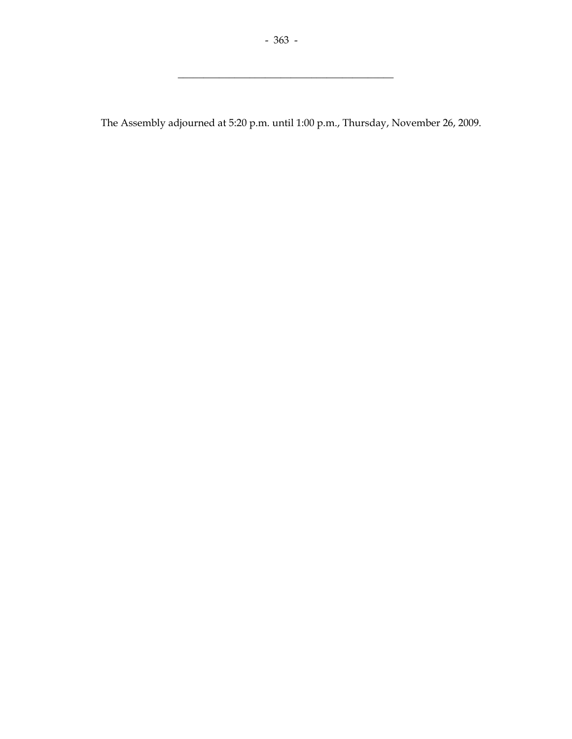$\overline{\phantom{a}}$  , and the set of the set of the set of the set of the set of the set of the set of the set of the set of the set of the set of the set of the set of the set of the set of the set of the set of the set of the s

The Assembly adjourned at 5:20 p.m. until 1:00 p.m., Thursday, November 26, 2009.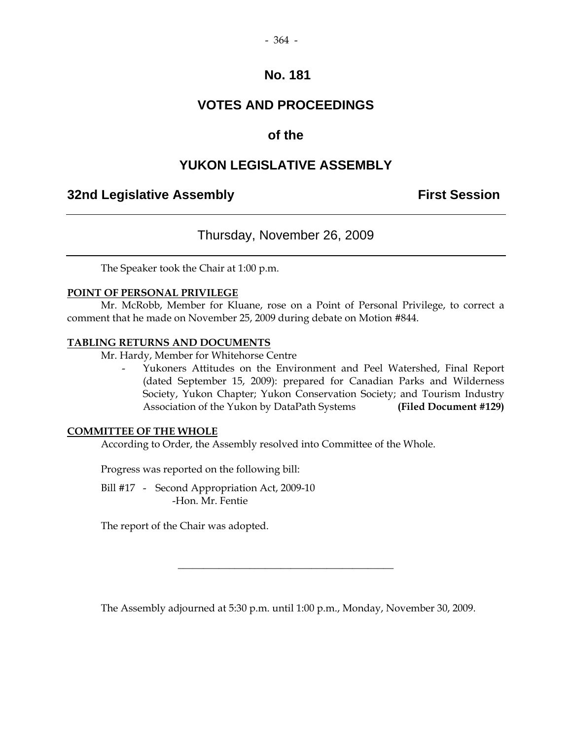#### - 364 -

## **No. 181**

# **VOTES AND PROCEEDINGS**

# **of the**

# **YUKON LEGISLATIVE ASSEMBLY**

# **32nd Legislative Assembly First Session**

# Thursday, November 26, 2009

The Speaker took the Chair at 1:00 p.m.

### **POINT OF PERSONAL PRIVILEGE**

Mr. McRobb, Member for Kluane, rose on a Point of Personal Privilege, to correct a comment that he made on November 25, 2009 during debate on Motion #844.

#### **TABLING RETURNS AND DOCUMENTS**

Mr. Hardy, Member for Whitehorse Centre

Yukoners Attitudes on the Environment and Peel Watershed, Final Report (dated September 15, 2009): prepared for Canadian Parks and Wilderness Society, Yukon Chapter; Yukon Conservation Society; and Tourism Industry Association of the Yukon by DataPath Systems **(Filed Document #129)** 

### **COMMITTEE OF THE WHOLE**

According to Order, the Assembly resolved into Committee of the Whole.

Progress was reported on the following bill:

 Bill #17 - Second Appropriation Act, 2009-10 -Hon. Mr. Fentie

The report of the Chair was adopted.

The Assembly adjourned at 5:30 p.m. until 1:00 p.m., Monday, November 30, 2009.

\_\_\_\_\_\_\_\_\_\_\_\_\_\_\_\_\_\_\_\_\_\_\_\_\_\_\_\_\_\_\_\_\_\_\_\_\_\_\_\_\_\_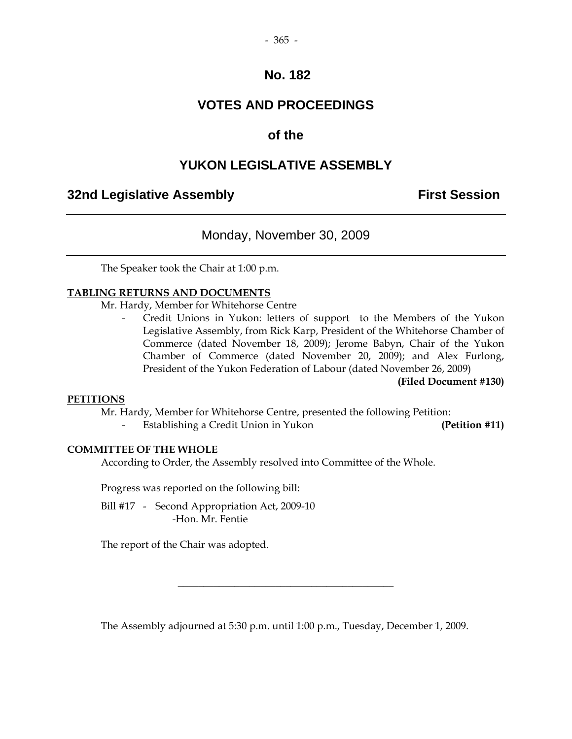#### - 365 -

## **No. 182**

# **VOTES AND PROCEEDINGS**

# **of the**

# **YUKON LEGISLATIVE ASSEMBLY**

# **32nd Legislative Assembly First Session**

## Monday, November 30, 2009

The Speaker took the Chair at 1:00 p.m.

### **TABLING RETURNS AND DOCUMENTS**

Mr. Hardy, Member for Whitehorse Centre

Credit Unions in Yukon: letters of support to the Members of the Yukon Legislative Assembly, from Rick Karp, President of the Whitehorse Chamber of Commerce (dated November 18, 2009); Jerome Babyn, Chair of the Yukon Chamber of Commerce (dated November 20, 2009); and Alex Furlong, President of the Yukon Federation of Labour (dated November 26, 2009)

**(Filed Document #130)** 

#### **PETITIONS**

Mr. Hardy, Member for Whitehorse Centre, presented the following Petition:

Establishing a Credit Union in Yukon **(Petition #11) (Petition #11)** 

#### **COMMITTEE OF THE WHOLE**

According to Order, the Assembly resolved into Committee of the Whole.

Progress was reported on the following bill:

Bill #17 - Second Appropriation Act, 2009-10 -Hon. Mr. Fentie

The report of the Chair was adopted.

The Assembly adjourned at 5:30 p.m. until 1:00 p.m., Tuesday, December 1, 2009.

\_\_\_\_\_\_\_\_\_\_\_\_\_\_\_\_\_\_\_\_\_\_\_\_\_\_\_\_\_\_\_\_\_\_\_\_\_\_\_\_\_\_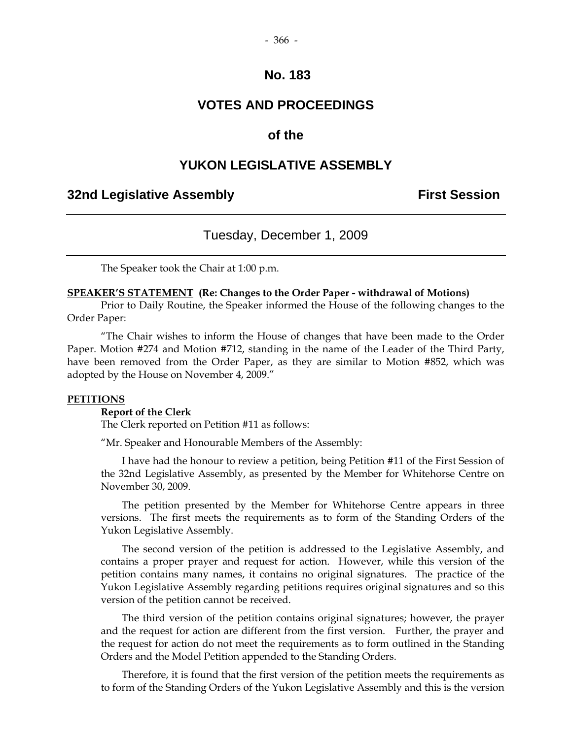#### - 366 -

## **No. 183**

## **VOTES AND PROCEEDINGS**

## **of the**

## **YUKON LEGISLATIVE ASSEMBLY**

## **32nd Legislative Assembly First Session**

## Tuesday, December 1, 2009

The Speaker took the Chair at 1:00 p.m.

#### **SPEAKER'S STATEMENT (Re: Changes to the Order Paper - withdrawal of Motions)**

 Prior to Daily Routine, the Speaker informed the House of the following changes to the Order Paper:

"The Chair wishes to inform the House of changes that have been made to the Order Paper. Motion #274 and Motion #712, standing in the name of the Leader of the Third Party, have been removed from the Order Paper, as they are similar to Motion #852, which was adopted by the House on November 4, 2009."

#### **PETITIONS**

#### **Report of the Clerk**

The Clerk reported on Petition #11 as follows:

"Mr. Speaker and Honourable Members of the Assembly:

 I have had the honour to review a petition, being Petition #11 of the First Session of the 32nd Legislative Assembly, as presented by the Member for Whitehorse Centre on November 30, 2009.

 The petition presented by the Member for Whitehorse Centre appears in three versions. The first meets the requirements as to form of the Standing Orders of the Yukon Legislative Assembly.

 The second version of the petition is addressed to the Legislative Assembly, and contains a proper prayer and request for action. However, while this version of the petition contains many names, it contains no original signatures. The practice of the Yukon Legislative Assembly regarding petitions requires original signatures and so this version of the petition cannot be received.

 The third version of the petition contains original signatures; however, the prayer and the request for action are different from the first version. Further, the prayer and the request for action do not meet the requirements as to form outlined in the Standing Orders and the Model Petition appended to the Standing Orders.

 Therefore, it is found that the first version of the petition meets the requirements as to form of the Standing Orders of the Yukon Legislative Assembly and this is the version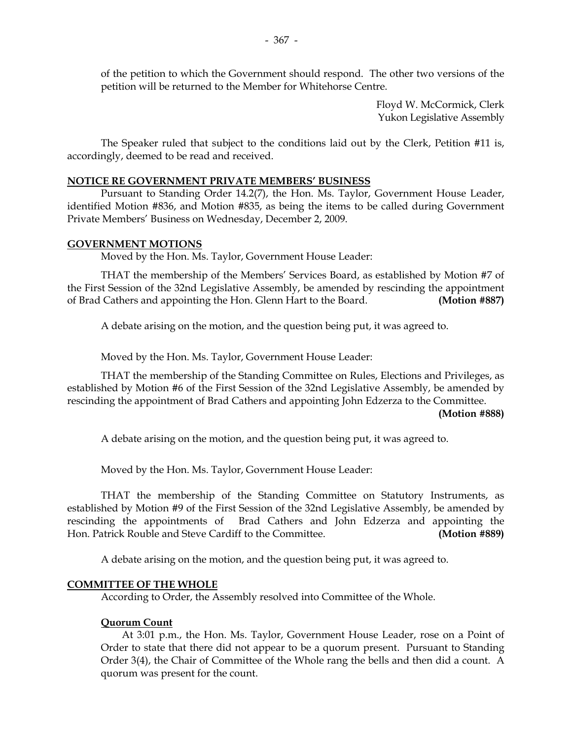of the petition to which the Government should respond. The other two versions of the petition will be returned to the Member for Whitehorse Centre.

> Floyd W. McCormick, Clerk Yukon Legislative Assembly

 The Speaker ruled that subject to the conditions laid out by the Clerk, Petition #11 is, accordingly, deemed to be read and received.

## **NOTICE RE GOVERNMENT PRIVATE MEMBERS' BUSINESS**

 Pursuant to Standing Order 14.2(7), the Hon. Ms. Taylor, Government House Leader, identified Motion #836, and Motion #835, as being the items to be called during Government Private Members' Business on Wednesday, December 2, 2009.

### **GOVERNMENT MOTIONS**

Moved by the Hon. Ms. Taylor, Government House Leader:

 THAT the membership of the Members' Services Board, as established by Motion #7 of the First Session of the 32nd Legislative Assembly, be amended by rescinding the appointment of Brad Cathers and appointing the Hon. Glenn Hart to the Board. **(Motion #887)** 

A debate arising on the motion, and the question being put, it was agreed to.

Moved by the Hon. Ms. Taylor, Government House Leader:

 THAT the membership of the Standing Committee on Rules, Elections and Privileges, as established by Motion #6 of the First Session of the 32nd Legislative Assembly, be amended by rescinding the appointment of Brad Cathers and appointing John Edzerza to the Committee.

#### **(Motion #888)**

A debate arising on the motion, and the question being put, it was agreed to.

Moved by the Hon. Ms. Taylor, Government House Leader:

 THAT the membership of the Standing Committee on Statutory Instruments, as established by Motion #9 of the First Session of the 32nd Legislative Assembly, be amended by rescinding the appointments of Brad Cathers and John Edzerza and appointing the Hon. Patrick Rouble and Steve Cardiff to the Committee. **(Motion #889)** 

A debate arising on the motion, and the question being put, it was agreed to.

## **COMMITTEE OF THE WHOLE**

According to Order, the Assembly resolved into Committee of the Whole.

## **Quorum Count**

 At 3:01 p.m., the Hon. Ms. Taylor, Government House Leader, rose on a Point of Order to state that there did not appear to be a quorum present. Pursuant to Standing Order 3(4), the Chair of Committee of the Whole rang the bells and then did a count. A quorum was present for the count.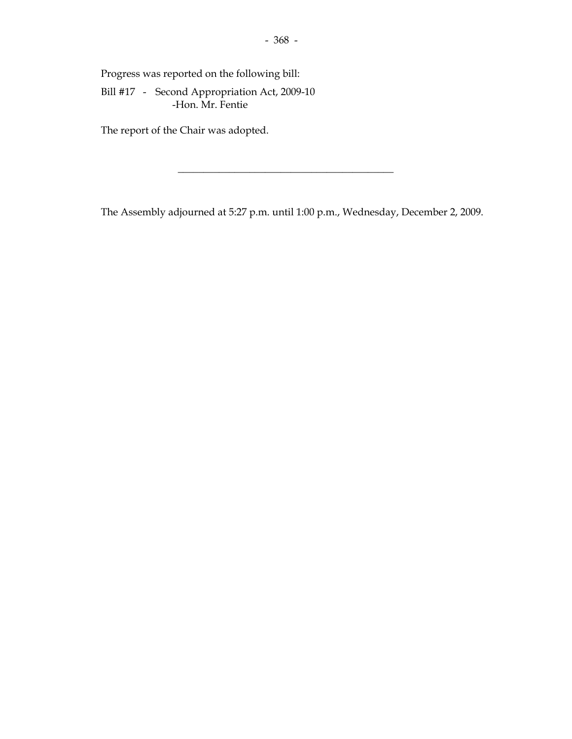Progress was reported on the following bill:

 Bill #17 - Second Appropriation Act, 2009-10 -Hon. Mr. Fentie

The report of the Chair was adopted.

The Assembly adjourned at 5:27 p.m. until 1:00 p.m., Wednesday, December 2, 2009.

 $\overline{\phantom{a}}$  , and the set of the set of the set of the set of the set of the set of the set of the set of the set of the set of the set of the set of the set of the set of the set of the set of the set of the set of the s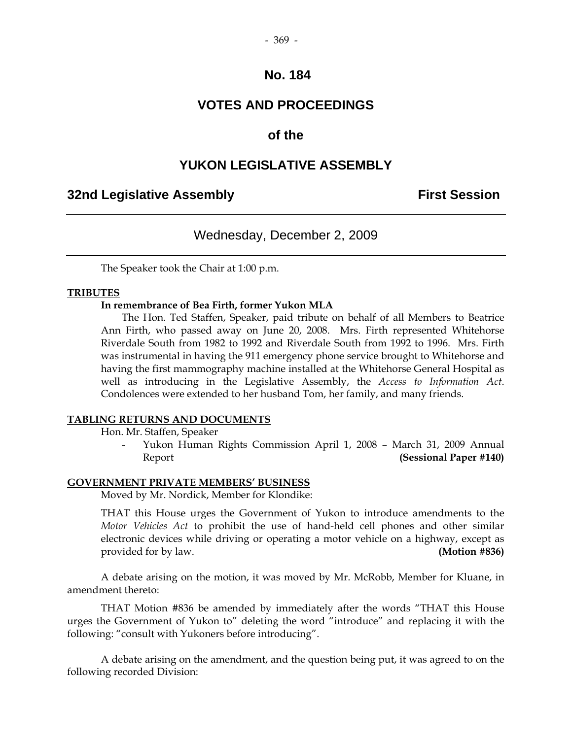## **No. 184**

## **VOTES AND PROCEEDINGS**

## **of the**

## **YUKON LEGISLATIVE ASSEMBLY**

## **32nd Legislative Assembly First Session**

## Wednesday, December 2, 2009

The Speaker took the Chair at 1:00 p.m.

#### **TRIBUTES**

#### **In remembrance of Bea Firth, former Yukon MLA**

 The Hon. Ted Staffen, Speaker, paid tribute on behalf of all Members to Beatrice Ann Firth, who passed away on June 20, 2008. Mrs. Firth represented Whitehorse Riverdale South from 1982 to 1992 and Riverdale South from 1992 to 1996. Mrs. Firth was instrumental in having the 911 emergency phone service brought to Whitehorse and having the first mammography machine installed at the Whitehorse General Hospital as well as introducing in the Legislative Assembly, the *Access to Information Act*. Condolences were extended to her husband Tom, her family, and many friends.

#### **TABLING RETURNS AND DOCUMENTS**

Hon. Mr. Staffen, Speaker

 - Yukon Human Rights Commission April 1, 2008 – March 31, 2009 Annual Report **(Sessional Paper #140)** 

#### **GOVERNMENT PRIVATE MEMBERS' BUSINESS**

Moved by Mr. Nordick, Member for Klondike:

 THAT this House urges the Government of Yukon to introduce amendments to the *Motor Vehicles Act* to prohibit the use of hand-held cell phones and other similar electronic devices while driving or operating a motor vehicle on a highway, except as provided for by law. **(Motion #836)** 

 A debate arising on the motion, it was moved by Mr. McRobb, Member for Kluane, in amendment thereto:

 THAT Motion #836 be amended by immediately after the words "THAT this House urges the Government of Yukon to" deleting the word "introduce" and replacing it with the following: "consult with Yukoners before introducing".

 A debate arising on the amendment, and the question being put, it was agreed to on the following recorded Division: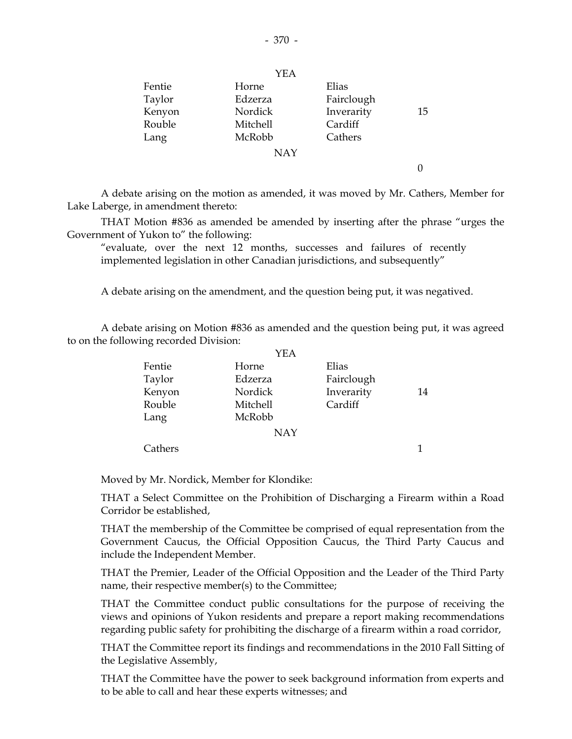|        | YEA        |            |    |
|--------|------------|------------|----|
| Fentie | Horne      | Elias      |    |
| Taylor | Edzerza    | Fairclough |    |
| Kenyon | Nordick    | Inverarity | 15 |
| Rouble | Mitchell   | Cardiff    |    |
| Lang   | McRobb     | Cathers    |    |
|        | <b>NAY</b> |            |    |
|        |            |            |    |

 A debate arising on the motion as amended, it was moved by Mr. Cathers, Member for Lake Laberge, in amendment thereto:

 THAT Motion #836 as amended be amended by inserting after the phrase "urges the Government of Yukon to" the following:

 "evaluate, over the next 12 months, successes and failures of recently implemented legislation in other Canadian jurisdictions, and subsequently"

A debate arising on the amendment, and the question being put, it was negatived.

 A debate arising on Motion #836 as amended and the question being put, it was agreed to on the following recorded Division:

|         | YEA        |            |    |
|---------|------------|------------|----|
| Fentie  | Horne      | Elias      |    |
| Taylor  | Edzerza    | Fairclough |    |
| Kenyon  | Nordick    | Inverarity | 14 |
| Rouble  | Mitchell   | Cardiff    |    |
| Lang    | McRobb     |            |    |
|         | <b>NAY</b> |            |    |
| Cathers |            |            |    |

Moved by Mr. Nordick, Member for Klondike:

 THAT a Select Committee on the Prohibition of Discharging a Firearm within a Road Corridor be established,

 THAT the membership of the Committee be comprised of equal representation from the Government Caucus, the Official Opposition Caucus, the Third Party Caucus and include the Independent Member.

 THAT the Premier, Leader of the Official Opposition and the Leader of the Third Party name, their respective member(s) to the Committee;

 THAT the Committee conduct public consultations for the purpose of receiving the views and opinions of Yukon residents and prepare a report making recommendations regarding public safety for prohibiting the discharge of a firearm within a road corridor,

 THAT the Committee report its findings and recommendations in the 2010 Fall Sitting of the Legislative Assembly,

 THAT the Committee have the power to seek background information from experts and to be able to call and hear these experts witnesses; and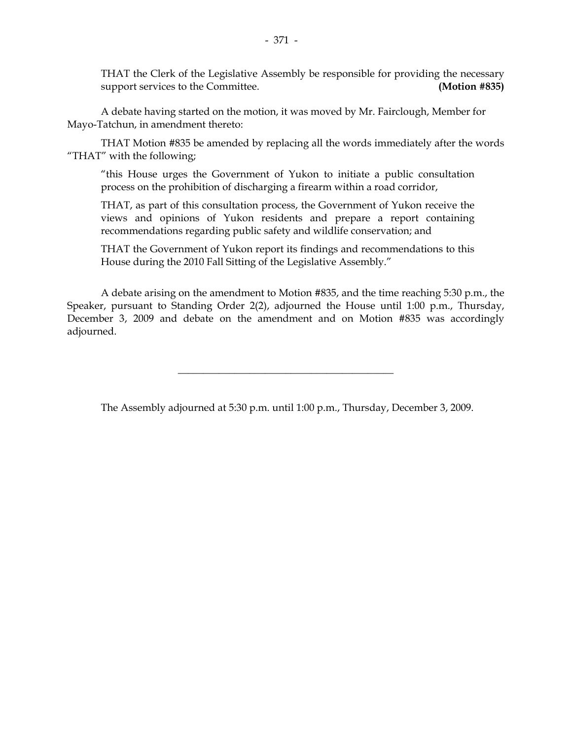THAT the Clerk of the Legislative Assembly be responsible for providing the necessary support services to the Committee. **(Motion #835)** 

 A debate having started on the motion, it was moved by Mr. Fairclough, Member for Mayo-Tatchun, in amendment thereto:

 THAT Motion #835 be amended by replacing all the words immediately after the words "THAT" with the following;

 "this House urges the Government of Yukon to initiate a public consultation process on the prohibition of discharging a firearm within a road corridor,

 THAT, as part of this consultation process, the Government of Yukon receive the views and opinions of Yukon residents and prepare a report containing recommendations regarding public safety and wildlife conservation; and

 THAT the Government of Yukon report its findings and recommendations to this House during the 2010 Fall Sitting of the Legislative Assembly."

 A debate arising on the amendment to Motion #835, and the time reaching 5:30 p.m., the Speaker, pursuant to Standing Order 2(2), adjourned the House until 1:00 p.m., Thursday, December 3, 2009 and debate on the amendment and on Motion #835 was accordingly adjourned.

The Assembly adjourned at 5:30 p.m. until 1:00 p.m., Thursday, December 3, 2009.

\_\_\_\_\_\_\_\_\_\_\_\_\_\_\_\_\_\_\_\_\_\_\_\_\_\_\_\_\_\_\_\_\_\_\_\_\_\_\_\_\_\_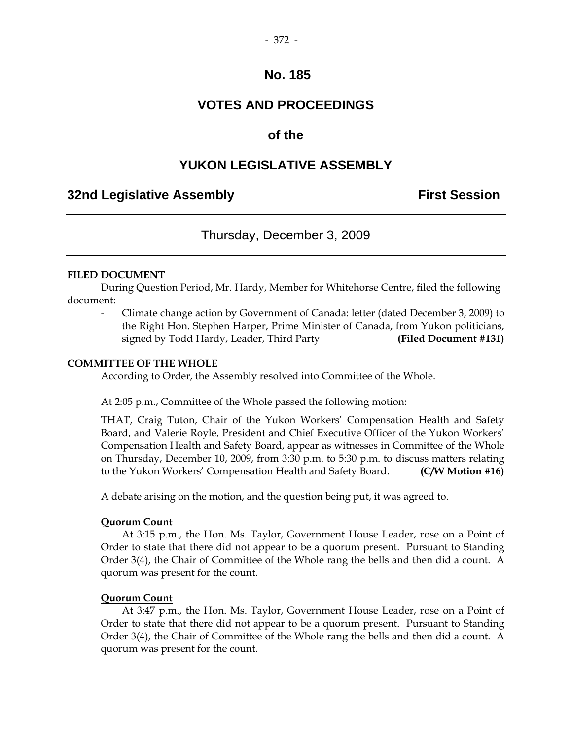#### - 372 -

## **No. 185**

## **VOTES AND PROCEEDINGS**

## **of the**

## **YUKON LEGISLATIVE ASSEMBLY**

## **32nd Legislative Assembly First Session**

## Thursday, December 3, 2009

#### **FILED DOCUMENT**

 During Question Period, Mr. Hardy, Member for Whitehorse Centre, filed the following document:

 - Climate change action by Government of Canada: letter (dated December 3, 2009) to the Right Hon. Stephen Harper, Prime Minister of Canada, from Yukon politicians, signed by Todd Hardy, Leader, Third Party **(Filed Document #131)** 

#### **COMMITTEE OF THE WHOLE**

According to Order, the Assembly resolved into Committee of the Whole.

At 2:05 p.m., Committee of the Whole passed the following motion:

 THAT, Craig Tuton, Chair of the Yukon Workers' Compensation Health and Safety Board, and Valerie Royle, President and Chief Executive Officer of the Yukon Workers' Compensation Health and Safety Board, appear as witnesses in Committee of the Whole on Thursday, December 10, 2009, from 3:30 p.m. to 5:30 p.m. to discuss matters relating to the Yukon Workers' Compensation Health and Safety Board. **(C/W Motion #16)** 

A debate arising on the motion, and the question being put, it was agreed to.

#### **Quorum Count**

 At 3:15 p.m., the Hon. Ms. Taylor, Government House Leader, rose on a Point of Order to state that there did not appear to be a quorum present. Pursuant to Standing Order 3(4), the Chair of Committee of the Whole rang the bells and then did a count. A quorum was present for the count.

#### **Quorum Count**

 At 3:47 p.m., the Hon. Ms. Taylor, Government House Leader, rose on a Point of Order to state that there did not appear to be a quorum present. Pursuant to Standing Order 3(4), the Chair of Committee of the Whole rang the bells and then did a count. A quorum was present for the count.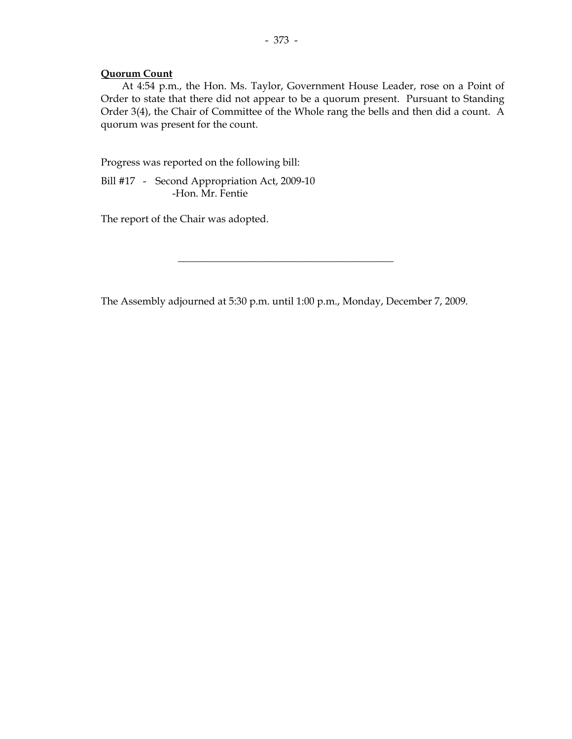#### **Quorum Count**

 At 4:54 p.m., the Hon. Ms. Taylor, Government House Leader, rose on a Point of Order to state that there did not appear to be a quorum present. Pursuant to Standing Order 3(4), the Chair of Committee of the Whole rang the bells and then did a count. A quorum was present for the count.

Progress was reported on the following bill:

 Bill #17 - Second Appropriation Act, 2009-10 -Hon. Mr. Fentie

The report of the Chair was adopted.

The Assembly adjourned at 5:30 p.m. until 1:00 p.m., Monday, December 7, 2009.

\_\_\_\_\_\_\_\_\_\_\_\_\_\_\_\_\_\_\_\_\_\_\_\_\_\_\_\_\_\_\_\_\_\_\_\_\_\_\_\_\_\_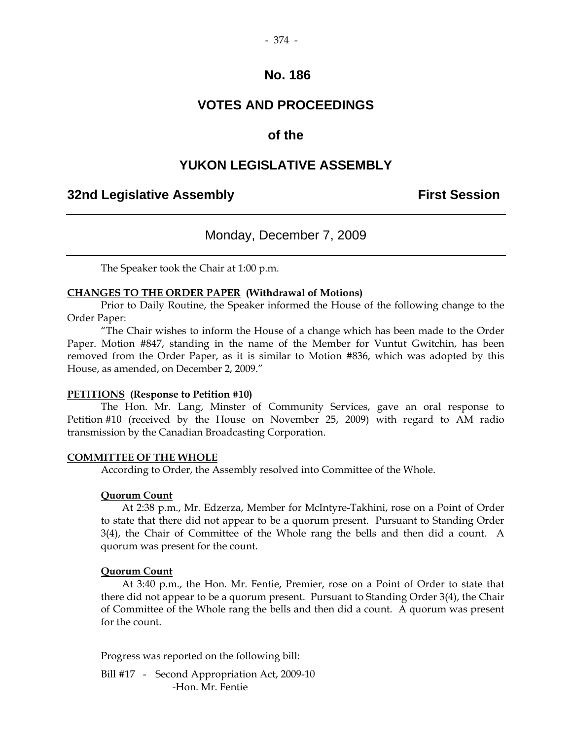#### - 374 -

## **No. 186**

## **VOTES AND PROCEEDINGS**

## **of the**

## **YUKON LEGISLATIVE ASSEMBLY**

## **32nd Legislative Assembly First Session**

# Monday, December 7, 2009

The Speaker took the Chair at 1:00 p.m.

#### **CHANGES TO THE ORDER PAPER (Withdrawal of Motions)**

 Prior to Daily Routine, the Speaker informed the House of the following change to the Order Paper:

"The Chair wishes to inform the House of a change which has been made to the Order Paper. Motion #847, standing in the name of the Member for Vuntut Gwitchin, has been removed from the Order Paper, as it is similar to Motion #836, which was adopted by this House, as amended, on December 2, 2009."

#### **PETITIONS (Response to Petition #10)**

 The Hon. Mr. Lang, Minster of Community Services, gave an oral response to Petition #10 (received by the House on November 25, 2009) with regard to AM radio transmission by the Canadian Broadcasting Corporation.

#### **COMMITTEE OF THE WHOLE**

According to Order, the Assembly resolved into Committee of the Whole.

#### **Quorum Count**

 At 2:38 p.m., Mr. Edzerza, Member for McIntyre-Takhini, rose on a Point of Order to state that there did not appear to be a quorum present. Pursuant to Standing Order 3(4), the Chair of Committee of the Whole rang the bells and then did a count. A quorum was present for the count.

#### **Quorum Count**

 At 3:40 p.m., the Hon. Mr. Fentie, Premier, rose on a Point of Order to state that there did not appear to be a quorum present. Pursuant to Standing Order 3(4), the Chair of Committee of the Whole rang the bells and then did a count. A quorum was present for the count.

Progress was reported on the following bill:

Bill #17 - Second Appropriation Act, 2009-10 -Hon. Mr. Fentie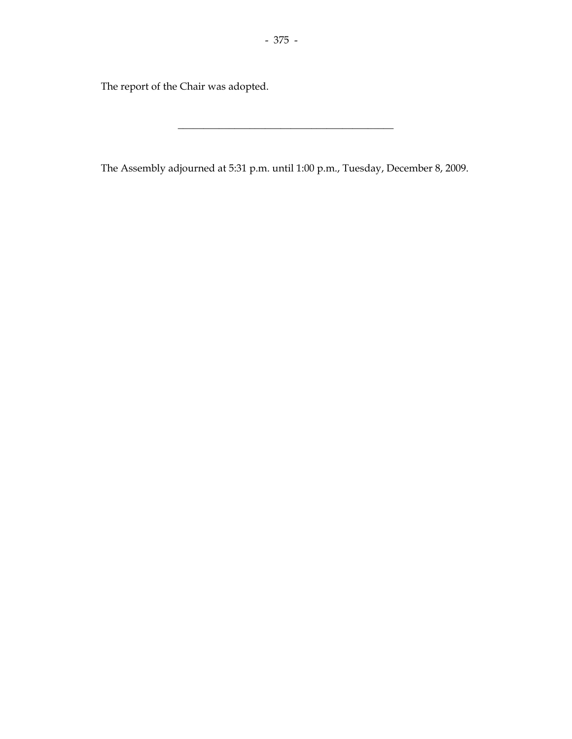The report of the Chair was adopted.

The Assembly adjourned at 5:31 p.m. until 1:00 p.m., Tuesday, December 8, 2009.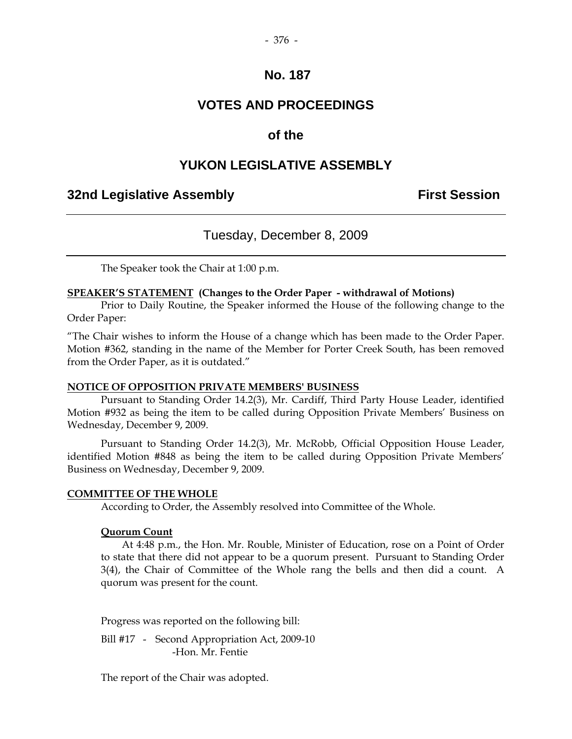#### - 376 -

## **No. 187**

# **VOTES AND PROCEEDINGS**

## **of the**

## **YUKON LEGISLATIVE ASSEMBLY**

## **32nd Legislative Assembly First Session**

## Tuesday, December 8, 2009

The Speaker took the Chair at 1:00 p.m.

#### **SPEAKER'S STATEMENT (Changes to the Order Paper - withdrawal of Motions)**

 Prior to Daily Routine, the Speaker informed the House of the following change to the Order Paper:

"The Chair wishes to inform the House of a change which has been made to the Order Paper. Motion #362, standing in the name of the Member for Porter Creek South, has been removed from the Order Paper, as it is outdated."

#### **NOTICE OF OPPOSITION PRIVATE MEMBERS' BUSINESS**

 Pursuant to Standing Order 14.2(3), Mr. Cardiff, Third Party House Leader, identified Motion #932 as being the item to be called during Opposition Private Members' Business on Wednesday, December 9, 2009.

 Pursuant to Standing Order 14.2(3), Mr. McRobb, Official Opposition House Leader, identified Motion #848 as being the item to be called during Opposition Private Members' Business on Wednesday, December 9, 2009.

#### **COMMITTEE OF THE WHOLE**

According to Order, the Assembly resolved into Committee of the Whole.

#### **Quorum Count**

 At 4:48 p.m., the Hon. Mr. Rouble, Minister of Education, rose on a Point of Order to state that there did not appear to be a quorum present. Pursuant to Standing Order 3(4), the Chair of Committee of the Whole rang the bells and then did a count. A quorum was present for the count.

Progress was reported on the following bill:

Bill #17 - Second Appropriation Act, 2009-10 -Hon. Mr. Fentie

The report of the Chair was adopted.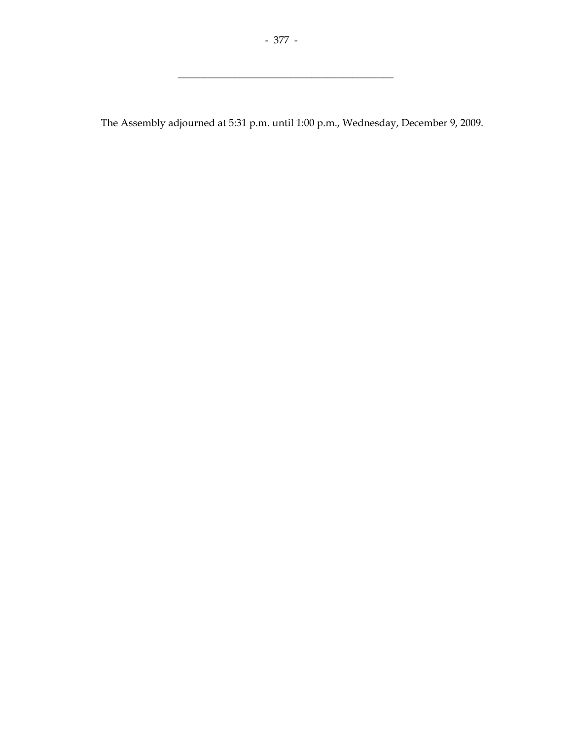$\overline{\phantom{a}}$  , and the set of the set of the set of the set of the set of the set of the set of the set of the set of the set of the set of the set of the set of the set of the set of the set of the set of the set of the s

The Assembly adjourned at 5:31 p.m. until 1:00 p.m., Wednesday, December 9, 2009.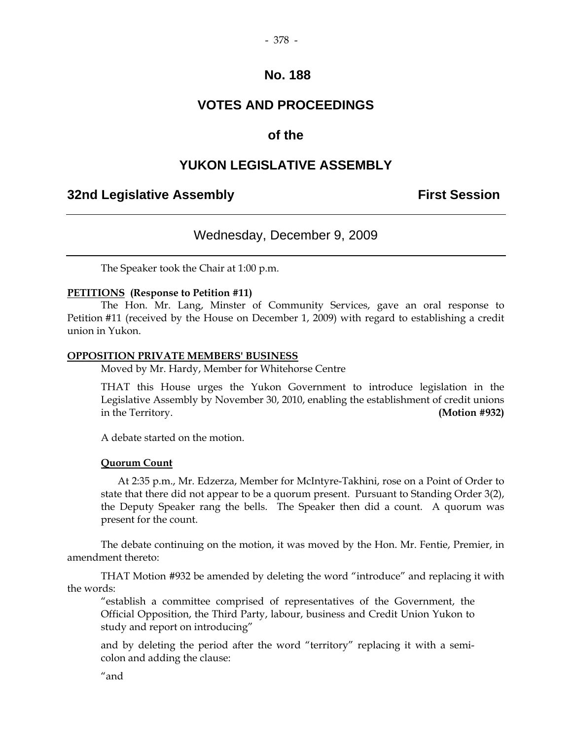## **No. 188**

# **VOTES AND PROCEEDINGS**

## **of the**

# **YUKON LEGISLATIVE ASSEMBLY**

## **32nd Legislative Assembly First Session**

## Wednesday, December 9, 2009

The Speaker took the Chair at 1:00 p.m.

#### **PETITIONS (Response to Petition #11)**

 The Hon. Mr. Lang, Minster of Community Services, gave an oral response to Petition #11 (received by the House on December 1, 2009) with regard to establishing a credit union in Yukon.

#### **OPPOSITION PRIVATE MEMBERS' BUSINESS**

Moved by Mr. Hardy, Member for Whitehorse Centre

 THAT this House urges the Yukon Government to introduce legislation in the Legislative Assembly by November 30, 2010, enabling the establishment of credit unions in the Territory. **(Motion #932)**

A debate started on the motion.

#### **Quorum Count**

 At 2:35 p.m., Mr. Edzerza, Member for McIntyre-Takhini, rose on a Point of Order to state that there did not appear to be a quorum present. Pursuant to Standing Order 3(2), the Deputy Speaker rang the bells. The Speaker then did a count. A quorum was present for the count.

 The debate continuing on the motion, it was moved by the Hon. Mr. Fentie, Premier, in amendment thereto:

 THAT Motion #932 be amended by deleting the word "introduce" and replacing it with the words:

 "establish a committee comprised of representatives of the Government, the Official Opposition, the Third Party, labour, business and Credit Union Yukon to study and report on introducing"

 and by deleting the period after the word "territory" replacing it with a semicolon and adding the clause: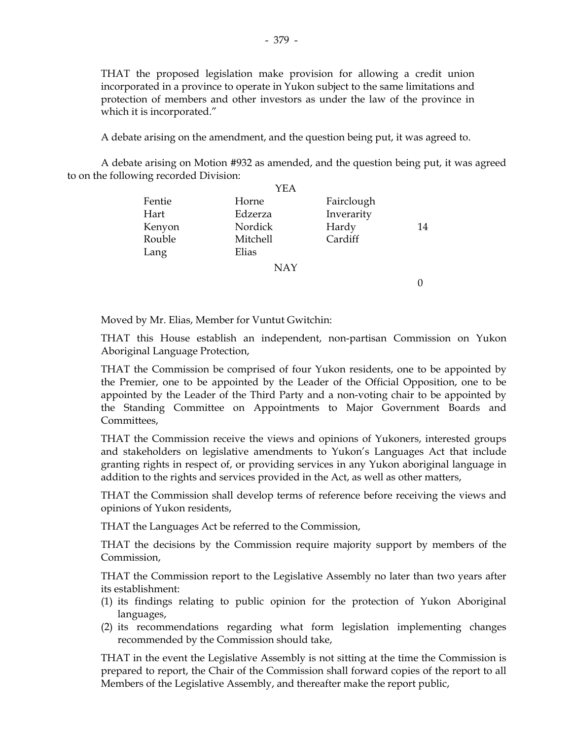THAT the proposed legislation make provision for allowing a credit union incorporated in a province to operate in Yukon subject to the same limitations and protection of members and other investors as under the law of the province in which it is incorporated."

A debate arising on the amendment, and the question being put, it was agreed to.

 A debate arising on Motion #932 as amended, and the question being put, it was agreed to on the following recorded Division:

|        | YEA        |            |    |
|--------|------------|------------|----|
| Fentie | Horne      | Fairclough |    |
| Hart   | Edzerza    | Inverarity |    |
| Kenyon | Nordick    | Hardy      | 14 |
| Rouble | Mitchell   | Cardiff    |    |
| Lang   | Elias      |            |    |
|        | <b>NAY</b> |            |    |

0

Moved by Mr. Elias, Member for Vuntut Gwitchin:

 THAT this House establish an independent, non-partisan Commission on Yukon Aboriginal Language Protection,

 THAT the Commission be comprised of four Yukon residents, one to be appointed by the Premier, one to be appointed by the Leader of the Official Opposition, one to be appointed by the Leader of the Third Party and a non-voting chair to be appointed by the Standing Committee on Appointments to Major Government Boards and Committees,

 THAT the Commission receive the views and opinions of Yukoners, interested groups and stakeholders on legislative amendments to Yukon's Languages Act that include granting rights in respect of, or providing services in any Yukon aboriginal language in addition to the rights and services provided in the Act, as well as other matters,

 THAT the Commission shall develop terms of reference before receiving the views and opinions of Yukon residents,

THAT the Languages Act be referred to the Commission,

 THAT the decisions by the Commission require majority support by members of the Commission,

 THAT the Commission report to the Legislative Assembly no later than two years after its establishment:

- (1) its findings relating to public opinion for the protection of Yukon Aboriginal languages,
- (2) its recommendations regarding what form legislation implementing changes recommended by the Commission should take,

 THAT in the event the Legislative Assembly is not sitting at the time the Commission is prepared to report, the Chair of the Commission shall forward copies of the report to all Members of the Legislative Assembly, and thereafter make the report public,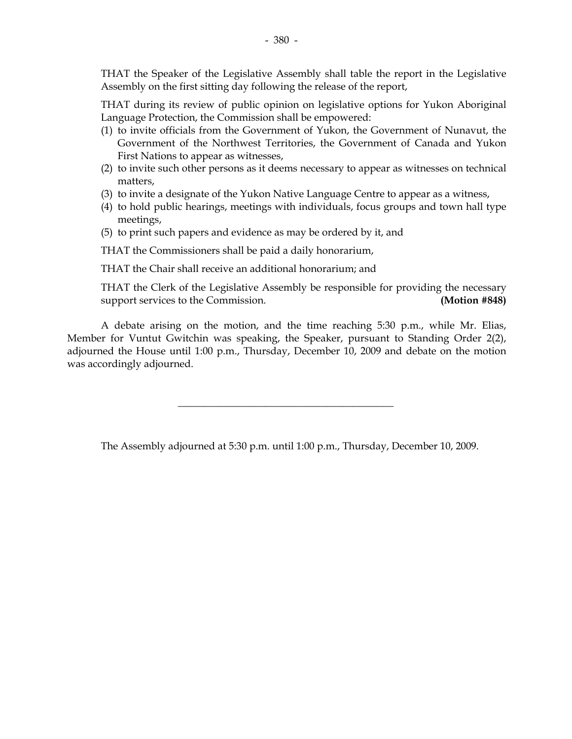THAT the Speaker of the Legislative Assembly shall table the report in the Legislative Assembly on the first sitting day following the release of the report,

 THAT during its review of public opinion on legislative options for Yukon Aboriginal Language Protection, the Commission shall be empowered:

- (1) to invite officials from the Government of Yukon, the Government of Nunavut, the Government of the Northwest Territories, the Government of Canada and Yukon First Nations to appear as witnesses,
- (2) to invite such other persons as it deems necessary to appear as witnesses on technical matters,
- (3) to invite a designate of the Yukon Native Language Centre to appear as a witness,
- (4) to hold public hearings, meetings with individuals, focus groups and town hall type meetings,
- (5) to print such papers and evidence as may be ordered by it, and

THAT the Commissioners shall be paid a daily honorarium,

THAT the Chair shall receive an additional honorarium; and

THAT the Clerk of the Legislative Assembly be responsible for providing the necessary support services to the Commission. **(Motion #848)** 

 A debate arising on the motion, and the time reaching 5:30 p.m., while Mr. Elias, Member for Vuntut Gwitchin was speaking, the Speaker, pursuant to Standing Order 2(2), adjourned the House until 1:00 p.m., Thursday, December 10, 2009 and debate on the motion was accordingly adjourned.

\_\_\_\_\_\_\_\_\_\_\_\_\_\_\_\_\_\_\_\_\_\_\_\_\_\_\_\_\_\_\_\_\_\_\_\_\_\_\_\_\_\_

The Assembly adjourned at 5:30 p.m. until 1:00 p.m., Thursday, December 10, 2009.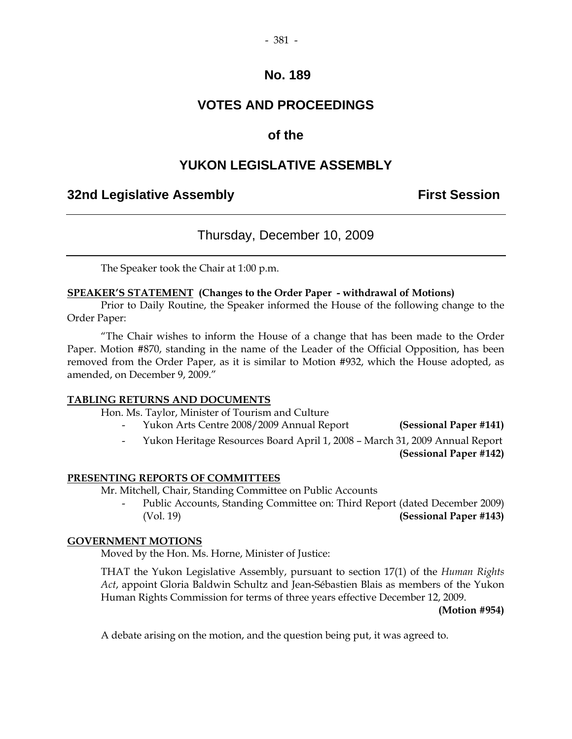#### - 381 -

## **No. 189**

# **VOTES AND PROCEEDINGS**

## **of the**

## **YUKON LEGISLATIVE ASSEMBLY**

## **32nd Legislative Assembly First Session**

## Thursday, December 10, 2009

The Speaker took the Chair at 1:00 p.m.

#### **SPEAKER'S STATEMENT (Changes to the Order Paper - withdrawal of Motions)**

 Prior to Daily Routine, the Speaker informed the House of the following change to the Order Paper:

"The Chair wishes to inform the House of a change that has been made to the Order Paper. Motion #870, standing in the name of the Leader of the Official Opposition, has been removed from the Order Paper, as it is similar to Motion #932, which the House adopted, as amended, on December 9, 2009."

#### **TABLING RETURNS AND DOCUMENTS**

Hon. Ms. Taylor, Minister of Tourism and Culture

- Yukon Arts Centre 2008/2009 Annual Report **(Sessional Paper #141)**
- Yukon Heritage Resources Board April 1, 2008 March 31, 2009 Annual Report

**(Sessional Paper #142)**

#### **PRESENTING REPORTS OF COMMITTEES**

Mr. Mitchell, Chair, Standing Committee on Public Accounts

Public Accounts, Standing Committee on: Third Report (dated December 2009) (Vol. 19) **(Sessional Paper #143)** 

#### **GOVERNMENT MOTIONS**

Moved by the Hon. Ms. Horne, Minister of Justice:

 THAT the Yukon Legislative Assembly, pursuant to section 17(1) of the *Human Rights Act*, appoint Gloria Baldwin Schultz and Jean-Sébastien Blais as members of the Yukon Human Rights Commission for terms of three years effective December 12, 2009.

**(Motion #954)** 

A debate arising on the motion, and the question being put, it was agreed to.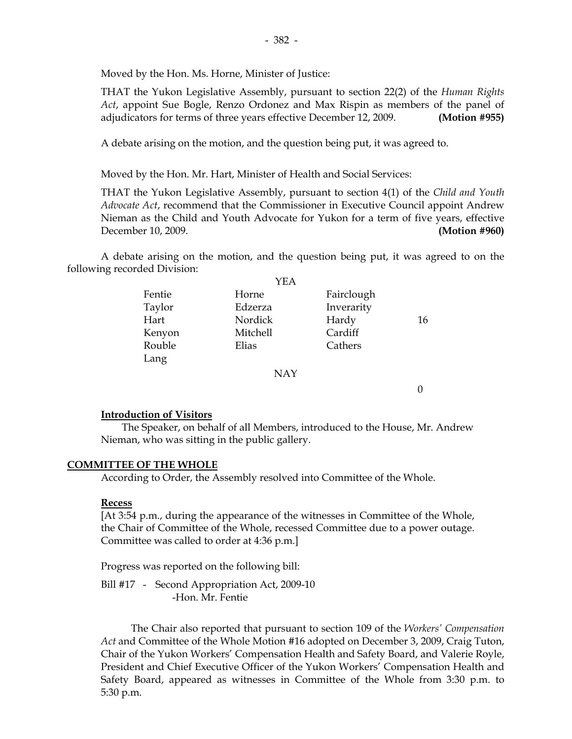Moved by the Hon. Ms. Horne, Minister of Justice:

 THAT the Yukon Legislative Assembly, pursuant to section 22(2) of the *Human Rights Act*, appoint Sue Bogle, Renzo Ordonez and Max Rispin as members of the panel of adjudicators for terms of three years effective December 12, 2009. **(Motion #955)**

A debate arising on the motion, and the question being put, it was agreed to.

Moved by the Hon. Mr. Hart, Minister of Health and Social Services:

 THAT the Yukon Legislative Assembly, pursuant to section 4(1) of the *Child and Youth Advocate Act*, recommend that the Commissioner in Executive Council appoint Andrew Nieman as the Child and Youth Advocate for Yukon for a term of five years, effective December 10, 2009. **(Motion #960)**

 A debate arising on the motion, and the question being put, it was agreed to on the following recorded Division:

|        | YEA      |            |    |
|--------|----------|------------|----|
| Fentie | Horne    | Fairclough |    |
| Taylor | Edzerza  | Inverarity |    |
| Hart   | Nordick  | Hardy      | 16 |
| Kenyon | Mitchell | Cardiff    |    |
| Rouble | Elias    | Cathers    |    |
| Lang   |          |            |    |
|        | NAY      |            |    |

 The Speaker, on behalf of all Members, introduced to the House, Mr. Andrew Nieman, who was sitting in the public gallery.

0

#### **COMMITTEE OF THE WHOLE**

**Introduction of Visitors**

According to Order, the Assembly resolved into Committee of the Whole.

#### **Recess**

 [At 3:54 p.m., during the appearance of the witnesses in Committee of the Whole, the Chair of Committee of the Whole, recessed Committee due to a power outage. Committee was called to order at 4:36 p.m.]

Progress was reported on the following bill:

 Bill #17 - Second Appropriation Act, 2009-10 -Hon. Mr. Fentie

 The Chair also reported that pursuant to section 109 of the *Workers' Compensation Act* and Committee of the Whole Motion #16 adopted on December 3, 2009, Craig Tuton, Chair of the Yukon Workers' Compensation Health and Safety Board, and Valerie Royle, President and Chief Executive Officer of the Yukon Workers' Compensation Health and Safety Board, appeared as witnesses in Committee of the Whole from 3:30 p.m. to 5:30 p.m.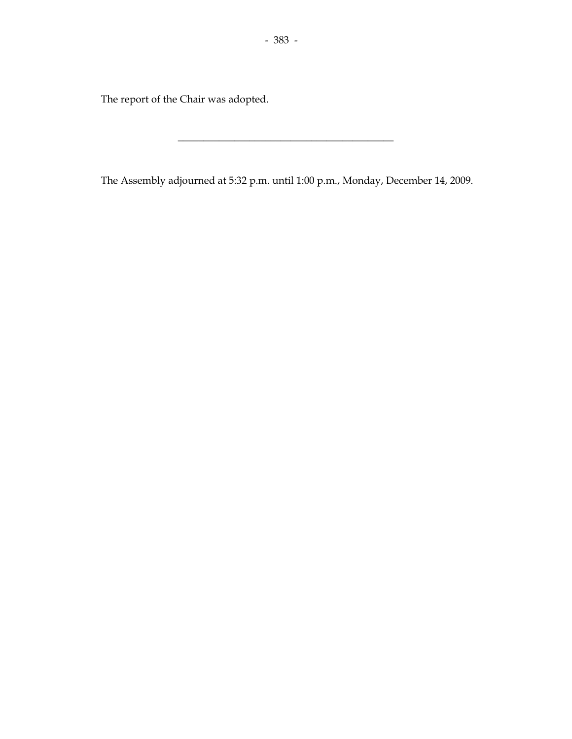The report of the Chair was adopted.

The Assembly adjourned at 5:32 p.m. until 1:00 p.m., Monday, December 14, 2009.

 $\overline{\phantom{a}}$  , and the set of the set of the set of the set of the set of the set of the set of the set of the set of the set of the set of the set of the set of the set of the set of the set of the set of the set of the s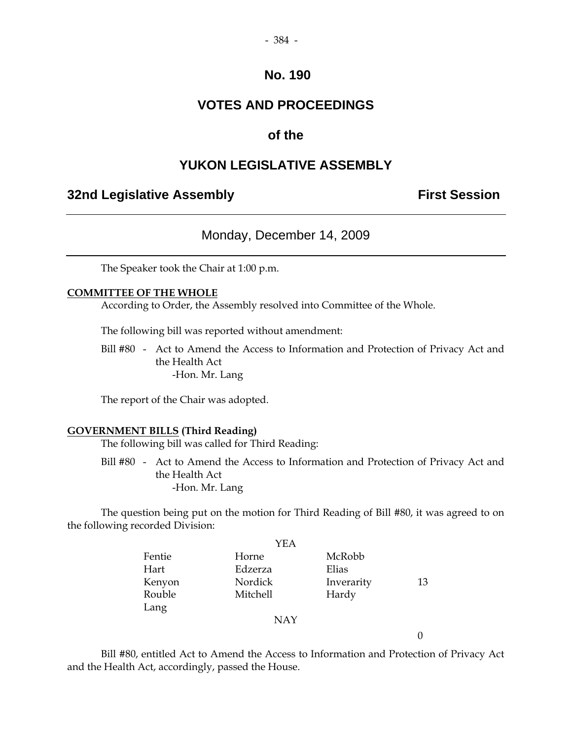## **No. 190**

# **VOTES AND PROCEEDINGS**

# **of the**

# **YUKON LEGISLATIVE ASSEMBLY**

# **32nd Legislative Assembly First Session**

## Monday, December 14, 2009

The Speaker took the Chair at 1:00 p.m.

## **COMMITTEE OF THE WHOLE**

According to Order, the Assembly resolved into Committee of the Whole.

The following bill was reported without amendment:

 Bill #80 - Act to Amend the Access to Information and Protection of Privacy Act and the Health Act -Hon. Mr. Lang

The report of the Chair was adopted.

### **GOVERNMENT BILLS (Third Reading)**

The following bill was called for Third Reading:

 Bill #80 - Act to Amend the Access to Information and Protection of Privacy Act and the Health Act -Hon. Mr. Lang

 The question being put on the motion for Third Reading of Bill #80, it was agreed to on the following recorded Division:

|        | <b>YEA</b> |            |    |
|--------|------------|------------|----|
| Fentie | Horne      | McRobb     |    |
| Hart   | Edzerza    | Elias      |    |
| Kenyon | Nordick    | Inverarity | 13 |
| Rouble | Mitchell   | Hardy      |    |
| Lang   |            |            |    |
|        | <b>NAY</b> |            |    |
|        |            |            |    |

 Bill #80, entitled Act to Amend the Access to Information and Protection of Privacy Act and the Health Act, accordingly, passed the House.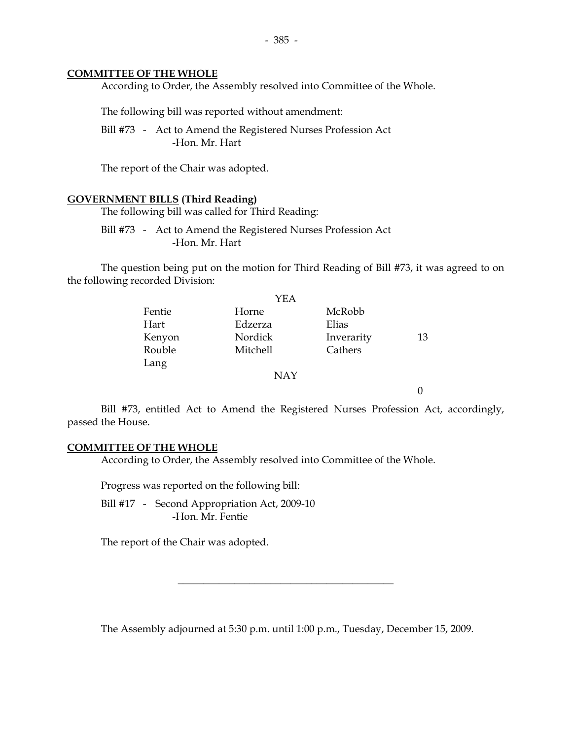#### **COMMITTEE OF THE WHOLE**

According to Order, the Assembly resolved into Committee of the Whole.

The following bill was reported without amendment:

 Bill #73 - Act to Amend the Registered Nurses Profession Act -Hon. Mr. Hart

The report of the Chair was adopted.

#### **GOVERNMENT BILLS (Third Reading)**

The following bill was called for Third Reading:

 Bill #73 - Act to Amend the Registered Nurses Profession Act -Hon. Mr. Hart

 The question being put on the motion for Third Reading of Bill #73, it was agreed to on the following recorded Division:

|        | YEA        |            |    |
|--------|------------|------------|----|
| Fentie | Horne      | McRobb     |    |
| Hart   | Edzerza    | Elias      |    |
| Kenyon | Nordick    | Inverarity | 13 |
| Rouble | Mitchell   | Cathers    |    |
| Lang   |            |            |    |
|        | <b>NAY</b> |            |    |

 Bill #73, entitled Act to Amend the Registered Nurses Profession Act, accordingly, passed the House.

0

#### **COMMITTEE OF THE WHOLE**

According to Order, the Assembly resolved into Committee of the Whole.

Progress was reported on the following bill:

Bill #17 - Second Appropriation Act, 2009-10 -Hon. Mr. Fentie

The report of the Chair was adopted.

The Assembly adjourned at 5:30 p.m. until 1:00 p.m., Tuesday, December 15, 2009.

 $\overline{\phantom{a}}$  , and the set of the set of the set of the set of the set of the set of the set of the set of the set of the set of the set of the set of the set of the set of the set of the set of the set of the set of the s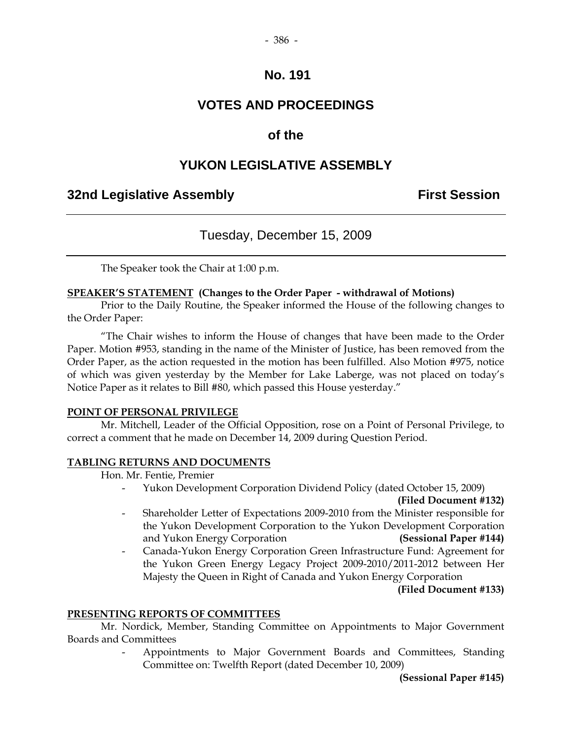## **No. 191**

# **VOTES AND PROCEEDINGS**

# **of the**

# **YUKON LEGISLATIVE ASSEMBLY**

# **32nd Legislative Assembly First Session**

# Tuesday, December 15, 2009

The Speaker took the Chair at 1:00 p.m.

## **SPEAKER'S STATEMENT (Changes to the Order Paper - withdrawal of Motions)**

 Prior to the Daily Routine, the Speaker informed the House of the following changes to the Order Paper:

"The Chair wishes to inform the House of changes that have been made to the Order Paper. Motion #953, standing in the name of the Minister of Justice, has been removed from the Order Paper, as the action requested in the motion has been fulfilled. Also Motion #975, notice of which was given yesterday by the Member for Lake Laberge, was not placed on today's Notice Paper as it relates to Bill #80, which passed this House yesterday."

#### **POINT OF PERSONAL PRIVILEGE**

Mr. Mitchell, Leader of the Official Opposition, rose on a Point of Personal Privilege, to correct a comment that he made on December 14, 2009 during Question Period.

#### **TABLING RETURNS AND DOCUMENTS**

Hon. Mr. Fentie, Premier

- Yukon Development Corporation Dividend Policy (dated October 15, 2009)

**(Filed Document #132)** 

- Shareholder Letter of Expectations 2009-2010 from the Minister responsible for the Yukon Development Corporation to the Yukon Development Corporation and Yukon Energy Corporation **(Sessional Paper #144)**
- Canada-Yukon Energy Corporation Green Infrastructure Fund: Agreement for the Yukon Green Energy Legacy Project 2009-2010/2011-2012 between Her Majesty the Queen in Right of Canada and Yukon Energy Corporation

**(Filed Document #133)**

#### **PRESENTING REPORTS OF COMMITTEES**

 Mr. Nordick, Member, Standing Committee on Appointments to Major Government Boards and Committees

> - Appointments to Major Government Boards and Committees, Standing Committee on: Twelfth Report (dated December 10, 2009)

> > **(Sessional Paper #145)**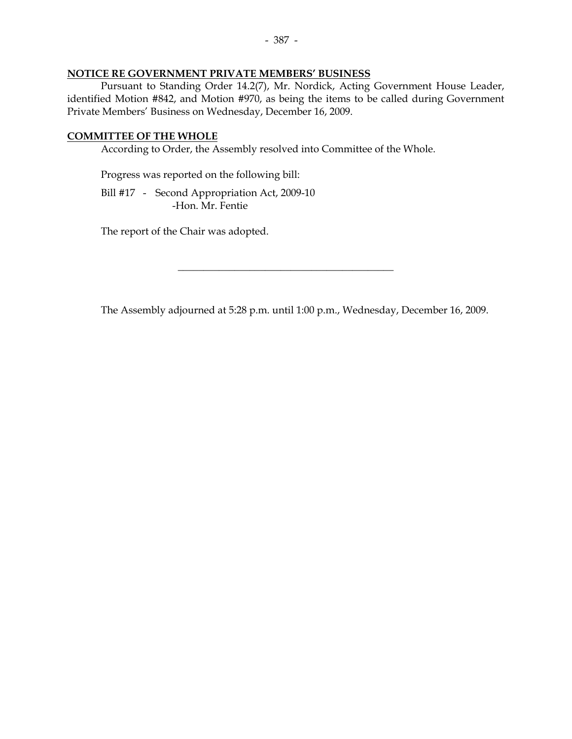#### **NOTICE RE GOVERNMENT PRIVATE MEMBERS' BUSINESS**

 Pursuant to Standing Order 14.2(7), Mr. Nordick, Acting Government House Leader, identified Motion #842, and Motion #970, as being the items to be called during Government Private Members' Business on Wednesday, December 16, 2009.

#### **COMMITTEE OF THE WHOLE**

According to Order, the Assembly resolved into Committee of the Whole.

Progress was reported on the following bill:

 Bill #17 - Second Appropriation Act, 2009-10 -Hon. Mr. Fentie

The report of the Chair was adopted.

The Assembly adjourned at 5:28 p.m. until 1:00 p.m., Wednesday, December 16, 2009.

\_\_\_\_\_\_\_\_\_\_\_\_\_\_\_\_\_\_\_\_\_\_\_\_\_\_\_\_\_\_\_\_\_\_\_\_\_\_\_\_\_\_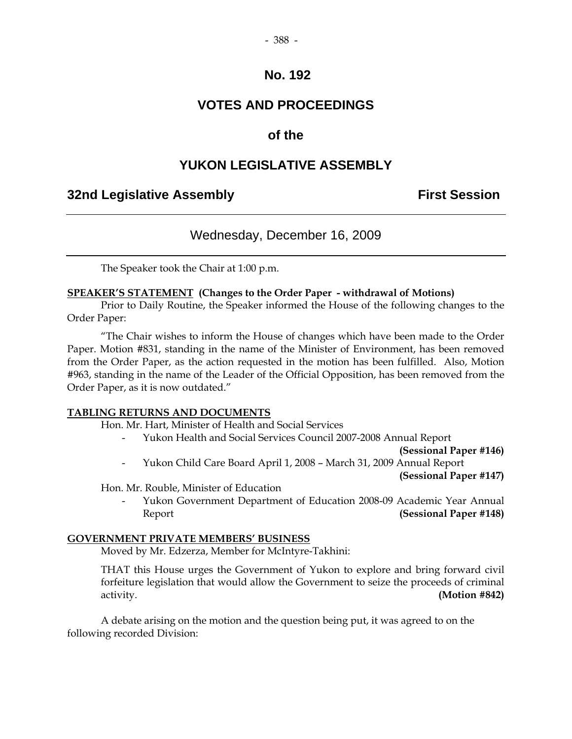## **No. 192**

# **VOTES AND PROCEEDINGS**

# **of the**

# **YUKON LEGISLATIVE ASSEMBLY**

# **32nd Legislative Assembly First Session**

# Wednesday, December 16, 2009

The Speaker took the Chair at 1:00 p.m.

## **SPEAKER'S STATEMENT (Changes to the Order Paper - withdrawal of Motions)**

 Prior to Daily Routine, the Speaker informed the House of the following changes to the Order Paper:

 "The Chair wishes to inform the House of changes which have been made to the Order Paper. Motion #831, standing in the name of the Minister of Environment, has been removed from the Order Paper, as the action requested in the motion has been fulfilled. Also, Motion #963, standing in the name of the Leader of the Official Opposition, has been removed from the Order Paper, as it is now outdated."

#### **TABLING RETURNS AND DOCUMENTS**

Hon. Mr. Hart, Minister of Health and Social Services

- Yukon Health and Social Services Council 2007-2008 Annual Report

**(Sessional Paper #146)** 

- Yukon Child Care Board April 1, 2008 – March 31, 2009 Annual Report

**(Sessional Paper #147)** 

Hon. Mr. Rouble, Minister of Education

Yukon Government Department of Education 2008-09 Academic Year Annual Report **(Sessional Paper #148)**

### **GOVERNMENT PRIVATE MEMBERS' BUSINESS**

Moved by Mr. Edzerza, Member for McIntyre-Takhini:

 THAT this House urges the Government of Yukon to explore and bring forward civil forfeiture legislation that would allow the Government to seize the proceeds of criminal activity. **(Motion #842)**

 A debate arising on the motion and the question being put, it was agreed to on the following recorded Division: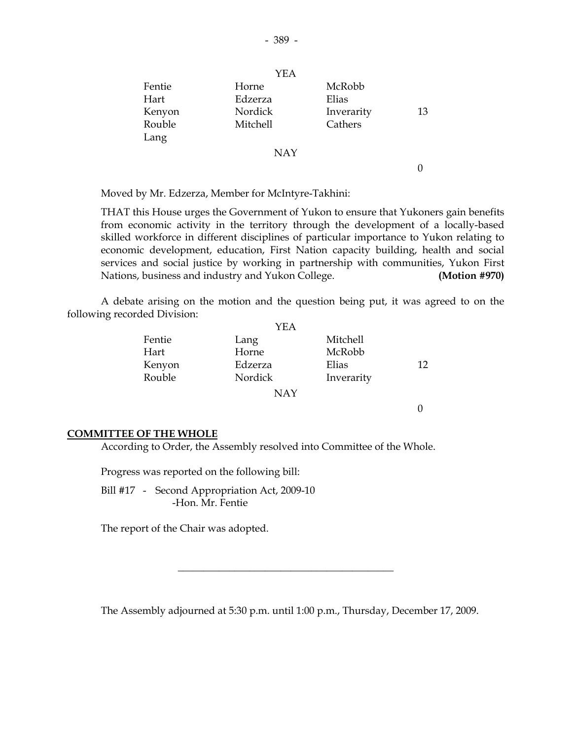|        | YEA        |            |    |
|--------|------------|------------|----|
| Fentie | Horne      | McRobb     |    |
| Hart   | Edzerza    | Elias      |    |
| Kenyon | Nordick    | Inverarity | 13 |
| Rouble | Mitchell   | Cathers    |    |
| Lang   |            |            |    |
|        | <b>NAY</b> |            |    |
|        |            |            |    |

Moved by Mr. Edzerza, Member for McIntyre-Takhini:

 THAT this House urges the Government of Yukon to ensure that Yukoners gain benefits from economic activity in the territory through the development of a locally-based skilled workforce in different disciplines of particular importance to Yukon relating to economic development, education, First Nation capacity building, health and social services and social justice by working in partnership with communities, Yukon First Nations, business and industry and Yukon College. **(Motion #970)**

 A debate arising on the motion and the question being put, it was agreed to on the following recorded Division:

|        | YEA     |            |     |
|--------|---------|------------|-----|
| Fentie | Lang    | Mitchell   |     |
| Hart   | Horne   | McRobb     |     |
| Kenyon | Edzerza | Elias      | 12. |
| Rouble | Nordick | Inverarity |     |
|        | NAY     |            |     |

0

#### **COMMITTEE OF THE WHOLE**

According to Order, the Assembly resolved into Committee of the Whole.

Progress was reported on the following bill:

 Bill #17 - Second Appropriation Act, 2009-10 -Hon. Mr. Fentie

The report of the Chair was adopted.

The Assembly adjourned at 5:30 p.m. until 1:00 p.m., Thursday, December 17, 2009.

\_\_\_\_\_\_\_\_\_\_\_\_\_\_\_\_\_\_\_\_\_\_\_\_\_\_\_\_\_\_\_\_\_\_\_\_\_\_\_\_\_\_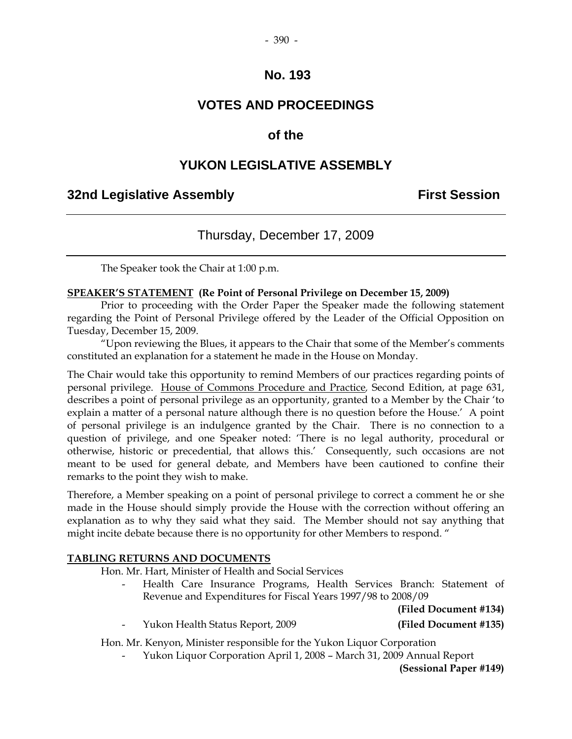#### - 390 -

## **No. 193**

# **VOTES AND PROCEEDINGS**

## **of the**

# **YUKON LEGISLATIVE ASSEMBLY**

# **32nd Legislative Assembly First Session**

# Thursday, December 17, 2009

The Speaker took the Chair at 1:00 p.m.

### **SPEAKER'S STATEMENT (Re Point of Personal Privilege on December 15, 2009)**

Prior to proceeding with the Order Paper the Speaker made the following statement regarding the Point of Personal Privilege offered by the Leader of the Official Opposition on Tuesday, December 15, 2009.

"Upon reviewing the Blues, it appears to the Chair that some of the Member's comments constituted an explanation for a statement he made in the House on Monday.

The Chair would take this opportunity to remind Members of our practices regarding points of personal privilege. House of Commons Procedure and Practice*,* Second Edition, at page 631, describes a point of personal privilege as an opportunity, granted to a Member by the Chair 'to explain a matter of a personal nature although there is no question before the House.' A point of personal privilege is an indulgence granted by the Chair. There is no connection to a question of privilege, and one Speaker noted: 'There is no legal authority, procedural or otherwise, historic or precedential, that allows this.' Consequently, such occasions are not meant to be used for general debate, and Members have been cautioned to confine their remarks to the point they wish to make.

Therefore, a Member speaking on a point of personal privilege to correct a comment he or she made in the House should simply provide the House with the correction without offering an explanation as to why they said what they said. The Member should not say anything that might incite debate because there is no opportunity for other Members to respond. "

#### **TABLING RETURNS AND DOCUMENTS**

Hon. Mr. Hart, Minister of Health and Social Services

Health Care Insurance Programs, Health Services Branch: Statement of Revenue and Expenditures for Fiscal Years 1997/98 to 2008/09

**(Filed Document #134)** 

- Yukon Health Status Report, 2009 **(Filed Document #135)** 

Hon. Mr. Kenyon, Minister responsible for the Yukon Liquor Corporation

- Yukon Liquor Corporation April 1, 2008 – March 31, 2009 Annual Report

**(Sessional Paper #149)**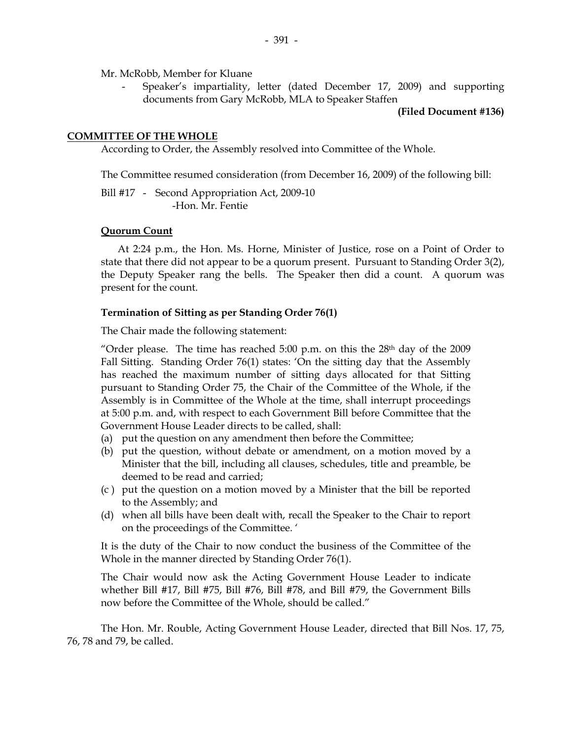Mr. McRobb, Member for Kluane

 - Speaker's impartiality, letter (dated December 17, 2009) and supporting documents from Gary McRobb, MLA to Speaker Staffen

**(Filed Document #136)**

#### **COMMITTEE OF THE WHOLE**

According to Order, the Assembly resolved into Committee of the Whole.

The Committee resumed consideration (from December 16, 2009) of the following bill:

Bill #17 - Second Appropriation Act, 2009-10 -Hon. Mr. Fentie

#### **Quorum Count**

 At 2:24 p.m., the Hon. Ms. Horne, Minister of Justice, rose on a Point of Order to state that there did not appear to be a quorum present. Pursuant to Standing Order 3(2), the Deputy Speaker rang the bells. The Speaker then did a count. A quorum was present for the count.

#### **Termination of Sitting as per Standing Order 76(1)**

The Chair made the following statement:

"Order please. The time has reached 5:00 p.m. on this the  $28<sup>th</sup>$  day of the 2009 Fall Sitting. Standing Order 76(1) states: 'On the sitting day that the Assembly has reached the maximum number of sitting days allocated for that Sitting pursuant to Standing Order 75, the Chair of the Committee of the Whole, if the Assembly is in Committee of the Whole at the time, shall interrupt proceedings at 5:00 p.m. and, with respect to each Government Bill before Committee that the Government House Leader directs to be called, shall:

- (a) put the question on any amendment then before the Committee;
- (b) put the question, without debate or amendment, on a motion moved by a Minister that the bill, including all clauses, schedules, title and preamble, be deemed to be read and carried;
- (c ) put the question on a motion moved by a Minister that the bill be reported to the Assembly; and
- (d) when all bills have been dealt with, recall the Speaker to the Chair to report on the proceedings of the Committee. '

It is the duty of the Chair to now conduct the business of the Committee of the Whole in the manner directed by Standing Order 76(1).

The Chair would now ask the Acting Government House Leader to indicate whether Bill #17, Bill #75, Bill #76, Bill #78, and Bill #79, the Government Bills now before the Committee of the Whole, should be called."

The Hon. Mr. Rouble, Acting Government House Leader, directed that Bill Nos. 17, 75, 76, 78 and 79, be called.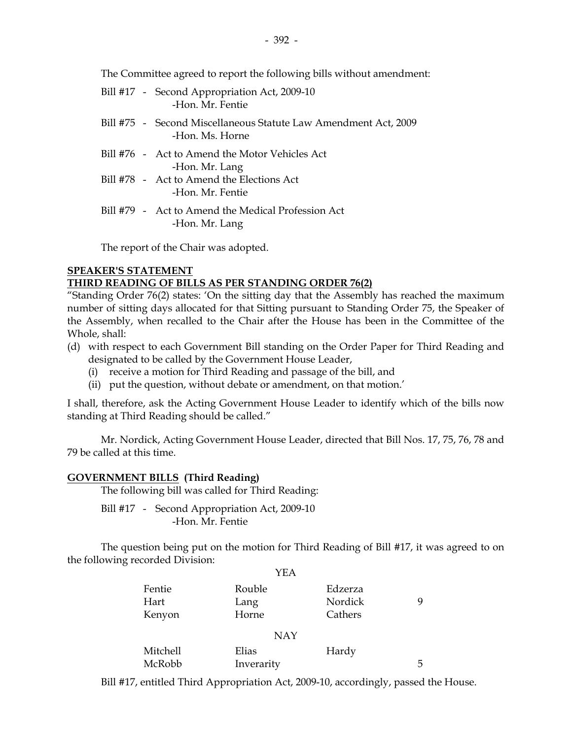The Committee agreed to report the following bills without amendment:

| Bill #17 - Second Appropriation Act, 2009-10<br>-Hon, Mr. Fentie                   |
|------------------------------------------------------------------------------------|
| Bill #75 - Second Miscellaneous Statute Law Amendment Act, 2009<br>-Hon, Ms. Horne |
| Bill #76 - Act to Amend the Motor Vehicles Act<br>-Hon. Mr. Lang                   |
| Bill #78 - Act to Amend the Elections Act<br>-Hon, Mr. Fentie                      |
| Bill #79 - Act to Amend the Medical Profession Act<br>-Hon. Mr. Lang               |

The report of the Chair was adopted.

#### **SPEAKER'S STATEMENT THIRD READING OF BILLS AS PER STANDING ORDER 76(2)**

"Standing Order 76(2) states: 'On the sitting day that the Assembly has reached the maximum number of sitting days allocated for that Sitting pursuant to Standing Order 75, the Speaker of the Assembly, when recalled to the Chair after the House has been in the Committee of the Whole, shall:

- (d) with respect to each Government Bill standing on the Order Paper for Third Reading and designated to be called by the Government House Leader,
	- (i) receive a motion for Third Reading and passage of the bill, and
	- (ii) put the question, without debate or amendment, on that motion.'

I shall, therefore, ask the Acting Government House Leader to identify which of the bills now standing at Third Reading should be called."

Mr. Nordick, Acting Government House Leader, directed that Bill Nos. 17, 75, 76, 78 and 79 be called at this time.

## **GOVERNMENT BILLS (Third Reading)**

The following bill was called for Third Reading:

Bill #17 - Second Appropriation Act, 2009-10 -Hon. Mr. Fentie

 The question being put on the motion for Third Reading of Bill #17, it was agreed to on the following recorded Division:  $Y_{\rm ET}$ 

|                 | YEA        |         |   |
|-----------------|------------|---------|---|
| Fentie          | Rouble     | Edzerza |   |
| Hart            | Lang       | Nordick | 9 |
| Kenyon          | Horne      | Cathers |   |
|                 | <b>NAY</b> |         |   |
| <b>Mitchell</b> | Elias      | Hardy   |   |
| McRobb          | Inverarity |         | 5 |
|                 |            |         |   |

Bill #17, entitled Third Appropriation Act, 2009-10, accordingly, passed the House.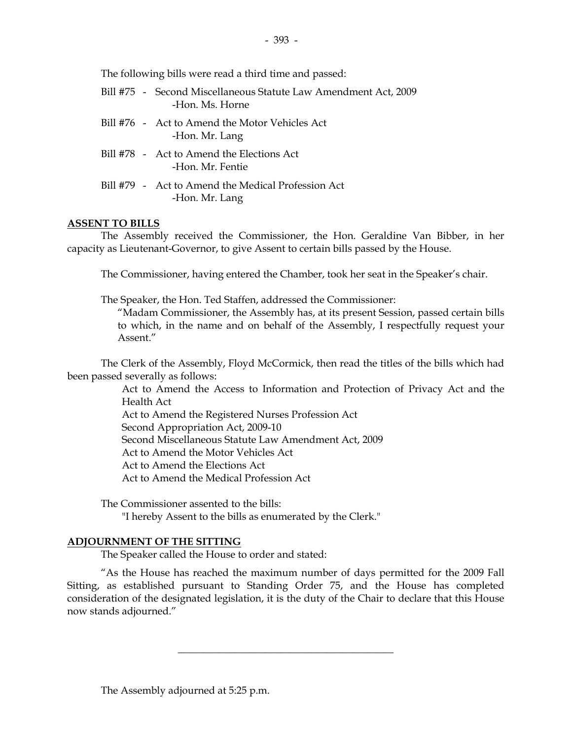The following bills were read a third time and passed:

|  | Bill #75 - Second Miscellaneous Statute Law Amendment Act, 2009<br>-Hon, Ms. Horne |
|--|------------------------------------------------------------------------------------|
|  | Bill #76 - Act to Amend the Motor Vehicles Act<br>-Hon. Mr. Lang                   |
|  | Bill #78 - Act to Amend the Elections Act<br>-Hon, Mr. Fentie                      |
|  | Bill #79 - Act to Amend the Medical Profession Act<br>-Hon. Mr. Lang               |

## **ASSENT TO BILLS**

 The Assembly received the Commissioner, the Hon. Geraldine Van Bibber, in her capacity as Lieutenant-Governor, to give Assent to certain bills passed by the House.

The Commissioner, having entered the Chamber, took her seat in the Speaker's chair.

The Speaker, the Hon. Ted Staffen, addressed the Commissioner:

 "Madam Commissioner, the Assembly has, at its present Session, passed certain bills to which, in the name and on behalf of the Assembly, I respectfully request your Assent."

 The Clerk of the Assembly, Floyd McCormick, then read the titles of the bills which had been passed severally as follows:

> Act to Amend the Access to Information and Protection of Privacy Act and the Health Act

Act to Amend the Registered Nurses Profession Act

Second Appropriation Act, 2009-10

Second Miscellaneous Statute Law Amendment Act, 2009

Act to Amend the Motor Vehicles Act

Act to Amend the Elections Act

Act to Amend the Medical Profession Act

The Commissioner assented to the bills:

"I hereby Assent to the bills as enumerated by the Clerk."

## **ADJOURNMENT OF THE SITTING**

The Speaker called the House to order and stated:

 "As the House has reached the maximum number of days permitted for the 2009 Fall Sitting, as established pursuant to Standing Order 75, and the House has completed consideration of the designated legislation, it is the duty of the Chair to declare that this House now stands adjourned."

 $\overline{\phantom{a}}$  , and the set of the set of the set of the set of the set of the set of the set of the set of the set of the set of the set of the set of the set of the set of the set of the set of the set of the set of the s

The Assembly adjourned at 5:25 p.m.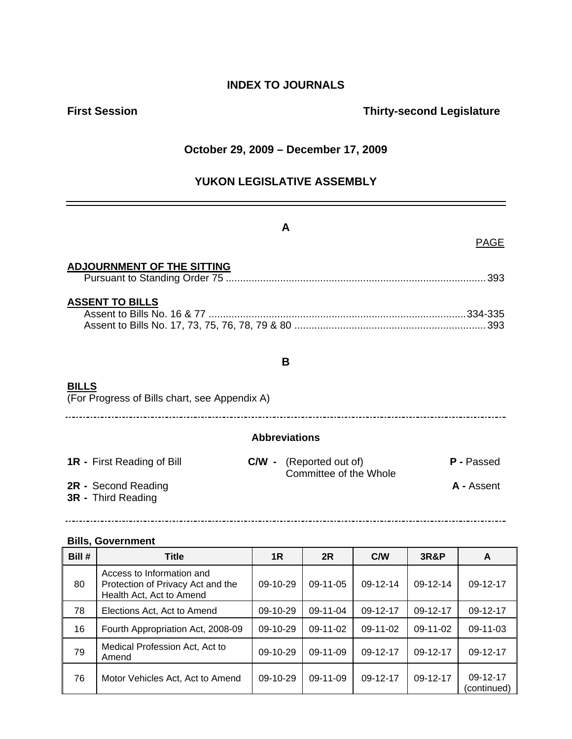# **INDEX TO JOURNALS**

# **First Session Contract Session Contract Session Contract Contract Contract Contract Contract Contract Contract Contract Contract Contract Contract Contract Contract Contract Contract Contract Contract Contract Contract Co**

## **October 29, 2009 – December 17, 2009**

# **YUKON LEGISLATIVE ASSEMBLY**

| A                                                             |                                                          |                   |  |  |
|---------------------------------------------------------------|----------------------------------------------------------|-------------------|--|--|
|                                                               |                                                          | <b>PAGE</b>       |  |  |
| <b>ADJOURNMENT OF THE SITTING</b>                             |                                                          |                   |  |  |
| <b>ASSENT TO BILLS</b>                                        |                                                          |                   |  |  |
|                                                               | B                                                        |                   |  |  |
| <b>BILLS</b><br>(For Progress of Bills chart, see Appendix A) |                                                          |                   |  |  |
| <b>Abbreviations</b>                                          |                                                          |                   |  |  |
| <b>1R</b> - First Reading of Bill                             | <b>C/W</b> - (Reported out of)<br>Committee of the Whole | <b>P</b> - Passed |  |  |
| 2R - Second Reading<br><b>3R</b> - Third Reading              |                                                          | <b>A</b> - Assent |  |  |
|                                                               |                                                          |                   |  |  |

## **Bills, Government**

| Bill # | <b>Title</b>                                                                               | 1R         | 2R             | C/W        | <b>3R&amp;P</b> | A                       |
|--------|--------------------------------------------------------------------------------------------|------------|----------------|------------|-----------------|-------------------------|
| 80     | Access to Information and<br>Protection of Privacy Act and the<br>Health Act, Act to Amend | $09-10-29$ | $09-11-05$     | $09-12-14$ | 09-12-14        | 09-12-17                |
| 78     | Elections Act, Act to Amend                                                                | 09-10-29   | $09-11-04$     | 09-12-17   | $09-12-17$      | 09-12-17                |
| 16     | Fourth Appropriation Act, 2008-09                                                          | $09-10-29$ | $09-11-02$     | $09-11-02$ | $09-11-02$      | 09-11-03                |
| 79     | Medical Profession Act, Act to<br>Amend                                                    | $09-10-29$ | $09 - 11 - 09$ | 09-12-17   | 09-12-17        | 09-12-17                |
| 76     | Motor Vehicles Act, Act to Amend                                                           | $09-10-29$ | $09-11-09$     | 09-12-17   | 09-12-17        | 09-12-17<br>(continued) |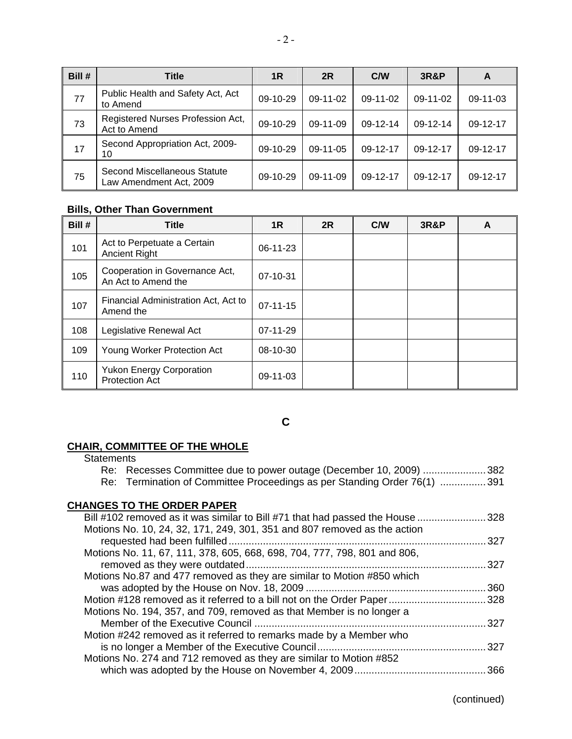| Bill # | Title                                                   | 1R         | 2R         | C/W        | <b>3R&amp;P</b> | A        |
|--------|---------------------------------------------------------|------------|------------|------------|-----------------|----------|
| 77     | Public Health and Safety Act, Act<br>to Amend           | $09-10-29$ | $09-11-02$ | $09-11-02$ | $09-11-02$      | 09-11-03 |
| 73     | Registered Nurses Profession Act,<br>Act to Amend       | 09-10-29   | $09-11-09$ | 09-12-14   | 09-12-14        | 09-12-17 |
| 17     | Second Appropriation Act, 2009-<br>10                   | $09-10-29$ | $09-11-05$ | 09-12-17   | 09-12-17        | 09-12-17 |
| 75     | Second Miscellaneous Statute<br>Law Amendment Act, 2009 | 09-10-29   | $09-11-09$ | $09-12-17$ | 09-12-17        | 09-12-17 |

# **Bills, Other Than Government**

| Bill # | <b>Title</b>                                             | 1R             | 2R | C/W | <b>3R&amp;P</b> | A |
|--------|----------------------------------------------------------|----------------|----|-----|-----------------|---|
| 101    | Act to Perpetuate a Certain<br><b>Ancient Right</b>      | $06-11-23$     |    |     |                 |   |
| 105    | Cooperation in Governance Act,<br>An Act to Amend the    | 07-10-31       |    |     |                 |   |
| 107    | Financial Administration Act, Act to<br>Amend the        | $07 - 11 - 15$ |    |     |                 |   |
| 108    | Legislative Renewal Act                                  | 07-11-29       |    |     |                 |   |
| 109    | Young Worker Protection Act                              | 08-10-30       |    |     |                 |   |
| 110    | <b>Yukon Energy Corporation</b><br><b>Protection Act</b> | $09-11-03$     |    |     |                 |   |

**C** 

# **CHAIR, COMMITTEE OF THE WHOLE**

| <b>Statements</b>                                                             |      |
|-------------------------------------------------------------------------------|------|
| Re: Recesses Committee due to power outage (December 10, 2009) 382            |      |
| Re: Termination of Committee Proceedings as per Standing Order 76(1) 391      |      |
|                                                                               |      |
| <b>CHANGES TO THE ORDER PAPER</b>                                             |      |
| Bill #102 removed as it was similar to Bill #71 that had passed the House 328 |      |
| Motions No. 10, 24, 32, 171, 249, 301, 351 and 807 removed as the action      |      |
|                                                                               | .327 |
| Motions No. 11, 67, 111, 378, 605, 668, 698, 704, 777, 798, 801 and 806,      |      |
|                                                                               | .327 |
| Motions No.87 and 477 removed as they are similar to Motion #850 which        |      |
|                                                                               |      |
| Motion #128 removed as it referred to a bill not on the Order Paper328        |      |
| Motions No. 194, 357, and 709, removed as that Member is no longer a          |      |
|                                                                               | 327  |
| Motion #242 removed as it referred to remarks made by a Member who            |      |
|                                                                               | .327 |
| Motions No. 274 and 712 removed as they are similar to Motion #852            |      |
|                                                                               |      |
|                                                                               |      |

(continued)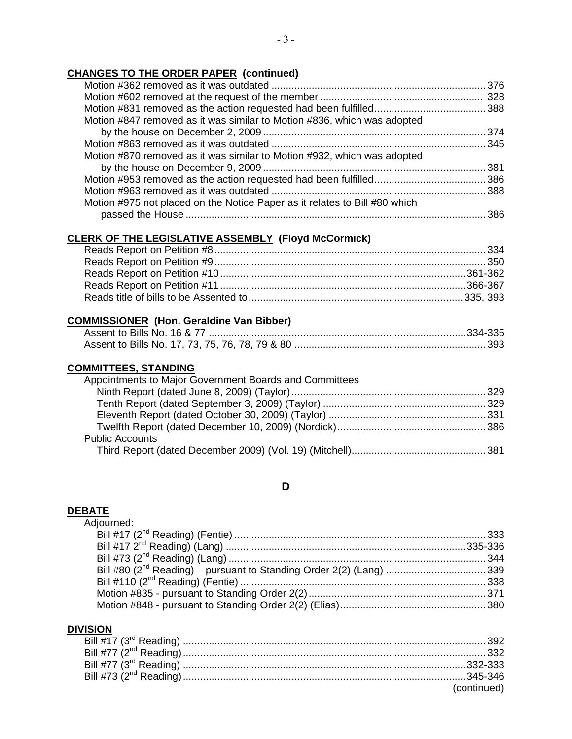## **CHANGES TO THE ORDER PAPER (continued)**

| Motion #847 removed as it was similar to Motion #836, which was adopted    |      |
|----------------------------------------------------------------------------|------|
|                                                                            |      |
|                                                                            |      |
| Motion #870 removed as it was similar to Motion #932, which was adopted    |      |
|                                                                            |      |
|                                                                            |      |
|                                                                            |      |
| Motion #975 not placed on the Notice Paper as it relates to Bill #80 which |      |
|                                                                            | .386 |

# **CLERK OF THE LEGISLATIVE ASSEMBLY (Floyd McCormick)**

## **COMMISSIONER (Hon. Geraldine Van Bibber)**

## **COMMITTEES, STANDING**

## **D**

#### **DEBATE**

| Adjourned: |  |
|------------|--|
|            |  |
|            |  |
|            |  |
|            |  |
|            |  |
|            |  |
|            |  |

## **DIVISION**

| (continued) |
|-------------|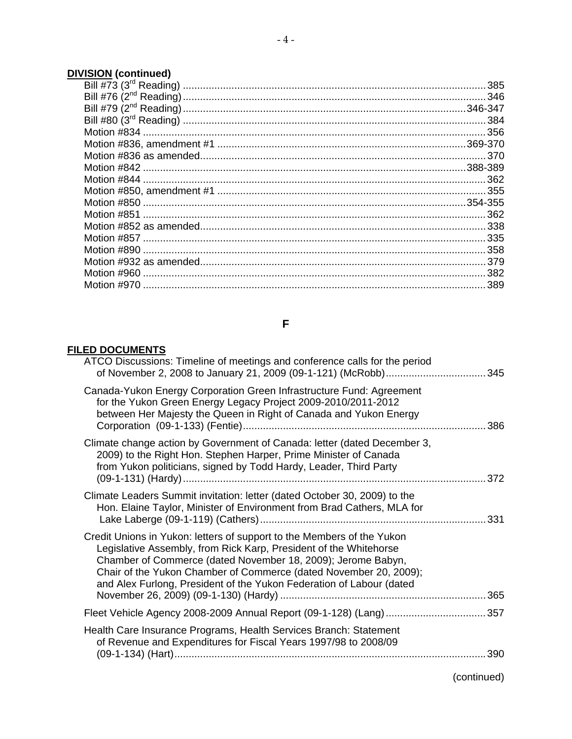# **DIVISION (continued)**

# **F**

## **FILED DOCUMENTS**

| ATCO Discussions: Timeline of meetings and conference calls for the period                                                                                                                                                                                                                                                                               |     |
|----------------------------------------------------------------------------------------------------------------------------------------------------------------------------------------------------------------------------------------------------------------------------------------------------------------------------------------------------------|-----|
| Canada-Yukon Energy Corporation Green Infrastructure Fund: Agreement<br>for the Yukon Green Energy Legacy Project 2009-2010/2011-2012<br>between Her Majesty the Queen in Right of Canada and Yukon Energy                                                                                                                                               |     |
| Climate change action by Government of Canada: letter (dated December 3,<br>2009) to the Right Hon. Stephen Harper, Prime Minister of Canada<br>from Yukon politicians, signed by Todd Hardy, Leader, Third Party                                                                                                                                        |     |
| Climate Leaders Summit invitation: letter (dated October 30, 2009) to the<br>Hon. Elaine Taylor, Minister of Environment from Brad Cathers, MLA for                                                                                                                                                                                                      |     |
| Credit Unions in Yukon: letters of support to the Members of the Yukon<br>Legislative Assembly, from Rick Karp, President of the Whitehorse<br>Chamber of Commerce (dated November 18, 2009); Jerome Babyn,<br>Chair of the Yukon Chamber of Commerce (dated November 20, 2009);<br>and Alex Furlong, President of the Yukon Federation of Labour (dated |     |
|                                                                                                                                                                                                                                                                                                                                                          |     |
| Health Care Insurance Programs, Health Services Branch: Statement<br>of Revenue and Expenditures for Fiscal Years 1997/98 to 2008/09                                                                                                                                                                                                                     | 390 |
|                                                                                                                                                                                                                                                                                                                                                          |     |

(continued)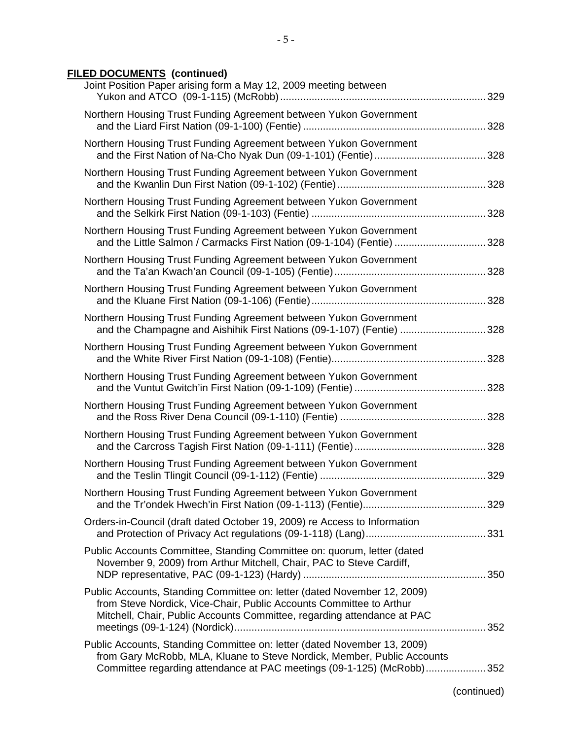## **FILED DOCUMENTS (continued)**

| Joint Position Paper arising form a May 12, 2009 meeting between                                                                                                                                                             |  |
|------------------------------------------------------------------------------------------------------------------------------------------------------------------------------------------------------------------------------|--|
| Northern Housing Trust Funding Agreement between Yukon Government                                                                                                                                                            |  |
| Northern Housing Trust Funding Agreement between Yukon Government                                                                                                                                                            |  |
| Northern Housing Trust Funding Agreement between Yukon Government                                                                                                                                                            |  |
| Northern Housing Trust Funding Agreement between Yukon Government                                                                                                                                                            |  |
| Northern Housing Trust Funding Agreement between Yukon Government<br>and the Little Salmon / Carmacks First Nation (09-1-104) (Fentie) 328                                                                                   |  |
| Northern Housing Trust Funding Agreement between Yukon Government                                                                                                                                                            |  |
| Northern Housing Trust Funding Agreement between Yukon Government                                                                                                                                                            |  |
| Northern Housing Trust Funding Agreement between Yukon Government<br>and the Champagne and Aishihik First Nations (09-1-107) (Fentie) 328                                                                                    |  |
| Northern Housing Trust Funding Agreement between Yukon Government                                                                                                                                                            |  |
| Northern Housing Trust Funding Agreement between Yukon Government                                                                                                                                                            |  |
| Northern Housing Trust Funding Agreement between Yukon Government                                                                                                                                                            |  |
| Northern Housing Trust Funding Agreement between Yukon Government                                                                                                                                                            |  |
| Northern Housing Trust Funding Agreement between Yukon Government                                                                                                                                                            |  |
| Northern Housing Trust Funding Agreement between Yukon Government                                                                                                                                                            |  |
| Orders-in-Council (draft dated October 19, 2009) re Access to Information                                                                                                                                                    |  |
| Public Accounts Committee, Standing Committee on: quorum, letter (dated<br>November 9, 2009) from Arthur Mitchell, Chair, PAC to Steve Cardiff,                                                                              |  |
| Public Accounts, Standing Committee on: letter (dated November 12, 2009)<br>from Steve Nordick, Vice-Chair, Public Accounts Committee to Arthur<br>Mitchell, Chair, Public Accounts Committee, regarding attendance at PAC   |  |
| Public Accounts, Standing Committee on: letter (dated November 13, 2009)<br>from Gary McRobb, MLA, Kluane to Steve Nordick, Member, Public Accounts<br>Committee regarding attendance at PAC meetings (09-1-125) (McRobb)352 |  |
|                                                                                                                                                                                                                              |  |

(continued)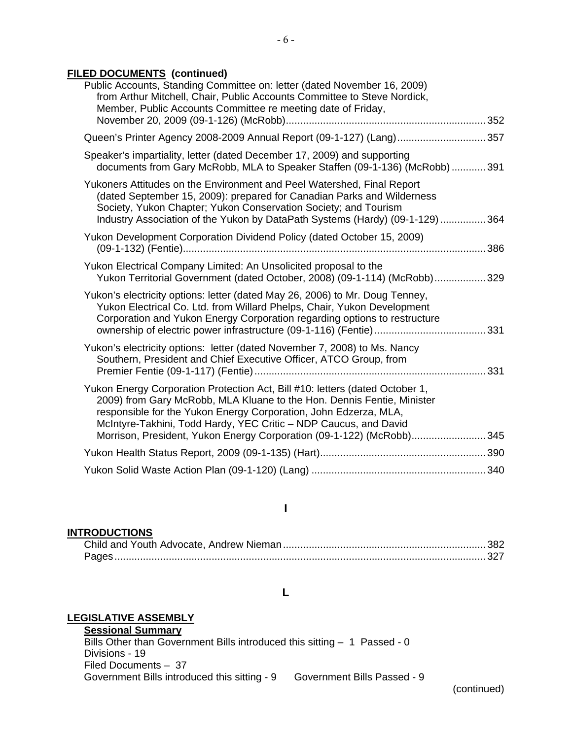## **FILED DOCUMENTS (continued)**

| Public Accounts, Standing Committee on: letter (dated November 16, 2009)<br>from Arthur Mitchell, Chair, Public Accounts Committee to Steve Nordick,<br>Member, Public Accounts Committee re meeting date of Friday,                                                                                                                                                   |
|------------------------------------------------------------------------------------------------------------------------------------------------------------------------------------------------------------------------------------------------------------------------------------------------------------------------------------------------------------------------|
| Queen's Printer Agency 2008-2009 Annual Report (09-1-127) (Lang)357                                                                                                                                                                                                                                                                                                    |
| Speaker's impartiality, letter (dated December 17, 2009) and supporting<br>documents from Gary McRobb, MLA to Speaker Staffen (09-1-136) (McRobb) 391                                                                                                                                                                                                                  |
| Yukoners Attitudes on the Environment and Peel Watershed, Final Report<br>(dated September 15, 2009): prepared for Canadian Parks and Wilderness<br>Society, Yukon Chapter; Yukon Conservation Society; and Tourism<br>Industry Association of the Yukon by DataPath Systems (Hardy) (09-1-129)364                                                                     |
| Yukon Development Corporation Dividend Policy (dated October 15, 2009)                                                                                                                                                                                                                                                                                                 |
| Yukon Electrical Company Limited: An Unsolicited proposal to the<br>Yukon Territorial Government (dated October, 2008) (09-1-114) (McRobb)329                                                                                                                                                                                                                          |
| Yukon's electricity options: letter (dated May 26, 2006) to Mr. Doug Tenney,<br>Yukon Electrical Co. Ltd. from Willard Phelps, Chair, Yukon Development<br>Corporation and Yukon Energy Corporation regarding options to restructure                                                                                                                                   |
| Yukon's electricity options: letter (dated November 7, 2008) to Ms. Nancy<br>Southern, President and Chief Executive Officer, ATCO Group, from                                                                                                                                                                                                                         |
| Yukon Energy Corporation Protection Act, Bill #10: letters (dated October 1,<br>2009) from Gary McRobb, MLA Kluane to the Hon. Dennis Fentie, Minister<br>responsible for the Yukon Energy Corporation, John Edzerza, MLA,<br>McIntyre-Takhini, Todd Hardy, YEC Critic - NDP Caucus, and David<br>Morrison, President, Yukon Energy Corporation (09-1-122) (McRobb)345 |
|                                                                                                                                                                                                                                                                                                                                                                        |
|                                                                                                                                                                                                                                                                                                                                                                        |

## **I**

### **INTRODUCTIONS**

### **L**

## **LEGISLATIVE ASSEMBLY**

**Sessional Summary**

Bills Other than Government Bills introduced this sitting - 1 Passed - 0 Divisions - 19 Filed Documents – 37 Government Bills introduced this sitting - 9 Government Bills Passed - 9

(continued)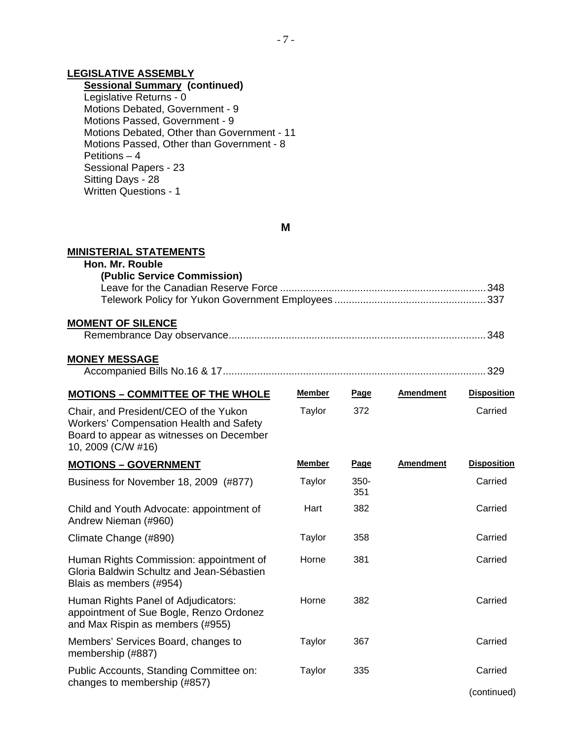## **LEGISLATIVE ASSEMBLY**

## **Sessional Summary (continued)**

 Legislative Returns - 0 Motions Debated, Government - 9 Motions Passed, Government - 9 Motions Debated, Other than Government - 11 Motions Passed, Other than Government - 8 Petitions – 4 Sessional Papers - 23 Sitting Days - 28 Written Questions - 1

**M** 

 $-7 -$ 

| <b>MINISTERIAL STATEMENTS</b>                                                                                                                             |               |                |                  |                    |
|-----------------------------------------------------------------------------------------------------------------------------------------------------------|---------------|----------------|------------------|--------------------|
| Hon. Mr. Rouble<br>(Public Service Commission)                                                                                                            |               |                |                  |                    |
| <b>MOMENT OF SILENCE</b>                                                                                                                                  |               |                |                  |                    |
| <u>MONEY MESSAGE</u>                                                                                                                                      |               |                |                  |                    |
| <b>MOTIONS - COMMITTEE OF THE WHOLE</b>                                                                                                                   | <b>Member</b> | Page           | <b>Amendment</b> | <b>Disposition</b> |
| Chair, and President/CEO of the Yukon<br><b>Workers' Compensation Health and Safety</b><br>Board to appear as witnesses on December<br>10, 2009 (C/W #16) | Taylor        | 372            |                  | Carried            |
| <b>MOTIONS - GOVERNMENT</b>                                                                                                                               | <b>Member</b> | Page           | <b>Amendment</b> | <b>Disposition</b> |
| Business for November 18, 2009 (#877)                                                                                                                     | Taylor        | $350 -$<br>351 |                  | Carried            |
| Child and Youth Advocate: appointment of<br>Andrew Nieman (#960)                                                                                          | Hart          | 382            |                  | Carried            |
| Climate Change (#890)                                                                                                                                     | Taylor        | 358            |                  | Carried            |
| Human Rights Commission: appointment of<br>Gloria Baldwin Schultz and Jean-Sébastien<br>Blais as members (#954)                                           | Horne         | 381            |                  | Carried            |
| Human Rights Panel of Adjudicators:<br>appointment of Sue Bogle, Renzo Ordonez<br>and Max Rispin as members (#955)                                        | Horne         | 382            |                  | Carried            |
| Members' Services Board, changes to<br>membership (#887)                                                                                                  | <b>Taylor</b> | 367            |                  | Carried            |
| Public Accounts, Standing Committee on:<br>changes to membership (#857)                                                                                   | <b>Taylor</b> | 335            |                  | Carried            |
|                                                                                                                                                           |               |                |                  | (continued)        |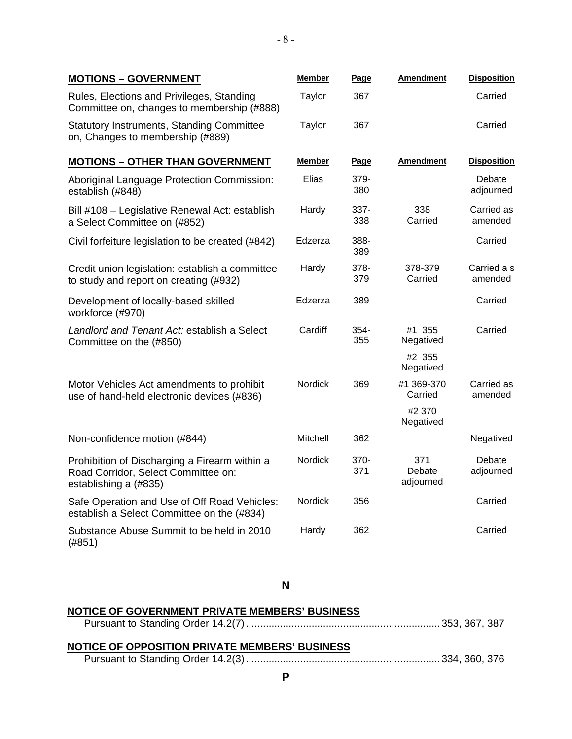| <b>MOTIONS - GOVERNMENT</b>                                                                                   | <b>Member</b>  | <b>Page</b>   | <b>Amendment</b>           | <b>Disposition</b>     |
|---------------------------------------------------------------------------------------------------------------|----------------|---------------|----------------------------|------------------------|
| Rules, Elections and Privileges, Standing<br>Committee on, changes to membership (#888)                       | Taylor         | 367           |                            | Carried                |
| <b>Statutory Instruments, Standing Committee</b><br>on, Changes to membership (#889)                          | Taylor         | 367           |                            | Carried                |
| <b>MOTIONS - OTHER THAN GOVERNMENT</b>                                                                        | Member         | Page          | <b>Amendment</b>           | <b>Disposition</b>     |
| Aboriginal Language Protection Commission:<br>establish (#848)                                                | Elias          | 379-<br>380   |                            | Debate<br>adjourned    |
| Bill #108 - Legislative Renewal Act: establish<br>a Select Committee on (#852)                                | Hardy          | 337-<br>338   | 338<br>Carried             | Carried as<br>amended  |
| Civil forfeiture legislation to be created (#842)                                                             | Edzerza        | 388-<br>389   |                            | Carried                |
| Credit union legislation: establish a committee<br>to study and report on creating (#932)                     | Hardy          | 378-<br>379   | 378-379<br>Carried         | Carried a s<br>amended |
| Development of locally-based skilled<br>workforce (#970)                                                      | Edzerza        | 389           |                            | Carried                |
| Landlord and Tenant Act: establish a Select<br>Committee on the (#850)                                        | Cardiff        | $354-$<br>355 | #1 355<br>Negatived        | Carried                |
|                                                                                                               |                |               | #2 355<br>Negatived        |                        |
| Motor Vehicles Act amendments to prohibit<br>use of hand-held electronic devices (#836)                       | Nordick        | 369           | #1 369-370<br>Carried      | Carried as<br>amended  |
|                                                                                                               |                |               | #2 370<br>Negatived        |                        |
| Non-confidence motion (#844)                                                                                  | Mitchell       | 362           |                            | Negatived              |
| Prohibition of Discharging a Firearm within a<br>Road Corridor, Select Committee on:<br>establishing a (#835) | Nordick        | 370-<br>371   | 371<br>Debate<br>adjourned | Debate<br>adjourned    |
| Safe Operation and Use of Off Road Vehicles:<br>establish a Select Committee on the (#834)                    | <b>Nordick</b> | 356           |                            | Carried                |
| Substance Abuse Summit to be held in 2010<br>(#851)                                                           | Hardy          | 362           |                            | Carried                |

 $- 8 -$ 

### **N**

## **NOTICE OF GOVERNMENT PRIVATE MEMBERS' BUSINESS** Pursuant to Standing Order 14.2(7)....................................................................353, 367, 387 **NOTICE OF OPPOSITION PRIVATE MEMBERS' BUSINESS** Pursuant to Standing Order 14.2(3)....................................................................334, 360, 376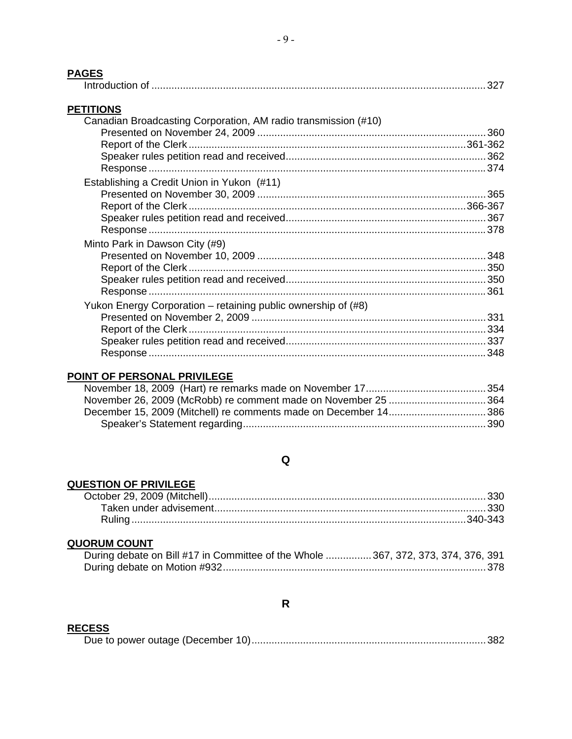# **PAGES**

| ГАУЕЭ                                                                              |  |
|------------------------------------------------------------------------------------|--|
| <b>PETITIONS</b><br>Canadian Broadcasting Corporation, AM radio transmission (#10) |  |
|                                                                                    |  |
|                                                                                    |  |
|                                                                                    |  |
|                                                                                    |  |
| Establishing a Credit Union in Yukon (#11)                                         |  |
|                                                                                    |  |
|                                                                                    |  |
|                                                                                    |  |
|                                                                                    |  |
| Minto Park in Dawson City (#9)                                                     |  |
|                                                                                    |  |
|                                                                                    |  |
|                                                                                    |  |
|                                                                                    |  |
| Yukon Energy Corporation – retaining public ownership of (#8)                      |  |
|                                                                                    |  |
|                                                                                    |  |
|                                                                                    |  |
|                                                                                    |  |
|                                                                                    |  |

## POINT OF PERSONAL PRIVILEGE

## $\mathbf Q$

## **QUESTION OF PRIVILEGE**

## **QUORUM COUNT**

| During debate on Bill #17 in Committee of the Whole  367, 372, 373, 374, 376, 391 |  |  |
|-----------------------------------------------------------------------------------|--|--|
|                                                                                   |  |  |

### $\mathsf{R}$

## **RECESS**

|--|--|--|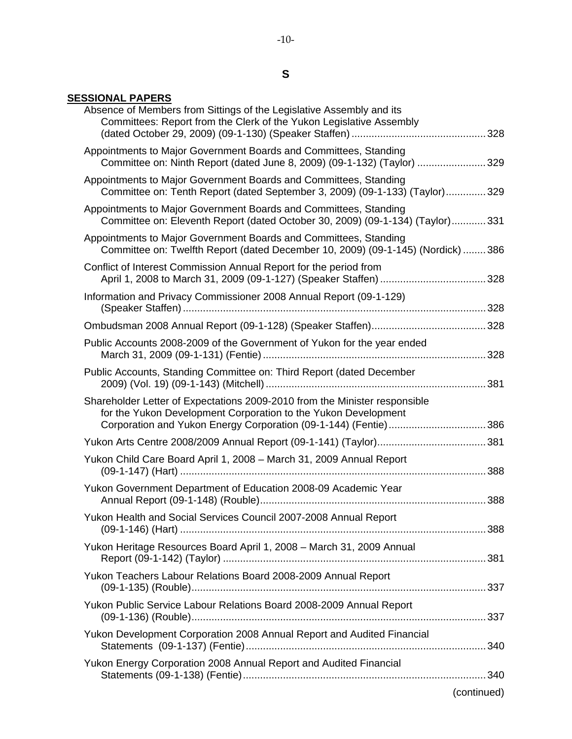### **SESSIONAL PAPERS**

| Absence of Members from Sittings of the Legislative Assembly and its<br>Committees: Report from the Clerk of the Yukon Legislative Assembly                                                                     |             |
|-----------------------------------------------------------------------------------------------------------------------------------------------------------------------------------------------------------------|-------------|
| Appointments to Major Government Boards and Committees, Standing<br>Committee on: Ninth Report (dated June 8, 2009) (09-1-132) (Taylor)  329                                                                    |             |
| Appointments to Major Government Boards and Committees, Standing<br>Committee on: Tenth Report (dated September 3, 2009) (09-1-133) (Taylor)329                                                                 |             |
| Appointments to Major Government Boards and Committees, Standing<br>Committee on: Eleventh Report (dated October 30, 2009) (09-1-134) (Taylor)331                                                               |             |
| Appointments to Major Government Boards and Committees, Standing<br>Committee on: Twelfth Report (dated December 10, 2009) (09-1-145) (Nordick)  386                                                            |             |
| Conflict of Interest Commission Annual Report for the period from                                                                                                                                               |             |
| Information and Privacy Commissioner 2008 Annual Report (09-1-129)                                                                                                                                              |             |
|                                                                                                                                                                                                                 |             |
| Public Accounts 2008-2009 of the Government of Yukon for the year ended                                                                                                                                         |             |
| Public Accounts, Standing Committee on: Third Report (dated December                                                                                                                                            |             |
| Shareholder Letter of Expectations 2009-2010 from the Minister responsible<br>for the Yukon Development Corporation to the Yukon Development<br>Corporation and Yukon Energy Corporation (09-1-144) (Fentie)386 |             |
|                                                                                                                                                                                                                 |             |
| Yukon Child Care Board April 1, 2008 - March 31, 2009 Annual Report                                                                                                                                             |             |
| Yukon Government Department of Education 2008-09 Academic Year                                                                                                                                                  |             |
| Yukon Health and Social Services Council 2007-2008 Annual Report                                                                                                                                                |             |
| Yukon Heritage Resources Board April 1, 2008 - March 31, 2009 Annual                                                                                                                                            |             |
| Yukon Teachers Labour Relations Board 2008-2009 Annual Report                                                                                                                                                   |             |
| Yukon Public Service Labour Relations Board 2008-2009 Annual Report                                                                                                                                             |             |
| Yukon Development Corporation 2008 Annual Report and Audited Financial                                                                                                                                          |             |
| Yukon Energy Corporation 2008 Annual Report and Audited Financial                                                                                                                                               |             |
|                                                                                                                                                                                                                 | (continued) |
|                                                                                                                                                                                                                 |             |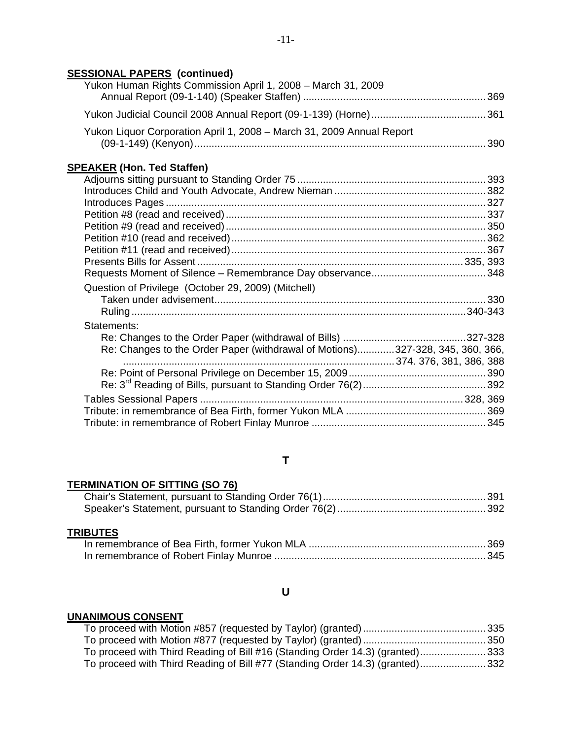## **SESSIONAL PAPERS (continued)**

| Yukon Human Rights Commission April 1, 2008 - March 31, 2009                  |  |
|-------------------------------------------------------------------------------|--|
|                                                                               |  |
| Yukon Liquor Corporation April 1, 2008 - March 31, 2009 Annual Report         |  |
| <b>SPEAKER (Hon. Ted Staffen)</b>                                             |  |
|                                                                               |  |
|                                                                               |  |
|                                                                               |  |
|                                                                               |  |
|                                                                               |  |
|                                                                               |  |
|                                                                               |  |
|                                                                               |  |
|                                                                               |  |
| Question of Privilege (October 29, 2009) (Mitchell)                           |  |
|                                                                               |  |
|                                                                               |  |
| Statements:                                                                   |  |
|                                                                               |  |
| Re: Changes to the Order Paper (withdrawal of Motions)327-328, 345, 360, 366, |  |
|                                                                               |  |
|                                                                               |  |
|                                                                               |  |
|                                                                               |  |
|                                                                               |  |
|                                                                               |  |

## **T**

## **TERMINATION OF SITTING (SO 76)**

## **TRIBUTES**

## **U**

### **UNANIMOUS CONSENT**

| To proceed with Third Reading of Bill #16 (Standing Order 14.3) (granted)333 |  |
|------------------------------------------------------------------------------|--|
| To proceed with Third Reading of Bill #77 (Standing Order 14.3) (granted)332 |  |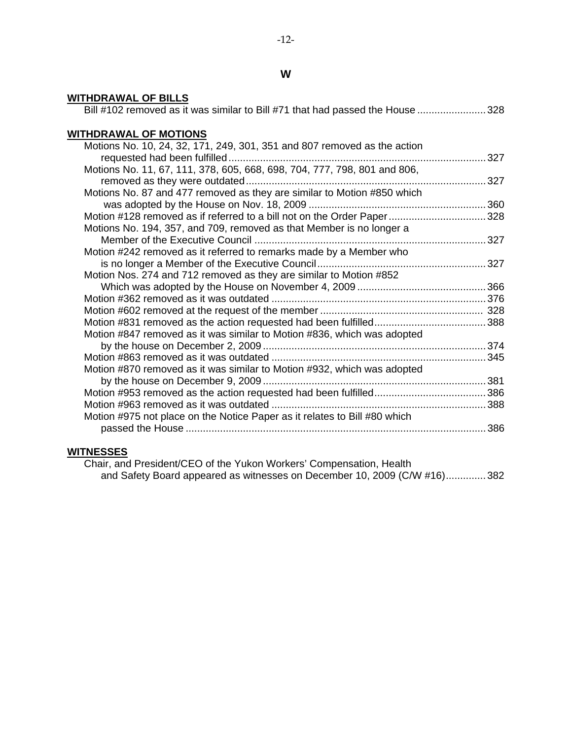| <b>WITHDRAWAL OF BILLS</b><br>Bill #102 removed as it was similar to Bill #71 that had passed the House 328 |  |
|-------------------------------------------------------------------------------------------------------------|--|
|                                                                                                             |  |
| <b>WITHDRAWAL OF MOTIONS</b>                                                                                |  |
| Motions No. 10, 24, 32, 171, 249, 301, 351 and 807 removed as the action                                    |  |
|                                                                                                             |  |
| Motions No. 11, 67, 111, 378, 605, 668, 698, 704, 777, 798, 801 and 806,                                    |  |
|                                                                                                             |  |
| Motions No. 87 and 477 removed as they are similar to Motion #850 which                                     |  |
| Motion #128 removed as if referred to a bill not on the Order Paper 328                                     |  |
| Motions No. 194, 357, and 709, removed as that Member is no longer a                                        |  |
|                                                                                                             |  |
| Motion #242 removed as it referred to remarks made by a Member who                                          |  |
|                                                                                                             |  |
| Motion Nos. 274 and 712 removed as they are similar to Motion #852                                          |  |
|                                                                                                             |  |
|                                                                                                             |  |
|                                                                                                             |  |
|                                                                                                             |  |
| Motion #847 removed as it was similar to Motion #836, which was adopted                                     |  |
|                                                                                                             |  |
| Motion #870 removed as it was similar to Motion #932, which was adopted                                     |  |
|                                                                                                             |  |
|                                                                                                             |  |
|                                                                                                             |  |
| Motion #975 not place on the Notice Paper as it relates to Bill #80 which                                   |  |
|                                                                                                             |  |
|                                                                                                             |  |

#### **WITNESSES**

 Chair, and President/CEO of the Yukon Workers' Compensation, Health and Safety Board appeared as witnesses on December 10, 2009 (C/W #16)..............382

## **W**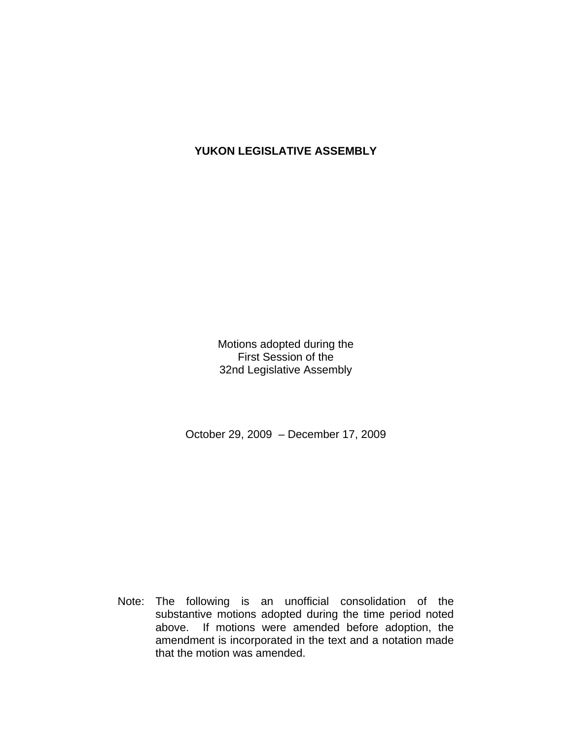## **YUKON LEGISLATIVE ASSEMBLY**

Motions adopted during the First Session of the 32nd Legislative Assembly

October 29, 2009 – December 17, 2009

 Note: The following is an unofficial consolidation of the substantive motions adopted during the time period noted above. If motions were amended before adoption, the amendment is incorporated in the text and a notation made that the motion was amended.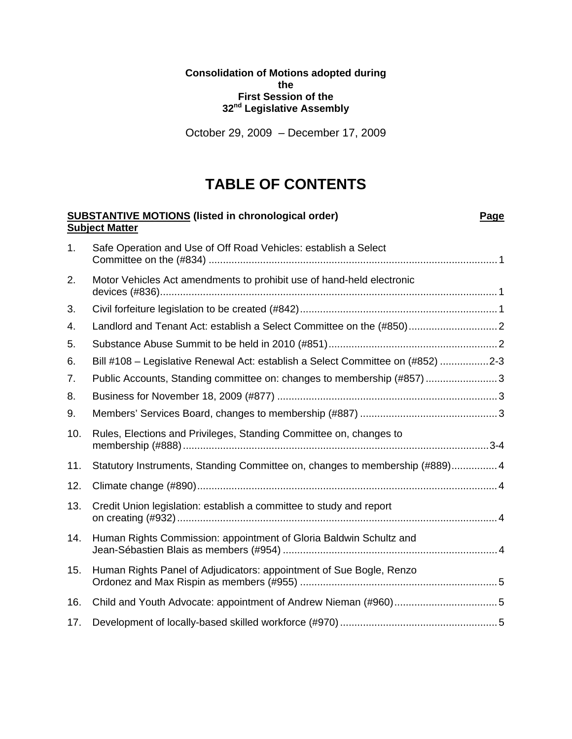### **Consolidation of Motions adopted during the First Session of the 32nd Legislative Assembly**

October 29, 2009 – December 17, 2009

# **TABLE OF CONTENTS**

|     | <b>SUBSTANTIVE MOTIONS (listed in chronological order)</b><br><b>Subject Matter</b> | Page |
|-----|-------------------------------------------------------------------------------------|------|
| 1.  | Safe Operation and Use of Off Road Vehicles: establish a Select                     |      |
| 2.  | Motor Vehicles Act amendments to prohibit use of hand-held electronic               |      |
| 3.  |                                                                                     |      |
| 4.  | Landlord and Tenant Act: establish a Select Committee on the (#850) 2               |      |
| 5.  |                                                                                     |      |
| 6.  | Bill #108 - Legislative Renewal Act: establish a Select Committee on (#852) 2-3     |      |
| 7.  | Public Accounts, Standing committee on: changes to membership (#857) 3              |      |
| 8.  |                                                                                     |      |
| 9.  |                                                                                     |      |
| 10. | Rules, Elections and Privileges, Standing Committee on, changes to                  |      |
| 11. | Statutory Instruments, Standing Committee on, changes to membership (#889) 4        |      |
| 12. |                                                                                     |      |
| 13. | Credit Union legislation: establish a committee to study and report                 |      |
| 14. | Human Rights Commission: appointment of Gloria Baldwin Schultz and                  |      |
| 15. | Human Rights Panel of Adjudicators: appointment of Sue Bogle, Renzo                 |      |
| 16. |                                                                                     |      |
| 17. |                                                                                     |      |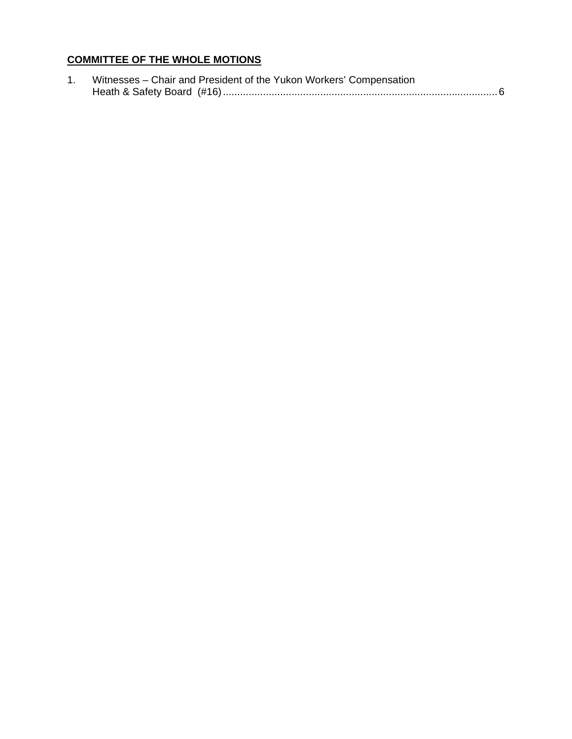## **COMMITTEE OF THE WHOLE MOTIONS**

| Witnesses - Chair and President of the Yukon Workers' Compensation |  |  |
|--------------------------------------------------------------------|--|--|
|                                                                    |  |  |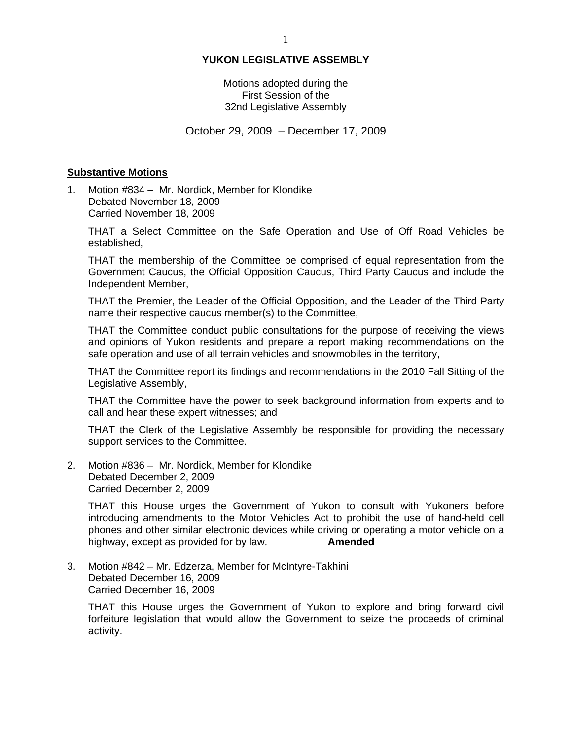### **YUKON LEGISLATIVE ASSEMBLY**

### Motions adopted during the First Session of the 32nd Legislative Assembly

October 29, 2009 – December 17, 2009

### **Substantive Motions**

1. Motion #834 – Mr. Nordick, Member for Klondike Debated November 18, 2009 Carried November 18, 2009

THAT a Select Committee on the Safe Operation and Use of Off Road Vehicles be established,

THAT the membership of the Committee be comprised of equal representation from the Government Caucus, the Official Opposition Caucus, Third Party Caucus and include the Independent Member,

THAT the Premier, the Leader of the Official Opposition, and the Leader of the Third Party name their respective caucus member(s) to the Committee,

THAT the Committee conduct public consultations for the purpose of receiving the views and opinions of Yukon residents and prepare a report making recommendations on the safe operation and use of all terrain vehicles and snowmobiles in the territory,

THAT the Committee report its findings and recommendations in the 2010 Fall Sitting of the Legislative Assembly,

THAT the Committee have the power to seek background information from experts and to call and hear these expert witnesses; and

THAT the Clerk of the Legislative Assembly be responsible for providing the necessary support services to the Committee.

2. Motion #836 – Mr. Nordick, Member for Klondike Debated December 2, 2009 Carried December 2, 2009

THAT this House urges the Government of Yukon to consult with Yukoners before introducing amendments to the Motor Vehicles Act to prohibit the use of hand-held cell phones and other similar electronic devices while driving or operating a motor vehicle on a highway, except as provided for by law. **Amended** 

3. Motion #842 – Mr. Edzerza, Member for McIntyre-Takhini Debated December 16, 2009 Carried December 16, 2009

THAT this House urges the Government of Yukon to explore and bring forward civil forfeiture legislation that would allow the Government to seize the proceeds of criminal activity.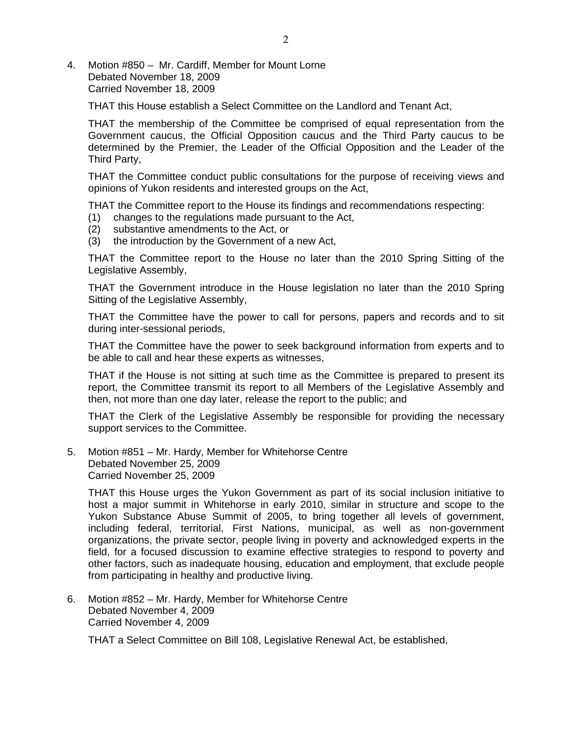4. Motion #850 – Mr. Cardiff, Member for Mount Lorne Debated November 18, 2009 Carried November 18, 2009

THAT this House establish a Select Committee on the Landlord and Tenant Act,

THAT the membership of the Committee be comprised of equal representation from the Government caucus, the Official Opposition caucus and the Third Party caucus to be determined by the Premier, the Leader of the Official Opposition and the Leader of the Third Party,

THAT the Committee conduct public consultations for the purpose of receiving views and opinions of Yukon residents and interested groups on the Act,

THAT the Committee report to the House its findings and recommendations respecting:

- (1) changes to the regulations made pursuant to the Act,
- (2) substantive amendments to the Act, or
- (3) the introduction by the Government of a new Act,

THAT the Committee report to the House no later than the 2010 Spring Sitting of the Legislative Assembly,

THAT the Government introduce in the House legislation no later than the 2010 Spring Sitting of the Legislative Assembly,

THAT the Committee have the power to call for persons, papers and records and to sit during inter-sessional periods,

THAT the Committee have the power to seek background information from experts and to be able to call and hear these experts as witnesses,

THAT if the House is not sitting at such time as the Committee is prepared to present its report, the Committee transmit its report to all Members of the Legislative Assembly and then, not more than one day later, release the report to the public; and

THAT the Clerk of the Legislative Assembly be responsible for providing the necessary support services to the Committee.

5. Motion #851 – Mr. Hardy, Member for Whitehorse Centre Debated November 25, 2009 Carried November 25, 2009

THAT this House urges the Yukon Government as part of its social inclusion initiative to host a major summit in Whitehorse in early 2010, similar in structure and scope to the Yukon Substance Abuse Summit of 2005, to bring together all levels of government, including federal, territorial, First Nations, municipal, as well as non-government organizations, the private sector, people living in poverty and acknowledged experts in the field, for a focused discussion to examine effective strategies to respond to poverty and other factors, such as inadequate housing, education and employment, that exclude people from participating in healthy and productive living.

6. Motion #852 – Mr. Hardy, Member for Whitehorse Centre Debated November 4, 2009 Carried November 4, 2009

THAT a Select Committee on Bill 108, Legislative Renewal Act, be established,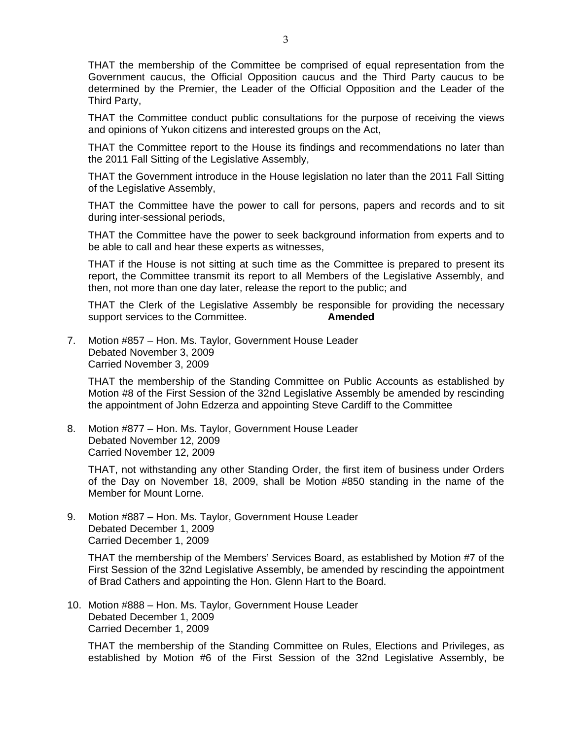THAT the membership of the Committee be comprised of equal representation from the Government caucus, the Official Opposition caucus and the Third Party caucus to be determined by the Premier, the Leader of the Official Opposition and the Leader of the Third Party,

THAT the Committee conduct public consultations for the purpose of receiving the views and opinions of Yukon citizens and interested groups on the Act,

THAT the Committee report to the House its findings and recommendations no later than the 2011 Fall Sitting of the Legislative Assembly,

THAT the Government introduce in the House legislation no later than the 2011 Fall Sitting of the Legislative Assembly,

THAT the Committee have the power to call for persons, papers and records and to sit during inter-sessional periods,

THAT the Committee have the power to seek background information from experts and to be able to call and hear these experts as witnesses,

THAT if the House is not sitting at such time as the Committee is prepared to present its report, the Committee transmit its report to all Members of the Legislative Assembly, and then, not more than one day later, release the report to the public; and

THAT the Clerk of the Legislative Assembly be responsible for providing the necessary support services to the Committee. **Amended** 

7. Motion #857 – Hon. Ms. Taylor, Government House Leader Debated November 3, 2009 Carried November 3, 2009

THAT the membership of the Standing Committee on Public Accounts as established by Motion #8 of the First Session of the 32nd Legislative Assembly be amended by rescinding the appointment of John Edzerza and appointing Steve Cardiff to the Committee

8. Motion #877 – Hon. Ms. Taylor, Government House Leader Debated November 12, 2009 Carried November 12, 2009

THAT, not withstanding any other Standing Order, the first item of business under Orders of the Day on November 18, 2009, shall be Motion #850 standing in the name of the Member for Mount Lorne.

9. Motion #887 – Hon. Ms. Taylor, Government House Leader Debated December 1, 2009 Carried December 1, 2009

THAT the membership of the Members' Services Board, as established by Motion #7 of the First Session of the 32nd Legislative Assembly, be amended by rescinding the appointment of Brad Cathers and appointing the Hon. Glenn Hart to the Board.

10. Motion #888 – Hon. Ms. Taylor, Government House Leader Debated December 1, 2009 Carried December 1, 2009

THAT the membership of the Standing Committee on Rules, Elections and Privileges, as established by Motion #6 of the First Session of the 32nd Legislative Assembly, be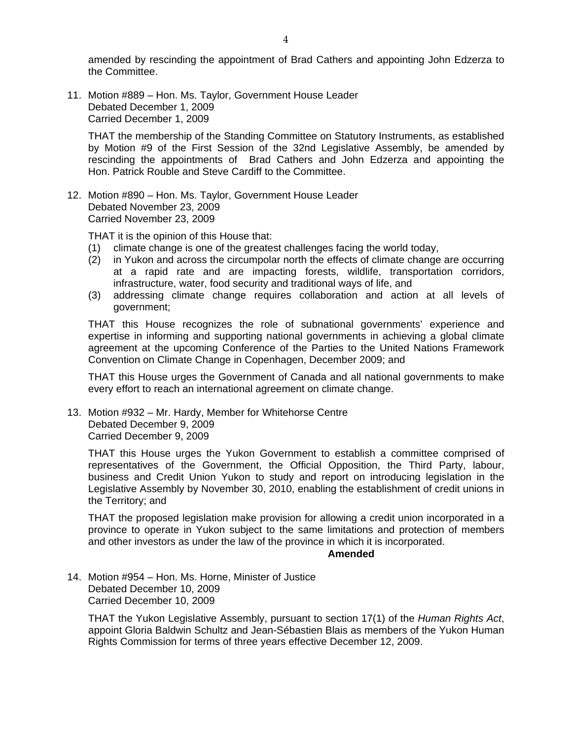amended by rescinding the appointment of Brad Cathers and appointing John Edzerza to the Committee.

11. Motion #889 – Hon. Ms. Taylor, Government House Leader Debated December 1, 2009 Carried December 1, 2009

THAT the membership of the Standing Committee on Statutory Instruments, as established by Motion #9 of the First Session of the 32nd Legislative Assembly, be amended by rescinding the appointments of Brad Cathers and John Edzerza and appointing the Hon. Patrick Rouble and Steve Cardiff to the Committee.

12. Motion #890 – Hon. Ms. Taylor, Government House Leader Debated November 23, 2009 Carried November 23, 2009

THAT it is the opinion of this House that:

- (1) climate change is one of the greatest challenges facing the world today,
- (2) in Yukon and across the circumpolar north the effects of climate change are occurring at a rapid rate and are impacting forests, wildlife, transportation corridors, infrastructure, water, food security and traditional ways of life, and
- (3) addressing climate change requires collaboration and action at all levels of government;

THAT this House recognizes the role of subnational governments' experience and expertise in informing and supporting national governments in achieving a global climate agreement at the upcoming Conference of the Parties to the United Nations Framework Convention on Climate Change in Copenhagen, December 2009; and

THAT this House urges the Government of Canada and all national governments to make every effort to reach an international agreement on climate change.

13. Motion #932 – Mr. Hardy, Member for Whitehorse Centre Debated December 9, 2009 Carried December 9, 2009

THAT this House urges the Yukon Government to establish a committee comprised of representatives of the Government, the Official Opposition, the Third Party, labour, business and Credit Union Yukon to study and report on introducing legislation in the Legislative Assembly by November 30, 2010, enabling the establishment of credit unions in the Territory; and

THAT the proposed legislation make provision for allowing a credit union incorporated in a province to operate in Yukon subject to the same limitations and protection of members and other investors as under the law of the province in which it is incorporated.

#### **Amended**

14. Motion #954 – Hon. Ms. Horne, Minister of Justice Debated December 10, 2009 Carried December 10, 2009

THAT the Yukon Legislative Assembly, pursuant to section 17(1) of the *Human Rights Act*, appoint Gloria Baldwin Schultz and Jean-Sébastien Blais as members of the Yukon Human Rights Commission for terms of three years effective December 12, 2009.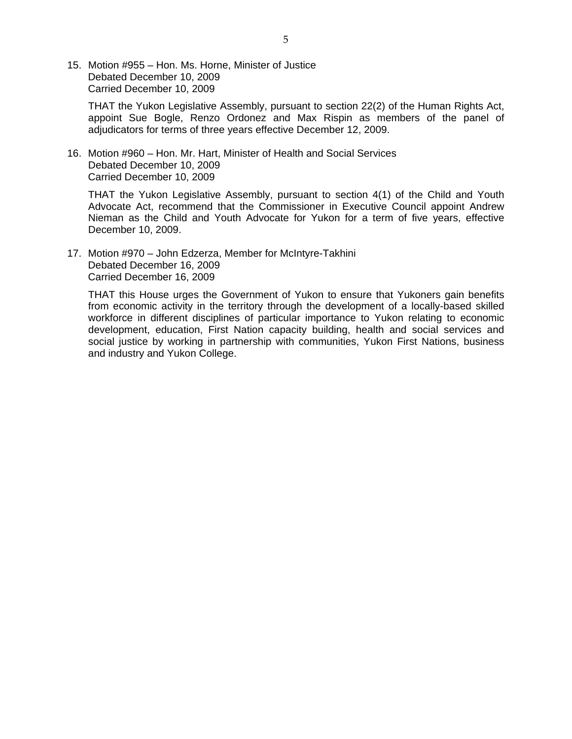15. Motion #955 – Hon. Ms. Horne, Minister of Justice Debated December 10, 2009 Carried December 10, 2009

THAT the Yukon Legislative Assembly, pursuant to section 22(2) of the Human Rights Act, appoint Sue Bogle, Renzo Ordonez and Max Rispin as members of the panel of adjudicators for terms of three years effective December 12, 2009.

16. Motion #960 – Hon. Mr. Hart, Minister of Health and Social Services Debated December 10, 2009 Carried December 10, 2009

THAT the Yukon Legislative Assembly, pursuant to section 4(1) of the Child and Youth Advocate Act, recommend that the Commissioner in Executive Council appoint Andrew Nieman as the Child and Youth Advocate for Yukon for a term of five years, effective December 10, 2009.

17. Motion #970 – John Edzerza, Member for McIntyre-Takhini Debated December 16, 2009 Carried December 16, 2009

THAT this House urges the Government of Yukon to ensure that Yukoners gain benefits from economic activity in the territory through the development of a locally-based skilled workforce in different disciplines of particular importance to Yukon relating to economic development, education, First Nation capacity building, health and social services and social justice by working in partnership with communities, Yukon First Nations, business and industry and Yukon College.